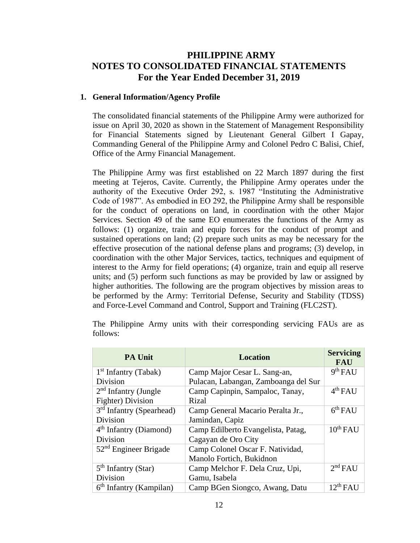# **PHILIPPINE ARMY NOTES TO CONSOLIDATED FINANCIAL STATEMENTS For the Year Ended December 31, 2019**

#### **1. General Information/Agency Profile**

The consolidated financial statements of the Philippine Army were authorized for issue on April 30, 2020 as shown in the Statement of Management Responsibility for Financial Statements signed by Lieutenant General Gilbert I Gapay, Commanding General of the Philippine Army and Colonel Pedro C Balisi, Chief, Office of the Army Financial Management.

The Philippine Army was first established on 22 March 1897 during the first meeting at Tejeros, Cavite. Currently, the Philippine Army operates under the authority of the Executive Order 292, s. 1987 "Instituting the Administrative Code of 1987". As embodied in EO 292, the Philippine Army shall be responsible for the conduct of operations on land, in coordination with the other Major Services. Section 49 of the same EO enumerates the functions of the Army as follows: (1) organize, train and equip forces for the conduct of prompt and sustained operations on land; (2) prepare such units as may be necessary for the effective prosecution of the national defense plans and programs; (3) develop, in coordination with the other Major Services, tactics, techniques and equipment of interest to the Army for field operations; (4) organize, train and equip all reserve units; and (5) perform such functions as may be provided by law or assigned by higher authorities. The following are the program objectives by mission areas to be performed by the Army: Territorial Defense, Security and Stability (TDSS) and Force-Level Command and Control, Support and Training (FLC2ST).

| <b>PA Unit</b>                       | <b>Location</b>                      | <b>Servicing</b><br><b>FAU</b> |
|--------------------------------------|--------------------------------------|--------------------------------|
| $1st$ Infantry (Tabak)               | Camp Major Cesar L. Sang-an,         | 9 <sup>th</sup> FAU            |
| Division                             | Pulacan, Labangan, Zamboanga del Sur |                                |
| $2nd$ Infantry (Jungle               | Camp Capinpin, Sampaloc, Tanay,      | $4th$ FAU                      |
| Fighter) Division                    | Rizal                                |                                |
| 3 <sup>rd</sup> Infantry (Spearhead) | Camp General Macario Peralta Jr.,    | 6 <sup>th</sup> FAU            |
| Division                             | Jamindan, Capiz                      |                                |
| $4th$ Infantry (Diamond)             | Camp Edilberto Evangelista, Patag,   | $10^{th}$ FAU                  |
| Division                             | Cagayan de Oro City                  |                                |
| $52nd$ Engineer Brigade              | Camp Colonel Oscar F. Natividad,     |                                |
|                                      | Manolo Fortich, Bukidnon             |                                |
| $5th$ Infantry (Star)                | Camp Melchor F. Dela Cruz, Upi,      | 2 <sup>nd</sup> FAU            |
| Division                             | Gamu, Isabela                        |                                |
| $6th$ Infantry (Kampilan)            | Camp BGen Siongco, Awang, Datu       | $12^{th}$ FAU                  |

The Philippine Army units with their corresponding servicing FAUs are as follows: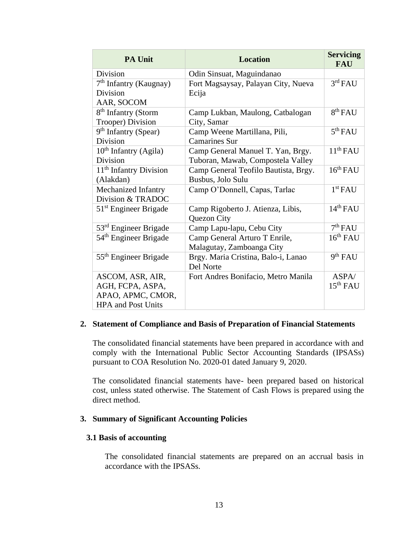| <b>PA Unit</b>                                  | <b>Location</b>                                           | <b>Servicing</b><br><b>FAU</b> |
|-------------------------------------------------|-----------------------------------------------------------|--------------------------------|
| Division                                        | Odin Sinsuat, Maguindanao                                 |                                |
| $7th$ Infantry (Kaugnay)<br>Division            | Fort Magsaysay, Palayan City, Nueva<br>Ecija              | 3 <sup>rd</sup> FAU            |
| AAR, SOCOM                                      |                                                           |                                |
| 8 <sup>th</sup> Infantry (Storm                 | Camp Lukban, Maulong, Catbalogan                          | 8 <sup>th</sup> FAU            |
| Trooper) Division                               | City, Samar                                               |                                |
| 9 <sup>th</sup> Infantry (Spear)                | Camp Weene Martillana, Pili,                              | 5 <sup>th</sup> FAU            |
| Division                                        | <b>Camarines Sur</b>                                      |                                |
| $10th$ Infantry (Agila)<br>Division             | Camp General Manuel T. Yan, Brgy.                         | $11th$ FAU                     |
|                                                 | Tuboran, Mawab, Compostela Valley                         | $16^{th}$ FAU                  |
| 11 <sup>th</sup> Infantry Division<br>(Alakdan) | Camp General Teofilo Bautista, Brgy.<br>Busbus, Jolo Sulu |                                |
| Mechanized Infantry                             | Camp O'Donnell, Capas, Tarlac                             | 1 <sup>st</sup> FAU            |
| Division & TRADOC                               |                                                           |                                |
| $51st$ Engineer Brigade                         | Camp Rigoberto J. Atienza, Libis,<br>Quezon City          | $14th$ FAU                     |
| 53 <sup>rd</sup> Engineer Brigade               | Camp Lapu-lapu, Cebu City                                 | 7 <sup>th</sup> FAII           |
| 54 <sup>th</sup> Engineer Brigade               | Camp General Arturo T Enrile,                             | $16^{th}$ FAU                  |
|                                                 | Malagutay, Zamboanga City                                 |                                |
| 55 <sup>th</sup> Engineer Brigade               | Brgy. Maria Cristina, Balo-i, Lanao<br>Del Norte          | 9 <sup>th</sup> FAU            |
| ASCOM, ASR, AIR,                                | Fort Andres Bonifacio, Metro Manila                       | ASPA/                          |
| AGH, FCPA, ASPA,                                |                                                           | 15 <sup>th</sup> FAU           |
| APAO, APMC, CMOR,                               |                                                           |                                |
| <b>HPA and Post Units</b>                       |                                                           |                                |

#### **2. Statement of Compliance and Basis of Preparation of Financial Statements**

The consolidated financial statements have been prepared in accordance with and comply with the International Public Sector Accounting Standards (IPSASs) pursuant to COA Resolution No. 2020-01 dated January 9, 2020.

The consolidated financial statements have- been prepared based on historical cost, unless stated otherwise. The Statement of Cash Flows is prepared using the direct method.

#### **3. Summary of Significant Accounting Policies**

#### **3.1 Basis of accounting**

The consolidated financial statements are prepared on an accrual basis in accordance with the IPSASs.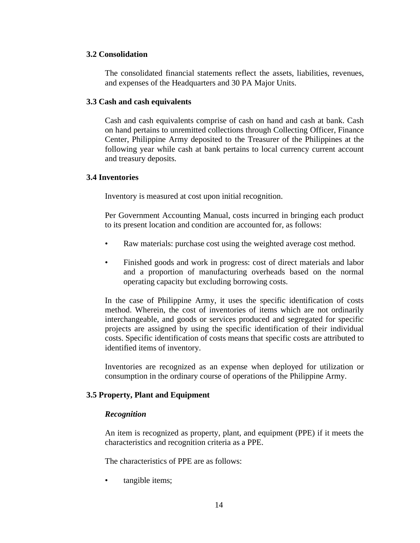## **3.2 Consolidation**

The consolidated financial statements reflect the assets, liabilities, revenues, and expenses of the Headquarters and 30 PA Major Units.

### **3.3 Cash and cash equivalents**

Cash and cash equivalents comprise of cash on hand and cash at bank. Cash on hand pertains to unremitted collections through Collecting Officer, Finance Center, Philippine Army deposited to the Treasurer of the Philippines at the following year while cash at bank pertains to local currency current account and treasury deposits.

## **3.4 Inventories**

Inventory is measured at cost upon initial recognition.

Per Government Accounting Manual, costs incurred in bringing each product to its present location and condition are accounted for, as follows:

- Raw materials: purchase cost using the weighted average cost method.
- Finished goods and work in progress: cost of direct materials and labor and a proportion of manufacturing overheads based on the normal operating capacity but excluding borrowing costs.

In the case of Philippine Army, it uses the specific identification of costs method. Wherein, the cost of inventories of items which are not ordinarily interchangeable, and goods or services produced and segregated for specific projects are assigned by using the specific identification of their individual costs. Specific identification of costs means that specific costs are attributed to identified items of inventory.

Inventories are recognized as an expense when deployed for utilization or consumption in the ordinary course of operations of the Philippine Army.

## **3.5 Property, Plant and Equipment**

#### *Recognition*

An item is recognized as property, plant, and equipment (PPE) if it meets the characteristics and recognition criteria as a PPE.

The characteristics of PPE are as follows:

tangible items;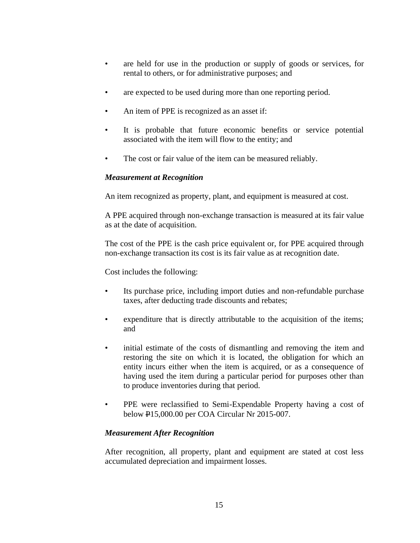- are held for use in the production or supply of goods or services, for rental to others, or for administrative purposes; and
- are expected to be used during more than one reporting period.
- An item of PPE is recognized as an asset if:
- It is probable that future economic benefits or service potential associated with the item will flow to the entity; and
- The cost or fair value of the item can be measured reliably.

## *Measurement at Recognition*

An item recognized as property, plant, and equipment is measured at cost.

A PPE acquired through non-exchange transaction is measured at its fair value as at the date of acquisition.

The cost of the PPE is the cash price equivalent or, for PPE acquired through non-exchange transaction its cost is its fair value as at recognition date.

Cost includes the following:

- Its purchase price, including import duties and non-refundable purchase taxes, after deducting trade discounts and rebates;
- expenditure that is directly attributable to the acquisition of the items; and
- initial estimate of the costs of dismantling and removing the item and restoring the site on which it is located, the obligation for which an entity incurs either when the item is acquired, or as a consequence of having used the item during a particular period for purposes other than to produce inventories during that period.
- PPE were reclassified to Semi-Expendable Property having a cost of below P15,000.00 per COA Circular Nr 2015-007.

## *Measurement After Recognition*

After recognition, all property, plant and equipment are stated at cost less accumulated depreciation and impairment losses.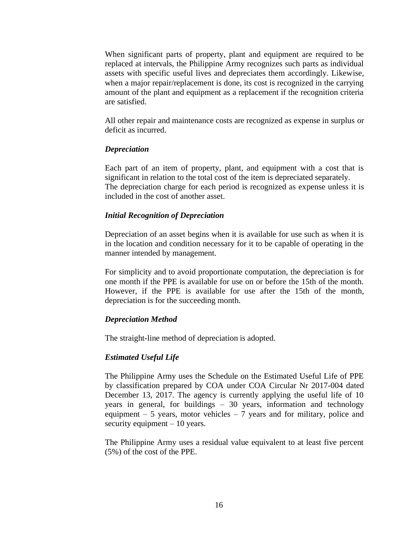When significant parts of property, plant and equipment are required to be replaced at intervals, the Philippine Army recognizes such parts as individual assets with specific useful lives and depreciates them accordingly. Likewise, when a major repair/replacement is done, its cost is recognized in the carrying amount of the plant and equipment as a replacement if the recognition criteria are satisfied.

All other repair and maintenance costs are recognized as expense in surplus or deficit as incurred.

#### *Depreciation*

Each part of an item of property, plant, and equipment with a cost that is significant in relation to the total cost of the item is depreciated separately. The depreciation charge for each period is recognized as expense unless it is included in the cost of another asset.

#### *Initial Recognition of Depreciation*

Depreciation of an asset begins when it is available for use such as when it is in the location and condition necessary for it to be capable of operating in the manner intended by management.

For simplicity and to avoid proportionate computation, the depreciation is for one month if the PPE is available for use on or before the 15th of the month. However, if the PPE is available for use after the 15th of the month, depreciation is for the succeeding month.

#### *Depreciation Method*

The straight-line method of depreciation is adopted.

#### *Estimated Useful Life*

The Philippine Army uses the Schedule on the Estimated Useful Life of PPE by classification prepared by COA under COA Circular Nr 2017-004 dated December 13, 2017. The agency is currently applying the useful life of 10 years in general, for buildings – 30 years, information and technology equipment  $-5$  years, motor vehicles  $-7$  years and for military, police and security equipment – 10 years.

The Philippine Army uses a residual value equivalent to at least five percent (5%) of the cost of the PPE.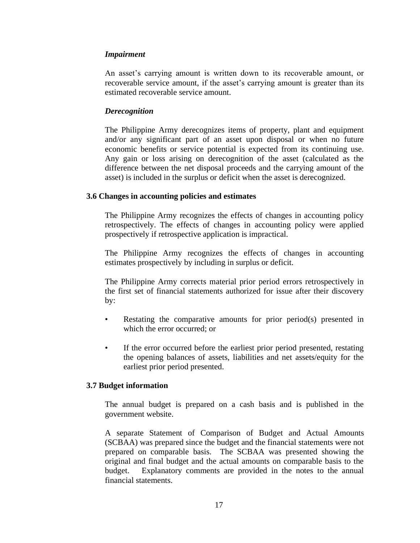#### *Impairment*

An asset's carrying amount is written down to its recoverable amount, or recoverable service amount, if the asset's carrying amount is greater than its estimated recoverable service amount.

## *Derecognition*

The Philippine Army derecognizes items of property, plant and equipment and/or any significant part of an asset upon disposal or when no future economic benefits or service potential is expected from its continuing use. Any gain or loss arising on derecognition of the asset (calculated as the difference between the net disposal proceeds and the carrying amount of the asset) is included in the surplus or deficit when the asset is derecognized.

#### **3.6 Changes in accounting policies and estimates**

The Philippine Army recognizes the effects of changes in accounting policy retrospectively. The effects of changes in accounting policy were applied prospectively if retrospective application is impractical.

The Philippine Army recognizes the effects of changes in accounting estimates prospectively by including in surplus or deficit.

The Philippine Army corrects material prior period errors retrospectively in the first set of financial statements authorized for issue after their discovery by:

- Restating the comparative amounts for prior period(s) presented in which the error occurred; or
- If the error occurred before the earliest prior period presented, restating the opening balances of assets, liabilities and net assets/equity for the earliest prior period presented.

#### **3.7 Budget information**

The annual budget is prepared on a cash basis and is published in the government website.

A separate Statement of Comparison of Budget and Actual Amounts (SCBAA) was prepared since the budget and the financial statements were not prepared on comparable basis. The SCBAA was presented showing the original and final budget and the actual amounts on comparable basis to the budget. Explanatory comments are provided in the notes to the annual financial statements.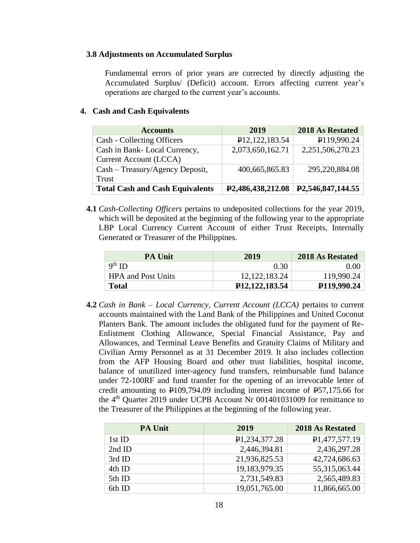#### **3.8 Adjustments on Accumulated Surplus**

Fundamental errors of prior years are corrected by directly adjusting the Accumulated Surplus/ (Deficit) account. Errors affecting current year's operations are charged to the current year's accounts.

## **4. Cash and Cash Equivalents**

| <b>Accounts</b>                        | 2019                           | 2018 As Restated               |
|----------------------------------------|--------------------------------|--------------------------------|
| Cash - Collecting Officers             | P <sub>12</sub> , 122, 183.54  | P119,990.24                    |
| Cash in Bank-Local Currency,           | 2,073,650,162.71               | 2,251,506,270.23               |
| Current Account (LCCA)                 |                                |                                |
| Cash - Treasury/Agency Deposit,        | 400,665,865.83                 | 295,220,884.08                 |
| Trust                                  |                                |                                |
| <b>Total Cash and Cash Equivalents</b> | P <sub>2</sub> ,486,438,212.08 | P <sub>2</sub> ,546,847,144.55 |

**4.1** *Cash-Collecting Officers* pertains to undeposited collections for the year 2019, which will be deposited at the beginning of the following year to the appropriate LBP Local Currency Current Account of either Trust Receipts, Internally Generated or Treasurer of the Philippines.

| <b>PA Unit</b>            | 2019                          | 2018 As Restated |
|---------------------------|-------------------------------|------------------|
| $9th$ ID                  | 0.30                          | $0.00\vert$      |
| <b>HPA</b> and Post Units | 12, 122, 183. 24              | 119,990.24       |
| <b>Total</b>              | P <sub>12</sub> , 122, 183.54 | P119,990.24      |

**4.2** *Cash in Bank – Local Currency, Current Account (LCCA)* pertains to current accounts maintained with the Land Bank of the Philippines and United Coconut Planters Bank. The amount includes the obligated fund for the payment of Re-Enlistment Clothing Allowance, Special Financial Assistance, Pay and Allowances, and Terminal Leave Benefits and Gratuity Claims of Military and Civilian Army Personnel as at 31 December 2019. It also includes collection from the AFP Housing Board and other trust liabilities, hospital income, balance of unutilized inter-agency fund transfers, reimbursable fund balance under 72-100RF and fund transfer for the opening of an irrevocable letter of credit amounting to  $\text{\textsterling}109,794.09$  including interest income of  $\text{\textsterling}57,175.66$  for the 4<sup>th</sup> Quarter 2019 under UCPB Account Nr 001401031009 for remittance to the Treasurer of the Philippines at the beginning of the following year.

| <b>PA Unit</b> | 2019                       | <b>2018 As Restated</b>    |
|----------------|----------------------------|----------------------------|
| 1st ID         | P <sub>1</sub> ,234,377.28 | P <sub>1</sub> ,477,577.19 |
| 2nd ID         | 2,446,394.81               | 2,436,297.28               |
| 3rd ID         | 21,936,825.53              | 42,724,686.63              |
| 4th ID         | 19,183,979.35              | 55,315,063.44              |
| 5th ID         | 2,731,549.83               | 2,565,489.83               |
| 6th ID         | 19,051,765.00              | 11,866,665.00              |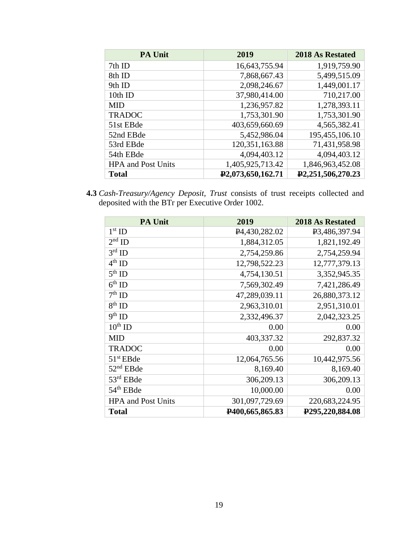| <b>PA Unit</b>            | 2019                           | 2018 As Restated               |
|---------------------------|--------------------------------|--------------------------------|
| 7th ID                    | 16,643,755.94                  | 1,919,759.90                   |
| 8th ID                    | 7,868,667.43                   | 5,499,515.09                   |
| 9th ID                    | 2,098,246.67                   | 1,449,001.17                   |
| 10th ID                   | 37,980,414.00                  | 710,217.00                     |
| <b>MID</b>                | 1,236,957.82                   | 1,278,393.11                   |
| <b>TRADOC</b>             | 1,753,301.90                   | 1,753,301.90                   |
| 51st EBde                 | 403,659,660.69                 | 4,565,382.41                   |
| 52nd EBde                 | 5,452,986.04                   | 195,455,106.10                 |
| 53rd EBde                 | 120,351,163.88                 | 71,431,958.98                  |
| 54th EBde                 | 4,094,403.12                   | 4,094,403.12                   |
| <b>HPA</b> and Post Units | 1,405,925,713.42               | 1,846,963,452.08               |
| <b>Total</b>              | P <sub>2</sub> ,073,650,162.71 | P <sub>2</sub> ,251,506,270.23 |

**4.3** *Cash-Treasury/Agency Deposit, Trust* consists of trust receipts collected and deposited with the BTr per Executive Order 1002.

| <b>PA Unit</b>            | 2019                      | 2018 As Restated                |
|---------------------------|---------------------------|---------------------------------|
| $1st$ ID                  | P <sub>4</sub> 430,282.02 | P <sub>3</sub> ,486,397.94      |
| $2nd$ ID                  | 1,884,312.05              | 1,821,192.49                    |
| $3^{\text{rd}}$ ID        | 2,754,259.86              | 2,754,259.94                    |
| $4^{\text{th}}$ ID        | 12,798,522.23             | 12,777,379.13                   |
| $5^{th}$ ID               | 4,754,130.51              | 3,352,945.35                    |
| $6th$ ID                  | 7,569,302.49              | 7,421,286.49                    |
| $7th$ ID                  | 47,289,039.11             | 26,880,373.12                   |
| $8th$ ID                  | 2,963,310.01              | 2,951,310.01                    |
| $9th$ ID                  | 2,332,496.37              | 2,042,323.25                    |
| $10^{th}$ ID              | 0.00                      | 0.00                            |
| <b>MID</b>                | 403,337.32                | 292,837.32                      |
| <b>TRADOC</b>             | 0.00                      | 0.00                            |
| $51st$ EBde               | 12,064,765.56             | 10,442,975.56                   |
| $52nd$ EBde               | 8,169.40                  | 8,169.40                        |
| 53rd EBde                 | 306,209.13                | 306,209.13                      |
| 54 <sup>th</sup> EBde     | 10,000.00                 | 0.00                            |
| <b>HPA and Post Units</b> | 301,097,729.69            | 220,683,224.95                  |
| <b>Total</b>              | P400,665,865.83           | P <sub>295</sub> , 220, 884. 08 |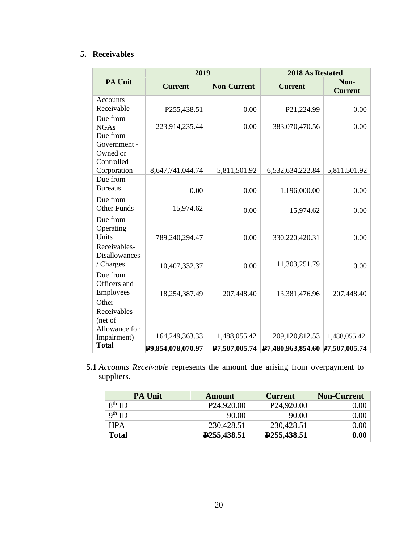# **5. Receivables**

|                         | 2019                      |                    | 2018 As Restated                |                        |
|-------------------------|---------------------------|--------------------|---------------------------------|------------------------|
| <b>PA Unit</b>          | <b>Current</b>            | <b>Non-Current</b> | <b>Current</b>                  | Non-<br><b>Current</b> |
| Accounts                |                           |                    |                                 |                        |
| Receivable              | P <sub>255</sub> , 438.51 | 0.00               | P <sub>21</sub> ,224.99         | 0.00                   |
| Due from                |                           |                    |                                 |                        |
| <b>NGAs</b>             | 223,914,235.44            | 0.00               | 383,070,470.56                  | 0.00                   |
| Due from                |                           |                    |                                 |                        |
| Government -            |                           |                    |                                 |                        |
| Owned or                |                           |                    |                                 |                        |
| Controlled              |                           |                    |                                 |                        |
| Corporation<br>Due from | 8,647,741,044.74          | 5,811,501.92       | 6,532,634,222.84                | 5,811,501.92           |
| <b>Bureaus</b>          |                           |                    |                                 |                        |
|                         | 0.00                      | 0.00               | 1,196,000.00                    | 0.00                   |
| Due from                |                           |                    |                                 |                        |
| <b>Other Funds</b>      | 15,974.62                 | 0.00               | 15,974.62                       | 0.00                   |
| Due from                |                           |                    |                                 |                        |
| Operating               |                           |                    |                                 |                        |
| Units                   | 789,240,294.47            | 0.00               | 330,220,420.31                  | 0.00                   |
| Receivables-            |                           |                    |                                 |                        |
| <b>Disallowances</b>    |                           |                    |                                 |                        |
| / Charges               | 10,407,332.37             | 0.00               | 11,303,251.79                   | 0.00                   |
| Due from                |                           |                    |                                 |                        |
| Officers and            |                           |                    |                                 |                        |
| Employees               | 18,254,387.49             | 207,448.40         | 13,381,476.96                   | 207,448.40             |
| Other                   |                           |                    |                                 |                        |
| Receivables             |                           |                    |                                 |                        |
| (net of                 |                           |                    |                                 |                        |
| Allowance for           |                           |                    |                                 |                        |
| Impairment)             | 164,249,363.33            | 1,488,055.42       | 209,120,812.53                  | 1,488,055.42           |
| <b>Total</b>            | P9,854,078,070.97         | P7,507,005.74      | P7,480,963,854.60 P7,507,005.74 |                        |

 $\frac{1}{2}$ ,  $\frac{1}{2}$ **5.1** *Accounts Receivable* represents the amount due arising from overpayment to suppliers.

| <b>PA Unit</b> | <b>Amount</b>            | <b>Current</b>           | <b>Non-Current</b> |
|----------------|--------------------------|--------------------------|--------------------|
| $8^{th}$ ID    | P <sub>24,920.00</sub>   | P <sub>24,920.00</sub>   | $0.00\,$           |
| $9th$ ID       | 90.00                    | 90.00                    | 0.00               |
| <b>HPA</b>     | 230,428.51               | 230,428.51               | 0.00               |
| <b>Total</b>   | P <sub>255</sub> ,438.51 | P <sub>255</sub> ,438.51 | 0.00               |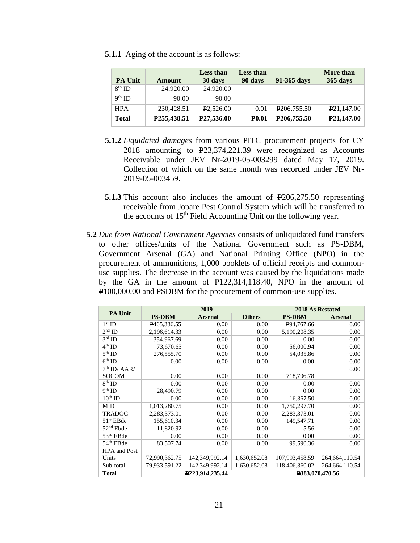**5.1.1** Aging of the account is as follows:

|                |                           | <b>Less than</b>        | <b>Less than</b> |                           | More than               |
|----------------|---------------------------|-------------------------|------------------|---------------------------|-------------------------|
| <b>PA Unit</b> | Amount                    | 30 days                 | 90 days          | 91-365 days               | 365 days                |
| $8th$ ID       | 24,920.00                 | 24,920.00               |                  |                           |                         |
| $9th$ ID       | 90.00                     | 90.00                   |                  |                           |                         |
| <b>HPA</b>     | 230,428.51                | P <sub>2</sub> ,526.00  | 0.01             | P <sub>206</sub> , 755.50 | P <sub>21</sub> ,147.00 |
| <b>Total</b>   | P <sub>255</sub> , 438.51 | P <sub>27</sub> ,536.00 | <b>P0.01</b>     | P <sub>206</sub> ,755.50  | P <sub>21</sub> ,147.00 |

- **5.1.2** *Liquidated damages* from various PITC procurement projects for CY 2018 amounting to P23,374,221.39 were recognized as Accounts Receivable under JEV Nr-2019-05-003299 dated May 17, 2019. Collection of which on the same month was recorded under JEV Nr-2019-05-003459.
- **5.1.3** This account also includes the amount of  $\text{\textsterling}206,275.50$  representing receivable from Jopare Pest Control System which will be transferred to the accounts of  $15<sup>th</sup>$  Field Accounting Unit on the following year.
- **5.2** *Due from National Government Agencies* consists of unliquidated fund transfers to other offices/units of the National Government such as PS-DBM, Government Arsenal (GA) and National Printing Office (NPO) in the procurement of ammunitions, 1,000 booklets of official receipts and commonuse supplies. The decrease in the account was caused by the liquidations made by the GA in the amount of P122,314,118.40, NPO in the amount of P100,000.00 and PSDBM for the procurement of common-use supplies.

| PA Unit               | 2019            |                |                 | 2018 As Restated |                |
|-----------------------|-----------------|----------------|-----------------|------------------|----------------|
|                       | <b>PS-DBM</b>   | <b>Arsenal</b> | <b>Others</b>   | <b>PS-DBM</b>    | <b>Arsenal</b> |
| $1st$ ID              | P465,336.55     | 0.00           | 0.00            | P94,767.66       | 0.00           |
| $2nd$ ID              | 2,196,614.33    | 0.00           | 0.00            | 5,190,208.35     | 0.00           |
| $3^{\text{rd}}$ ID    | 354,967.69      | 0.00           | 0.00            | 0.00             | 0.00           |
| $4^{\rm th}$ ID       | 73,670.65       | 0.00           | 0.00            | 56,000.94        | 0.00           |
| $5^{\rm th}$ ID       | 276,555.70      | 0.00           | 0.00            | 54,035.86        | 0.00           |
| $6th$ ID              | 0.00            | 0.00           | 0.00            | 0.00             | 0.00           |
| $7th$ ID/AAR/         |                 |                |                 |                  | 0.00           |
| <b>SOCOM</b>          | 0.00            | 0.00           | 0.00            | 718,706.78       |                |
| $8^{\rm th}$ ID       | 0.00            | 0.00           | 0.00            | 0.00             | 0.00           |
| $9th$ ID              | 28,490.79       | 0.00           | 0.00            | 0.00             | 0.00           |
| $10^{th}$ ID          | 0.00            | 0.00           | 0.00            | 16,367.50        | 0.00           |
| <b>MID</b>            | 1,013,280.75    | 0.00           | 0.00            | 1,750,297.70     | 0.00           |
| <b>TRADOC</b>         | 2,283,373.01    | 0.00           | 0.00            | 2,283,373.01     | 0.00           |
| 51 <sup>st</sup> EBde | 155,610.34      | 0.00           | 0.00            | 149,547.71       | 0.00           |
| 52 <sup>nd</sup> Ebde | 11,820.92       | 0.00           | 0.00            | 5.56             | 0.00           |
| $53rd$ EBde           | 0.00            | 0.00           | 0.00            | 0.00             | 0.00           |
| 54 <sup>th</sup> EBde | 83,507.74       | 0.00           | 0.00            | 99,590.36        | 0.00           |
| <b>HPA</b> and Post   |                 |                |                 |                  |                |
| Units                 | 72,990,362.75   | 142,349,992.14 | 1,630,652.08    | 107,993,458.59   | 264,664,110.54 |
| Sub-total             | 79,933,591.22   | 142,349,992.14 | 1,630,652.08    | 118,406,360.02   | 264,664,110.54 |
| <b>Total</b>          | P223,914,235.44 |                | P383,070,470.56 |                  |                |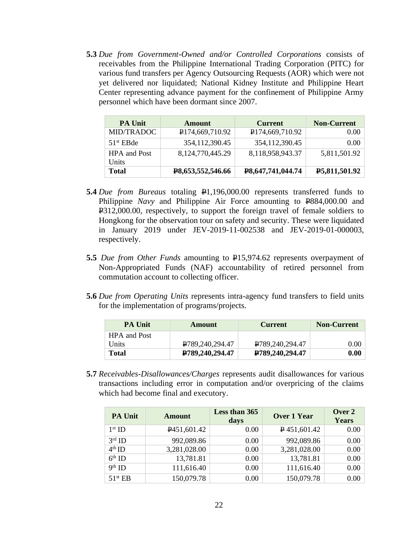**5.3** *Due from Government-Owned and/or Controlled Corporations* consists of receivables from the Philippine International Trading Corporation (PITC) for various fund transfers per Agency Outsourcing Requests (AOR) which were not yet delivered nor liquidated; National Kidney Institute and Philippine Heart Center representing advance payment for the confinement of Philippine Army personnel which have been dormant since 2007.

| <b>PA Unit</b>               | <b>Amount</b>                | <b>Current</b>    | <b>Non-Current</b> |
|------------------------------|------------------------------|-------------------|--------------------|
| MID/TRADOC                   | P <sub>174,669</sub> ,710.92 | P174,669,710.92   | 0.00 <sub>l</sub>  |
| $51st$ EBde                  | 354, 112, 390. 45            | 354,112,390.45    | 0.00 <sub>1</sub>  |
| <b>HPA</b> and Post<br>Units | 8, 124, 770, 445. 29         | 8,118,958,943.37  | 5,811,501.92       |
| <b>Total</b>                 | <b>P8,653,552,546.66</b>     | P8,647,741,044.74 | P5,811,501.92      |

- **5.4** *Due from Bureaus* totaling  $\frac{1}{2}$ 1,196,000.00 represents transferred funds to Philippine *Navy* and Philippine Air Force amounting to P884,000.00 and P312,000.00, respectively, to support the foreign travel of female soldiers to Hongkong for the observation tour on safety and security. These were liquidated in January 2019 under JEV-2019-11-002538 and JEV-2019-01-000003, respectively.
- **5.5** *Due from Other Funds* amounting to P15,974.62 represents overpayment of Non-Appropriated Funds (NAF) accountability of retired personnel from commutation account to collecting officer.
- **5.6** *Due from Operating Units* represents intra-agency fund transfers to field units for the implementation of programs/projects.

| <b>PA Unit</b>      | Amount                          | <b>Current</b>  | <b>Non-Current</b> |
|---------------------|---------------------------------|-----------------|--------------------|
| <b>HPA</b> and Post |                                 |                 |                    |
| Units               | P <sub>789</sub> , 240, 294. 47 | P789,240,294.47 | 0.00               |
| <b>Total</b>        | P789,240,294.47                 | P789,240,294.47 | 0.00               |

**5.7** *Receivables-Disallowances/Charges* represents audit disallowances for various transactions including error in computation and/or overpricing of the claims which had become final and executory.

| <b>PA Unit</b>      | <b>Amount</b>            | Less than 365<br>days | <b>Over 1 Year</b> | Over 2<br>Years |
|---------------------|--------------------------|-----------------------|--------------------|-----------------|
| $1st$ ID            | P <sub>451</sub> ,601.42 | 0.00                  | $P$ 451,601.42     | 0.00            |
| $3rd$ ID            | 992,089.86               | 0.00                  | 992,089.86         | 0.00            |
| $4th$ ID            | 3,281,028.00             | 0.00                  | 3,281,028.00       | 0.00            |
| $6th$ ID            | 13,781.81                | 0.00                  | 13,781.81          | 0.00            |
| $9th$ ID            | 111,616.40               | 0.00                  | 111,616.40         | 0.00            |
| 51 <sup>st</sup> EB | 150,079.78               | 0.00                  | 150,079.78         | 0.00            |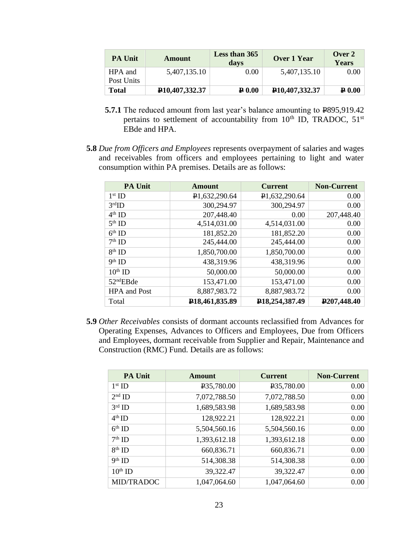| <b>PA Unit</b>        | Amount                        | Less than 365<br>days | Over 1 Year                   | Over $2$<br><b>Years</b> |
|-----------------------|-------------------------------|-----------------------|-------------------------------|--------------------------|
| HPA and<br>Post Units | 5,407,135.10                  | $0.00\,$              | 5,407,135.10                  | $0.00\,$                 |
| <b>Total</b>          | P <sub>10</sub> , 407, 332.37 | $\mathbf{P}$ 0.00     | P <sub>10</sub> , 407, 332.37 | $\mathbf{P}$ 0.00        |

- **5.7.1** The reduced amount from last year's balance amounting to  $\text{P895,919.42}$ pertains to settlement of accountability from  $10^{th}$  ID, TRADOC,  $51^{st}$ EBde and HPA.
- **5.8** *Due from Officers and Employees* represents overpayment of salaries and wages and receivables from officers and employees pertaining to light and water consumption within PA premises. Details are as follows:

| <b>PA Unit</b>        | Amount                      | <b>Current</b>                 | <b>Non-Current</b>       |
|-----------------------|-----------------------------|--------------------------------|--------------------------|
| $1st$ ID              | P1,632,290.64               | P1,632,290.64                  | 0.00                     |
| 3 <sup>rd</sup> ID    | 300,294.97                  | 300,294.97                     | 0.00                     |
| $4th$ ID              | 207,448.40                  | 0.00                           | 207,448.40               |
| $5th$ ID              | 4,514,031.00                | 4,514,031.00                   | 0.00                     |
| $6th$ ID              | 181,852.20                  | 181,852.20                     | 0.00                     |
| $7th$ ID              | 245,444.00                  | 245,444.00                     | 0.00                     |
| $8th$ ID              | 1,850,700.00                | 1,850,700.00                   | 0.00                     |
| $9th$ ID              | 438,319.96                  | 438,319.96                     | 0.00                     |
| $10th$ ID             | 50,000.00                   | 50,000.00                      | 0.00                     |
| 52 <sup>nd</sup> EBde | 153,471.00                  | 153,471.00                     | 0.00                     |
| <b>HPA</b> and Post   | 8,887,983.72                | 8,887,983.72                   | 0.00                     |
| Total                 | P <sub>18</sub> ,461,835.89 | P <sub>18</sub> , 254, 387, 49 | P <sub>207</sub> ,448.40 |

**5.9** *Other Receivables* consists of dormant accounts reclassified from Advances for Operating Expenses, Advances to Officers and Employees, Due from Officers and Employees, dormant receivable from Supplier and Repair, Maintenance and Construction (RMC) Fund. Details are as follows:

| <b>PA Unit</b>    | Amount                  | <b>Current</b>          | <b>Non-Current</b> |
|-------------------|-------------------------|-------------------------|--------------------|
| $1st$ ID          | P <sub>35</sub> ,780.00 | P <sub>35</sub> ,780.00 | 0.00               |
| $2nd$ ID          | 7,072,788.50            | 7,072,788.50            | 0.00               |
| $3rd$ ID          | 1,689,583.98            | 1,689,583.98            | 0.00               |
| $4th$ ID          | 128,922.21              | 128,922.21              | 0.00               |
| $6th$ ID          | 5,504,560.16            | 5,504,560.16            | 0.00               |
| $7th$ ID          | 1,393,612.18            | 1,393,612.18            | 0.00               |
| $8th$ ID          | 660,836.71              | 660,836.71              | 0.00               |
| $9th$ ID          | 514,308.38              | 514,308.38              | 0.00               |
| $10^{th}$ ID      | 39,322.47               | 39,322.47               | 0.00               |
| <b>MID/TRADOC</b> | 1,047,064.60            | 1,047,064.60            | 0.00               |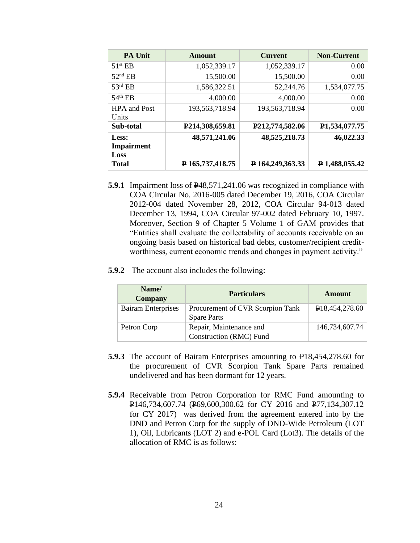| <b>PA Unit</b>        | Amount           | <b>Current</b>   | <b>Non-Current</b>         |
|-----------------------|------------------|------------------|----------------------------|
| $51$ <sup>st</sup> EB | 1,052,339.17     | 1,052,339.17     | 0.00                       |
| $52nd$ EB             | 15,500.00        | 15,500.00        | 0.00                       |
| $53rd$ EB             | 1,586,322.51     | 52,244.76        | 1,534,077.75               |
| $54th$ EB             | 4,000.00         | 4,000.00         | 0.00                       |
| <b>HPA</b> and Post   | 193,563,718.94   | 193,563,718.94   | 0.00                       |
| Units                 |                  |                  |                            |
| Sub-total             | P214,308,659.81  | P212,774,582.06  | P <sub>1</sub> ,534,077.75 |
| Less:                 | 48,571,241.06    | 48,525,218.73    | 46,022.33                  |
| <b>Impairment</b>     |                  |                  |                            |
| Loss                  |                  |                  |                            |
| <b>Total</b>          | P 165,737,418.75 | P 164,249,363.33 | P 1,488,055.42             |

- **5.9.1** Impairment loss of  $\frac{1248}{571}$ , 241.06 was recognized in compliance with COA Circular No. 2016-005 dated December 19, 2016, COA Circular 2012-004 dated November 28, 2012, COA Circular 94-013 dated December 13, 1994, COA Circular 97-002 dated February 10, 1997. Moreover, Section 9 of Chapter 5 Volume 1 of GAM provides that "Entities shall evaluate the collectability of accounts receivable on an ongoing basis based on historical bad debts, customer/recipient creditworthiness, current economic trends and changes in payment activity."
- **5.9.2** The account also includes the following:

| Name/<br><b>Company</b>   | <b>Particulars</b>               | <b>Amount</b>               |
|---------------------------|----------------------------------|-----------------------------|
| <b>Bairam Enterprises</b> | Procurement of CVR Scorpion Tank | P <sub>18</sub> ,454,278.60 |
|                           | <b>Spare Parts</b>               |                             |
| Petron Corp               | Repair, Maintenance and          | 146,734,607.74              |
|                           | Construction (RMC) Fund          |                             |

- **5.9.3** The account of Bairam Enterprises amounting to P18,454,278.60 for the procurement of CVR Scorpion Tank Spare Parts remained undelivered and has been dormant for 12 years.
- **5.9.4** Receivable from Petron Corporation for RMC Fund amounting to P146,734,607.74 (P69,600,300.62 for CY 2016 and P77,134,307.12 for CY 2017) was derived from the agreement entered into by the DND and Petron Corp for the supply of DND-Wide Petroleum (LOT 1), Oil, Lubricants (LOT 2) and e-POL Card (Lot3). The details of the allocation of RMC is as follows: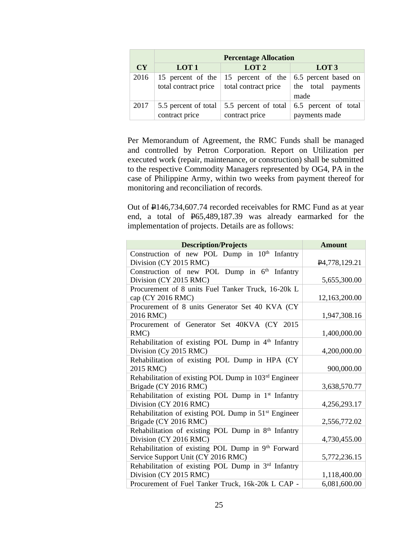|      | <b>Percentage Allocation</b>                      |                                           |                                                    |  |  |
|------|---------------------------------------------------|-------------------------------------------|----------------------------------------------------|--|--|
| CY   | LOT <sub>1</sub>                                  | LOT <sub>2</sub>                          | LOT <sub>3</sub>                                   |  |  |
| 2016 | 15 percent of the $\vert$<br>total contract price | 15 percent of the<br>total contract price | 6.5 percent based on<br>the total payments<br>made |  |  |
| 2017 | 5.5 percent of total $\vert$<br>contract price    | 5.5 percent of total<br>contract price    | 6.5 percent of total<br>payments made              |  |  |

Per Memorandum of Agreement, the RMC Funds shall be managed and controlled by Petron Corporation. Report on Utilization per executed work (repair, maintenance, or construction) shall be submitted to the respective Commodity Managers represented by OG4, PA in the case of Philippine Army, within two weeks from payment thereof for monitoring and reconciliation of records.

Out of P146,734,607.74 recorded receivables for RMC Fund as at year end, a total of P65,489,187.39 was already earmarked for the implementation of projects. Details are as follows:

| <b>Description/Projects</b>                                      | <b>Amount</b>              |
|------------------------------------------------------------------|----------------------------|
| Construction of new POL Dump in 10 <sup>th</sup> Infantry        |                            |
| Division (CY 2015 RMC)                                           | P <sub>4</sub> ,778,129.21 |
| Construction of new POL Dump in 6 <sup>th</sup> Infantry         |                            |
| Division (CY 2015 RMC)                                           | 5,655,300.00               |
| Procurement of 8 units Fuel Tanker Truck, 16-20k L               |                            |
| cap (CY 2016 RMC)                                                | 12,163,200.00              |
| Procurement of 8 units Generator Set 40 KVA (CY                  |                            |
| 2016 RMC)                                                        | 1,947,308.16               |
| Procurement of Generator Set 40KVA (CY 2015                      |                            |
| RMC)                                                             | 1,400,000.00               |
| Rehabilitation of existing POL Dump in 4 <sup>th</sup> Infantry  |                            |
| Division (Cy 2015 RMC)                                           | 4,200,000.00               |
| Rehabilitation of existing POL Dump in HPA (CY                   |                            |
| 2015 RMC)                                                        | 900,000.00                 |
| Rehabilitation of existing POL Dump in 103rd Engineer            |                            |
| Brigade (CY 2016 RMC)                                            | 3,638,570.77               |
| Rehabilitation of existing POL Dump in 1 <sup>st</sup> Infantry  |                            |
| Division (CY 2016 RMC)                                           | 4,256,293.17               |
| Rehabilitation of existing POL Dump in 51 <sup>st</sup> Engineer |                            |
| Brigade (CY 2016 RMC)                                            | 2,556,772.02               |
| Rehabilitation of existing POL Dump in 8 <sup>th</sup> Infantry  |                            |
| Division (CY 2016 RMC)                                           | 4,730,455.00               |
| Rehabilitation of existing POL Dump in 9th Forward               |                            |
| Service Support Unit (CY 2016 RMC)                               | 5,772,236.15               |
| Rehabilitation of existing POL Dump in 3rd Infantry              |                            |
| Division (CY 2015 RMC)                                           | 1,118,400.00               |
| Procurement of Fuel Tanker Truck, 16k-20k L CAP -                | 6,081,600.00               |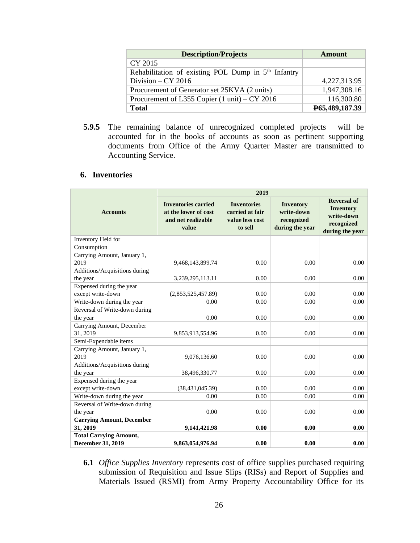| <b>Description/Projects</b>                             | Amount         |
|---------------------------------------------------------|----------------|
| CY 2015                                                 |                |
| Rehabilitation of existing POL Dump in $5th$ Infantry   |                |
| Division $- CY$ 2016                                    | 4,227,313.95   |
| Procurement of Generator set 25KVA (2 units)            | 1,947,308.16   |
| Procurement of L355 Copier $(1 \text{ unit})$ – CY 2016 | 116,300.80     |
| <b>Total</b>                                            | P65,489,187.39 |

**5.9.5** The remaining balance of unrecognized completed projects will be accounted for in the books of accounts as soon as pertinent supporting documents from Office of the Army Quarter Master are transmitted to Accounting Service.

# **6. Inventories**

|                                                           | 2019                                                                              |                                                                     |                                                          |                                                                                       |  |
|-----------------------------------------------------------|-----------------------------------------------------------------------------------|---------------------------------------------------------------------|----------------------------------------------------------|---------------------------------------------------------------------------------------|--|
| <b>Accounts</b>                                           | <b>Inventories carried</b><br>at the lower of cost<br>and net realizable<br>value | <b>Inventories</b><br>carried at fair<br>value less cost<br>to sell | Inventory<br>write-down<br>recognized<br>during the year | <b>Reversal of</b><br><b>Inventory</b><br>write-down<br>recognized<br>during the year |  |
| Inventory Held for                                        |                                                                                   |                                                                     |                                                          |                                                                                       |  |
| Consumption                                               |                                                                                   |                                                                     |                                                          |                                                                                       |  |
| Carrying Amount, January 1,                               |                                                                                   |                                                                     |                                                          |                                                                                       |  |
| 2019                                                      | 9,468,143,899.74                                                                  | 0.00                                                                | 0.00                                                     | 0.00                                                                                  |  |
| Additions/Acquisitions during                             |                                                                                   |                                                                     |                                                          |                                                                                       |  |
| the year                                                  | 3,239,295,113.11                                                                  | 0.00                                                                | 0.00                                                     | 0.00                                                                                  |  |
| Expensed during the year                                  |                                                                                   |                                                                     |                                                          |                                                                                       |  |
| except write-down                                         | (2,853,525,457.89)                                                                | 0.00                                                                | 0.00                                                     | 0.00                                                                                  |  |
| Write-down during the year                                | 0.00                                                                              | 0.00                                                                | 0.00                                                     | 0.00                                                                                  |  |
| Reversal of Write-down during                             |                                                                                   |                                                                     |                                                          |                                                                                       |  |
| the year                                                  | 0.00                                                                              | 0.00                                                                | 0.00                                                     | 0.00                                                                                  |  |
| Carrying Amount, December                                 |                                                                                   |                                                                     |                                                          |                                                                                       |  |
| 31, 2019                                                  | 9,853,913,554.96                                                                  | 0.00                                                                | 0.00                                                     | 0.00                                                                                  |  |
| Semi-Expendable items                                     |                                                                                   |                                                                     |                                                          |                                                                                       |  |
| Carrying Amount, January 1,                               |                                                                                   |                                                                     |                                                          |                                                                                       |  |
| 2019                                                      | 9,076,136.60                                                                      | 0.00                                                                | 0.00                                                     | $0.00\,$                                                                              |  |
| Additions/Acquisitions during                             |                                                                                   |                                                                     |                                                          |                                                                                       |  |
| the year                                                  | 38,496,330.77                                                                     | 0.00                                                                | 0.00                                                     | 0.00                                                                                  |  |
| Expensed during the year                                  |                                                                                   |                                                                     |                                                          |                                                                                       |  |
| except write-down                                         | (38, 431, 045.39)                                                                 | 0.00                                                                | 0.00                                                     | 0.00                                                                                  |  |
| Write-down during the year                                | 0.00                                                                              | 0.00                                                                | 0.00                                                     | 0.00                                                                                  |  |
| Reversal of Write-down during                             |                                                                                   |                                                                     |                                                          |                                                                                       |  |
| the year                                                  | 0.00                                                                              | 0.00                                                                | 0.00                                                     | $0.00\,$                                                                              |  |
| <b>Carrying Amount, December</b>                          |                                                                                   |                                                                     |                                                          |                                                                                       |  |
| 31, 2019                                                  | 9,141,421.98                                                                      | 0.00                                                                | 0.00                                                     | 0.00                                                                                  |  |
| <b>Total Carrying Amount,</b><br><b>December 31, 2019</b> | 9,863,054,976.94                                                                  | 0.00                                                                | 0.00                                                     | 0.00                                                                                  |  |

**6.1** *Office Supplies Inventory* represents cost of office supplies purchased requiring submission of Requisition and Issue Slips (RISs) and Report of Supplies and Materials Issued (RSMI) from Army Property Accountability Office for its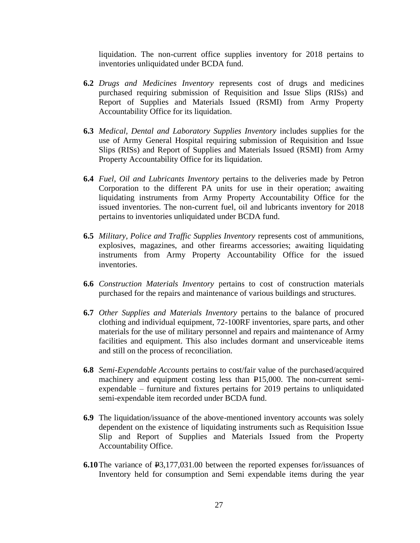liquidation. The non-current office supplies inventory for 2018 pertains to inventories unliquidated under BCDA fund.

- **6.2** *Drugs and Medicines Inventory* represents cost of drugs and medicines purchased requiring submission of Requisition and Issue Slips (RISs) and Report of Supplies and Materials Issued (RSMI) from Army Property Accountability Office for its liquidation.
- **6.3** *Medical, Dental and Laboratory Supplies Inventory* includes supplies for the use of Army General Hospital requiring submission of Requisition and Issue Slips (RISs) and Report of Supplies and Materials Issued (RSMI) from Army Property Accountability Office for its liquidation.
- **6.4** *Fuel, Oil and Lubricants Inventory* pertains to the deliveries made by Petron Corporation to the different PA units for use in their operation; awaiting liquidating instruments from Army Property Accountability Office for the issued inventories. The non-current fuel, oil and lubricants inventory for 2018 pertains to inventories unliquidated under BCDA fund.
- **6.5** *Military, Police and Traffic Supplies Inventory* represents cost of ammunitions, explosives, magazines, and other firearms accessories; awaiting liquidating instruments from Army Property Accountability Office for the issued inventories.
- **6.6** *Construction Materials Inventory* pertains to cost of construction materials purchased for the repairs and maintenance of various buildings and structures.
- **6.7** *Other Supplies and Materials Inventory* pertains to the balance of procured clothing and individual equipment, 72-100RF inventories, spare parts, and other materials for the use of military personnel and repairs and maintenance of Army facilities and equipment. This also includes dormant and unserviceable items and still on the process of reconciliation.
- **6.8** *Semi-Expendable Accounts* pertains to cost/fair value of the purchased/acquired machinery and equipment costing less than P15,000. The non-current semiexpendable – furniture and fixtures pertains for 2019 pertains to unliquidated semi-expendable item recorded under BCDA fund.
- **6.9** The liquidation/issuance of the above-mentioned inventory accounts was solely dependent on the existence of liquidating instruments such as Requisition Issue Slip and Report of Supplies and Materials Issued from the Property Accountability Office.
- **6.10**The variance of P3,177,031.00 between the reported expenses for/issuances of Inventory held for consumption and Semi expendable items during the year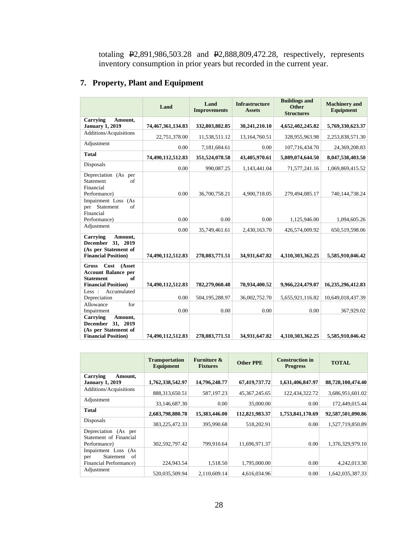totaling P2,891,986,503.28 and P2,888,809,472.28, respectively, represents inventory consumption in prior years but recorded in the current year.

# **7. Property, Plant and Equipment**

|                                                                                                                       | Land              | Land<br><b>Improvements</b> | <b>Infrastructure</b><br><b>Assets</b> | <b>Buildings and</b><br><b>Other</b><br><b>Structures</b> | <b>Machinery</b> and<br><b>Equipment</b> |
|-----------------------------------------------------------------------------------------------------------------------|-------------------|-----------------------------|----------------------------------------|-----------------------------------------------------------|------------------------------------------|
| <b>Carrying</b><br>Amount,<br><b>January 1, 2019</b>                                                                  | 74,467,361,134.83 | 332,803,882.85              | 30,241,210.10                          | 4,652,402,245.82                                          | 5,769,330,623.37                         |
| Additions/Acquisitions                                                                                                | 22,751,378.00     | 11,538,511.12               | 13,164,760.51                          | 328,955,963.98                                            | 2,253,838,571.30                         |
| Adjustment                                                                                                            | 0.00              | 7,181,684.61                | 0.00                                   | 107,716,434.70                                            | 24,369,208.83                            |
| <b>Total</b>                                                                                                          | 74,490,112,512.83 | 351,524,078.58              | 43,405,970.61                          | 5,089,074,644.50                                          | 8,047,538,403.50                         |
| Disposals                                                                                                             | 0.00              | 990,087.25                  | 1,143,441.04                           | 71,577,241.16                                             | 1,069,869,415.52                         |
| Depreciation (As per<br>$\alpha$ f<br><b>Statement</b><br>Financial<br>Performance)                                   | 0.00              | 36,700,758.21               | 4,900,718.05                           | 279,494,085.17                                            | 740,144,738.24                           |
| Impairment Loss (As<br>per Statement<br>of<br>Financial<br>Performance)                                               | 0.00              | 0.00                        | 0.00                                   | 1,125,946.00                                              | 1,094,605.26                             |
| Adjustment                                                                                                            | 0.00              | 35,749,461.61               | 2,430,163.70                           | 426,574,009.92                                            | 650,519,598.06                           |
| Carrying<br>Amount,<br>December 31, 2019<br>(As per Statement of<br><b>Financial Position</b> )                       | 74,490,112,512.83 | 278,083,771.51              | 34,931,647.82                          | 4,310,303,362.25                                          | 5,585,910,046.42                         |
| Cost<br>(Asset<br><b>Gross</b><br><b>Account Balance per</b><br>of<br><b>Statement</b><br><b>Financial Position</b> ) | 74,490,112,512.83 | 782,279,060.48              | 70,934,400.52                          | 9,966,224,479.07                                          | 16,235,296,412.83                        |
| Less:<br>Accumulated<br>Depreciation                                                                                  | 0.00              | 504,195,288.97              | 36,002,752.70                          | 5,655,921,116.82                                          | 10,649,018,437.39                        |
| for<br>Allowance<br>Impairment                                                                                        | 0.00              | 0.00                        | 0.00                                   | 0.00                                                      | 367,929.02                               |
| <b>Carrying</b><br>Amount,<br>December 31, 2019<br>(As per Statement of<br><b>Financial Position</b> )                | 74,490,112,512.83 | 278,083,771.51              | 34,931,647.82                          | 4,310,303,362.25                                          | 5,585,910,046.42                         |

|                                                                         | <b>Transportation</b><br>Equipment | <b>Furniture &amp;</b><br><b>Fixtures</b> | <b>Other PPE</b> | <b>Construction in</b><br><b>Progress</b> | <b>TOTAL</b>      |
|-------------------------------------------------------------------------|------------------------------------|-------------------------------------------|------------------|-------------------------------------------|-------------------|
| Carrying<br>Amount,<br><b>January 1, 2019</b>                           | 1,762,338,542.97                   | 14,796,248.77                             | 67,419,737.72    | 1,631,406,847.97                          | 88,728,100,474.40 |
| Additions/Acquisitions                                                  | 888,313,650.51                     | 587,197.23                                | 45, 367, 245. 65 | 122.434.322.72                            | 3,686,951,601.02  |
| Adjustment                                                              | 33.146.687.30                      | 0.00                                      | 35,000.00        | 0.00                                      | 172,449,015.44    |
| Total                                                                   | 2,683,798,880.78                   | 15,383,446.00                             | 112,821,983.37   | 1,753,841,170.69                          | 92,587,501,090.86 |
| Disposals                                                               | 383, 225, 472. 33                  | 395,990.68                                | 518,202.91       | 0.00                                      | 1,527,719,850.89  |
| Depreciation (As per<br>Statement of Financial<br>Performance)          | 302,592,797.42                     | 799.910.64                                | 11.696.971.37    | 0.00                                      | 1,376,329,979.10  |
| Impairment Loss (As<br>Statement<br>of<br>per<br>Financial Performance) | 224,943.54                         | 1,518.50                                  | 1,795,000.00     | 0.00                                      | 4,242,013.30      |
| Adjustment                                                              | 520.035.509.94                     | 2.110.609.14                              | 4.616.034.96     | 0.00                                      | 1.642.035.387.33  |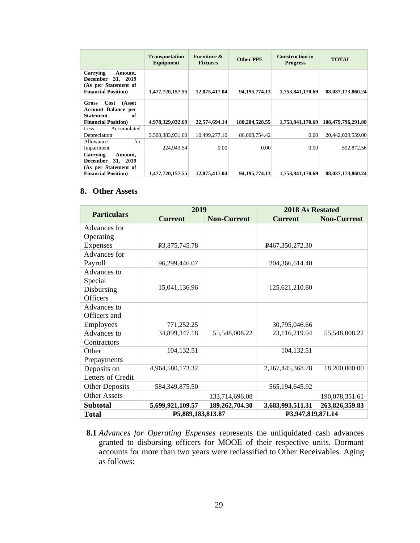|                                                                                                         | <b>Transportation</b><br>Equipment | <b>Furniture &amp;</b><br><b>Fixtures</b> | <b>Other PPE</b> | <b>Construction in</b><br><b>Progress</b> | <b>TOTAL</b>       |
|---------------------------------------------------------------------------------------------------------|------------------------------------|-------------------------------------------|------------------|-------------------------------------------|--------------------|
| Carrying<br>Amount,<br>December 31, 2019<br>(As per Statement of<br><b>Financial Position</b> )         | 1,477,720,157.55                   | 12,075,417.04                             | 94, 195, 774. 13 | 1,753,841,170.69                          | 88,037,173,860.24  |
| Cost<br>(Asset<br>Gross<br><b>Account Balance per</b><br>of<br>Statement<br><b>Financial Position</b> ) | 4,978,329,032.69                   | 22,574,694.14                             | 180,204,528.55   | 1.753.841.170.69                          | 108,479,796,291.80 |
| Accumulated<br>Less:<br>Depreciation                                                                    | 3,500,383,931.60                   | 10.499.277.10                             | 86,008,754.42    | 0.00                                      | 20,442,029,559.00  |
| for<br>Allowance<br>Impairment                                                                          | 224,943.54                         | 0.00                                      | 0.00             | 0.00                                      | 592,872.56         |
| Carrying<br>Amount,<br>December 31, 2019<br>(As per Statement of<br><b>Financial Position</b> )         | 1,477,720,157.55                   | 12,075,417,04                             | 94.195.774.13    | 1,753,841,170.69                          | 88,037,173,860.24  |

### **8. Other Assets**

|                       | 2019              |                    | <b>2018 As Restated</b> |                    |
|-----------------------|-------------------|--------------------|-------------------------|--------------------|
| <b>Particulars</b>    | <b>Current</b>    | <b>Non-Current</b> | <b>Current</b>          | <b>Non-Current</b> |
| Advances for          |                   |                    |                         |                    |
| Operating             |                   |                    |                         |                    |
| Expenses              | P3,875,745.78     |                    | P467,350,272.30         |                    |
| Advances for          |                   |                    |                         |                    |
| Payroll               | 96,299,446.07     |                    | 204,366,614.40          |                    |
| Advances to           |                   |                    |                         |                    |
| Special               |                   |                    |                         |                    |
| Disbursing            | 15,041,136.96     |                    | 125,621,210.80          |                    |
| <b>Officers</b>       |                   |                    |                         |                    |
| Advances to           |                   |                    |                         |                    |
| Officers and          |                   |                    |                         |                    |
| Employees             | 771,252.25        |                    | 30,795,046.66           |                    |
| Advances to           | 34,899,347.18     | 55,548,008.22      | 23,116,219.94           | 55,548,008.22      |
| Contractors           |                   |                    |                         |                    |
| Other                 | 104,132.51        |                    | 104,132.51              |                    |
| Prepayments           |                   |                    |                         |                    |
| Deposits on           | 4,964,580,173.32  |                    | 2,267,445,368.78        | 18,200,000.00      |
| Letters of Credit     |                   |                    |                         |                    |
| <b>Other Deposits</b> | 584, 349, 875. 50 |                    | 565,194,645.92          |                    |
| <b>Other Assets</b>   |                   | 133,714,696.08     |                         | 190,078,351.61     |
| Subtotal              | 5,699,921,109.57  | 189,262,704.30     | 3,683,993,511.31        | 263,826,359.83     |
| Total                 | P5,889,183,813.87 |                    | P3,947,819,871.14       |                    |

**8.1** *Advances for Operating Expenses* represents the unliquidated cash advances granted to disbursing officers for MOOE of their respective units. Dormant accounts for more than two years were reclassified to Other Receivables. Aging as follows: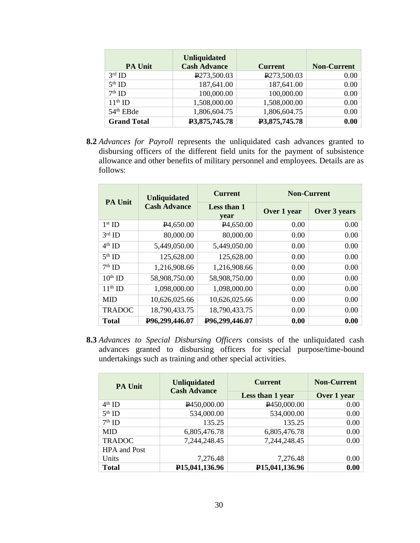| <b>PA Unit</b>        | <b>Unliquidated</b><br><b>Cash Advance</b> | <b>Current</b> | <b>Non-Current</b> |
|-----------------------|--------------------------------------------|----------------|--------------------|
| $3rd$ ID              | P273,500.03                                | P273,500.03    | 0.00               |
| $5th$ ID              | 187,641.00                                 | 187,641.00     | 0.00               |
| $7th$ ID              | 100,000.00                                 | 100,000.00     | 0.00               |
| $11th$ ID             | 1,508,000.00                               | 1,508,000.00   | 0.00               |
| 54 <sup>th</sup> EBde | 1,806,604.75                               | 1,806,604.75   | 0.00 <sub>1</sub>  |
| <b>Grand Total</b>    | P3,875,745.78                              | P3,875,745.78  | 0.00               |

**8.2** *Advances for Payroll* represents the unliquidated cash advances granted to disbursing officers of the different field units for the payment of subsistence allowance and other benefits of military personnel and employees. Details are as follows:

|               | <b>Unliquidated</b><br><b>PA Unit</b><br><b>Cash Advance</b> | <b>Current</b>         | <b>Non-Current</b> |              |
|---------------|--------------------------------------------------------------|------------------------|--------------------|--------------|
|               |                                                              | Less than 1<br>year    | Over 1 year        | Over 3 years |
| $1st$ ID      | P <sub>4</sub> ,650.00                                       | P <sub>4</sub> ,650.00 | 0.00               | 0.00         |
| $3rd$ ID      | 80,000.00                                                    | 80,000.00              | 0.00               | 0.00         |
| $4th$ ID      | 5,449,050.00                                                 | 5,449,050.00           | 0.00               | 0.00         |
| $5th$ ID      | 125,628.00                                                   | 125,628.00             | 0.00               | 0.00         |
| $7th$ ID      | 1,216,908.66                                                 | 1,216,908.66           | 0.00               | 0.00         |
| $10th$ ID     | 58,908,750.00                                                | 58,908,750.00          | 0.00               | 0.00         |
| $11th$ ID     | 1,098,000.00                                                 | 1,098,000.00           | 0.00               | 0.00         |
| <b>MID</b>    | 10,626,025.66                                                | 10,626,025.66          | 0.00               | 0.00         |
| <b>TRADOC</b> | 18,790,433.75                                                | 18,790,433.75          | 0.00               | 0.00         |
| <b>Total</b>  | P96,299,446.07                                               | P96,299,446.07         | 0.00               | 0.00         |

**8.3** *Advances to Special Disbursing Officers* consists of the unliquidated cash advances granted to disbursing officers for special purpose/time-bound undertakings such as training and other special activities.

| <b>PA Unit</b>      | <b>Unliquidated</b><br><b>Cash Advance</b> | <b>Current</b>                 | <b>Non-Current</b> |
|---------------------|--------------------------------------------|--------------------------------|--------------------|
|                     |                                            | Less than 1 year               | Over 1 year        |
| $4th$ ID            | P450,000.00                                | P450,000.00                    | 0.00               |
| $5th$ ID            | 534,000.00                                 | 534,000.00                     | 0.00               |
| $7th$ ID            | 135.25                                     | 135.25                         | 0.00               |
| <b>MID</b>          | 6,805,476.78                               | 6,805,476.78                   | 0.00               |
| <b>TRADOC</b>       | 7,244,248.45                               | 7,244,248.45                   | 0.00               |
| <b>HPA</b> and Post |                                            |                                |                    |
| Units               | 7,276.48                                   | 7,276.48                       | 0.00               |
| <b>Total</b>        | P <sub>15</sub> ,041,136.96                | P <sub>15</sub> , 041, 136. 96 | 0.00               |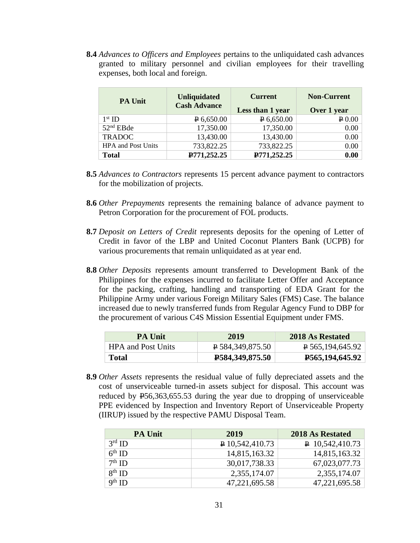**8.4** *Advances to Officers and Employees* pertains to the unliquidated cash advances granted to military personnel and civilian employees for their travelling expenses, both local and foreign.

| <b>PA Unit</b>            | <b>Unliquidated</b><br><b>Cash Advance</b> | <b>Current</b>   | <b>Non-Current</b>   |
|---------------------------|--------------------------------------------|------------------|----------------------|
|                           |                                            | Less than 1 year | Over 1 year          |
| $1st$ ID                  | P 6,650.00                                 | $P$ 6,650.00     | $\vert P 0.00 \vert$ |
| 52 <sup>nd</sup> EBde     | 17,350.00                                  | 17,350.00        | 0.00                 |
| <b>TRADOC</b>             | 13,430.00                                  | 13,430.00        | 0.00                 |
| <b>HPA</b> and Post Units | 733,822.25                                 | 733,822.25       | 0.00                 |
| <b>Total</b>              | P771,252.25                                | P771,252.25      | 0.00                 |

- **8.5** *Advances to Contractors* represents 15 percent advance payment to contractors for the mobilization of projects.
- **8.6** *Other Prepayments* represents the remaining balance of advance payment to Petron Corporation for the procurement of FOL products.
- **8.7** *Deposit on Letters of Credit* represents deposits for the opening of Letter of Credit in favor of the LBP and United Coconut Planters Bank (UCPB) for various procurements that remain unliquidated as at year end.
- **8.8** *Other Deposits* represents amount transferred to Development Bank of the Philippines for the expenses incurred to facilitate Letter Offer and Acceptance for the packing, crafting, handling and transporting of EDA Grant for the Philippine Army under various Foreign Military Sales (FMS) Case. The balance increased due to newly transferred funds from Regular Agency Fund to DBP for the procurement of various C4S Mission Essential Equipment under FMS.

| <b>PA Unit</b>            | 2019                          | 2018 As Restated                |
|---------------------------|-------------------------------|---------------------------------|
| <b>HPA</b> and Post Units | $\overline{P}$ 584,349,875.50 | $\overline{P}$ 565,194,645.92   |
| Total                     | <b>P584,349,875.50</b>        | P <sub>565</sub> , 194, 645. 92 |

**8.9** *Other Assets* represents the residual value of fully depreciated assets and the cost of unserviceable turned-in assets subject for disposal. This account was reduced by P56,363,655.53 during the year due to dropping of unserviceable PPE evidenced by Inspection and Inventory Report of Unserviceable Property (IIRUP) issued by the respective PAMU Disposal Team.

| <b>PA Unit</b> | 2019              | 2018 As Restated         |
|----------------|-------------------|--------------------------|
| $3rd$ ID       | $P$ 10,542,410.73 | $\sqrt{P}$ 10,542,410.73 |
| $6th$ ID       | 14,815,163.32     | 14,815,163.32            |
| $7th$ ID       | 30,017,738.33     | 67,023,077.73            |
| $8^{th}$ ID    | 2,355,174.07      | 2,355,174.07             |
| $9th$ ID       | 47,221,695.58     | 47,221,695.58            |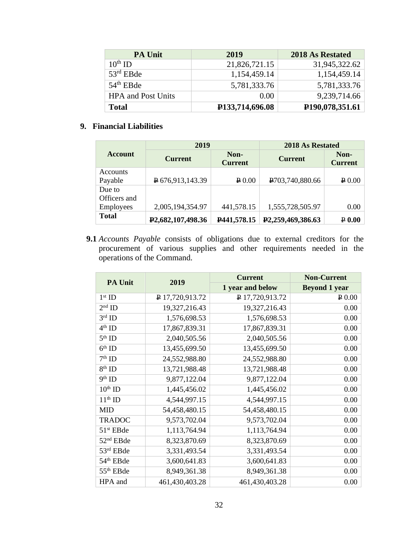| <b>PA Unit</b>            | 2019            | 2018 As Restated             |
|---------------------------|-----------------|------------------------------|
| $10^{th}$ ID              | 21,826,721.15   | 31,945,322.62                |
| $53rd$ EBde               | 1,154,459.14    | 1,154,459.14                 |
| $54th$ EBde               | 5,781,333.76    | 5,781,333.76                 |
| <b>HPA</b> and Post Units | 0.00            | 9,239,714.66                 |
| <b>Total</b>              | P133,714,696.08 | P <sub>190</sub> ,078,351.61 |

# **9. Financial Liabilities**

|                  | 2019                           |                                    | 2018 As Restated               |                        |
|------------------|--------------------------------|------------------------------------|--------------------------------|------------------------|
| <b>Account</b>   | <b>Current</b>                 | Non-<br><b>Current</b>             | <b>Current</b>                 | Non-<br><b>Current</b> |
| Accounts         |                                |                                    |                                |                        |
| Payable          | P676,913,143.39                | $\boldsymbol{\triangleright} 0.00$ | P <sub>703</sub> , 740, 880.66 | $\geq 0.00$            |
| Due to           |                                |                                    |                                |                        |
| Officers and     |                                |                                    |                                |                        |
| <b>Employees</b> | 2,005,194,354.97               | 441,578.15                         | 1,555,728,505.97               | 0.00                   |
| <b>Total</b>     | P <sub>2</sub> ,682,107,498.36 | P441,578.15                        | P <sub>2</sub> ,259,469,386.63 | $P$ 0.00               |

**9.1** *Accounts Payable* consists of obligations due to external creditors for the procurement of various supplies and other requirements needed in the operations of the Command.

| <b>PA Unit</b>        | 2019            | <b>Current</b>   | <b>Non-Current</b>   |
|-----------------------|-----------------|------------------|----------------------|
|                       |                 | 1 year and below | <b>Beyond 1 year</b> |
| $1st$ ID              | P 17,720,913.72 | P 17,720,913.72  | $\sqrt{P}0.00$       |
| $2nd$ ID              | 19,327,216.43   | 19,327,216.43    | 0.00                 |
| $3^{\text{rd}}$ ID    | 1,576,698.53    | 1,576,698.53     | 0.00                 |
| $4^{\rm th}$ ID       | 17,867,839.31   | 17,867,839.31    | 0.00                 |
| $5th$ ID              | 2,040,505.56    | 2,040,505.56     | 0.00                 |
| $6th$ ID              | 13,455,699.50   | 13,455,699.50    | 0.00                 |
| $7^{\rm th}$ ID       | 24,552,988.80   | 24,552,988.80    | 0.00                 |
| $8th$ ID              | 13,721,988.48   | 13,721,988.48    | 0.00                 |
| $9^{\text{th}}$ ID    | 9,877,122.04    | 9,877,122.04     | 0.00                 |
| $10th$ ID             | 1,445,456.02    | 1,445,456.02     | 0.00                 |
| $11th$ ID             | 4,544,997.15    | 4,544,997.15     | 0.00                 |
| <b>MID</b>            | 54,458,480.15   | 54,458,480.15    | 0.00                 |
| <b>TRADOC</b>         | 9,573,702.04    | 9,573,702.04     | 0.00                 |
| 51 <sup>st</sup> EBde | 1,113,764.94    | 1,113,764.94     | 0.00                 |
| 52 <sup>nd</sup> EBde | 8,323,870.69    | 8,323,870.69     | 0.00                 |
| 53rd EBde             | 3,331,493.54    | 3,331,493.54     | 0.00                 |
| 54 <sup>th</sup> EBde | 3,600,641.83    | 3,600,641.83     | 0.00                 |
| 55 <sup>th</sup> EBde | 8,949,361.38    | 8,949,361.38     | 0.00                 |
| HPA and               | 461,430,403.28  | 461,430,403.28   | 0.00                 |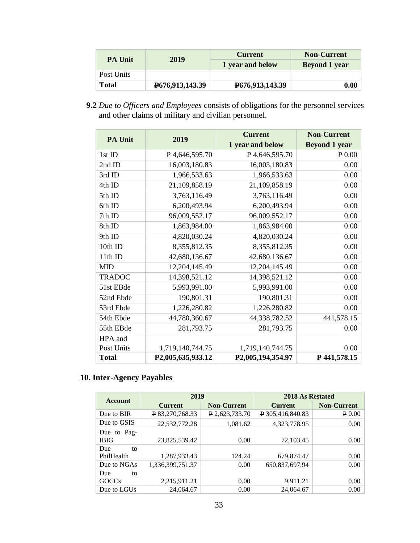|                | <b>Current</b>                 | <b>Non-Current</b> |                      |
|----------------|--------------------------------|--------------------|----------------------|
| <b>PA Unit</b> | 2019                           | 1 year and below   | <b>Beyond 1 year</b> |
| Post Units     |                                |                    |                      |
| Total          | P <sub>676</sub> , 913, 143.39 | P676,913,143.39    | 0.00                 |

**9.2** *Due to Officers and Employees* consists of obligations for the personnel services and other claims of military and civilian personnel.

|                |                                | <b>Current</b>                 | <b>Non-Current</b>   |
|----------------|--------------------------------|--------------------------------|----------------------|
| <b>PA Unit</b> | 2019                           | 1 year and below               | <b>Beyond 1 year</b> |
| 1st ID         | $P$ 4,646,595.70               | $\sqrt{P}$ 4,646,595.70        | P 0.00               |
| 2nd ID         | 16,003,180.83                  | 16,003,180.83                  | 0.00                 |
| 3rd ID         | 1,966,533.63                   | 1,966,533.63                   | 0.00                 |
| 4th ID         | 21,109,858.19                  | 21,109,858.19                  | 0.00                 |
| 5th ID         | 3,763,116.49                   | 3,763,116.49                   | 0.00                 |
| 6th ID         | 6,200,493.94                   | 6,200,493.94                   | 0.00                 |
| 7th ID         | 96,009,552.17                  | 96,009,552.17                  | 0.00                 |
| 8th ID         | 1,863,984.00                   | 1,863,984.00                   | 0.00                 |
| 9th ID         | 4,820,030.24                   | 4,820,030.24                   | 0.00                 |
| 10th ID        | 8,355,812.35                   | 8,355,812.35                   | 0.00                 |
| 11th ID        | 42,680,136.67                  | 42,680,136.67                  | 0.00                 |
| <b>MID</b>     | 12,204,145.49                  | 12,204,145.49                  | 0.00                 |
| <b>TRADOC</b>  | 14,398,521.12                  | 14,398,521.12                  | 0.00                 |
| 51st EBde      | 5,993,991.00                   | 5,993,991.00                   | 0.00                 |
| 52nd Ebde      | 190,801.31                     | 190,801.31                     | 0.00                 |
| 53rd Ebde      | 1,226,280.82                   | 1,226,280.82                   | 0.00                 |
| 54th Ebde      | 44,780,360.67                  | 44,338,782.52                  | 441,578.15           |
| 55th EBde      | 281,793.75                     | 281,793.75                     | 0.00                 |
| HPA and        |                                |                                |                      |
| Post Units     | 1,719,140,744.75               | 1,719,140,744.75               | 0.00                 |
| <b>Total</b>   | P <sub>2</sub> ,005,635,933.12 | P <sub>2</sub> ,005,194,354.97 | ₽441,578.15          |

# **10. Inter-Agency Payables**

| 2019<br><b>Account</b>     |                  |                    | 2018 As Restated |                    |
|----------------------------|------------------|--------------------|------------------|--------------------|
|                            | <b>Current</b>   | <b>Non-Current</b> | <b>Current</b>   | <b>Non-Current</b> |
| Due to BIR                 | P 83,270,768.33  | P 2,623,733.70     | P 305,416,840.83 | P 0.00             |
| Due to GSIS                | 22,532,772.28    | 1,081.62           | 4,323,778.95     | 0.00               |
| Due to Pag-<br><b>IBIG</b> | 23,825,539.42    | 0.00               | 72,103.45        | 0.00               |
| Due<br>to                  |                  |                    |                  |                    |
| PhilHealth                 | 1,287,933.43     | 124.24             | 679,874.47       | 0.00               |
| Due to NGAs                | 1,336,399,751.37 | 0.00               | 650,837,697.94   | 0.00               |
| Due<br>to                  |                  |                    |                  |                    |
| <b>GOCCs</b>               | 2,215,911.21     | 0.00               | 9,911.21         | 0.00               |
| Due to LGUs                | 24,064.67        | 0.00               | 24,064.67        | 0.00               |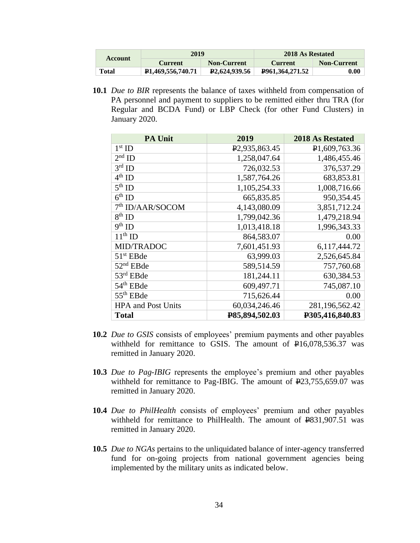|         | 2019<br><b>Non-Current</b><br>Current |                            | 2018 As Restated |                     |
|---------|---------------------------------------|----------------------------|------------------|---------------------|
| Account |                                       |                            | Current          | <b>Non-Current</b>  |
| Total   | P <sub>1</sub> ,469,556,740.71        | P <sub>2</sub> .624,939.56 | P961.364.271.52  | $\boldsymbol{0.00}$ |

**10.1** *Due to BIR* represents the balance of taxes withheld from compensation of PA personnel and payment to suppliers to be remitted either thru TRA (for Regular and BCDA Fund) or LBP Check (for other Fund Clusters) in January 2020.

| <b>PA Unit</b>                  | 2019                       | 2018 As Restated |
|---------------------------------|----------------------------|------------------|
| $1st$ ID                        | P <sub>2</sub> ,935,863.45 | P1,609,763.36    |
| $2nd$ ID                        | 1,258,047.64               | 1,486,455.46     |
| $3rd$ ID                        | 726,032.53                 | 376,537.29       |
| $4^{\text{th}}$ ID              | 1,587,764.26               | 683,853.81       |
| $5th$ ID                        | 1,105,254.33               | 1,008,716.66     |
| $6^{\text{th}}$ ID              | 665,835.85                 | 950,354.45       |
| 7 <sup>th</sup> ID/AAR/SOCOM    | 4,143,080.09               | 3,851,712.24     |
| $8th$ ID                        | 1,799,042.36               | 1,479,218.94     |
| $\overline{9}$ <sup>th</sup> ID | 1,013,418.18               | 1,996,343.33     |
| $11th$ ID                       | 864,583.07                 | 0.00             |
| MID/TRADOC                      | 7,601,451.93               | 6,117,444.72     |
| $51st$ EBde                     | 63,999.03                  | 2,526,645.84     |
| 52 <sup>nd</sup> EBde           | 589,514.59                 | 757,760.68       |
| 53rd EBde                       | 181,244.11                 | 630,384.53       |
| 54 <sup>th</sup> EBde           | 609,497.71                 | 745,087.10       |
| 55 <sup>th</sup> EBde           | 715,626.44                 | 0.00             |
| <b>HPA</b> and Post Units       | 60,034,246.46              | 281,196,562.42   |
| <b>Total</b>                    | P85,894,502.03             | P305,416,840.83  |

- **10.2** *Due to GSIS* consists of employees' premium payments and other payables withheld for remittance to GSIS. The amount of  $\text{P16,078,536.37}$  was remitted in January 2020.
- **10.3** *Due to Pag-IBIG* represents the employee's premium and other payables withheld for remittance to Pag-IBIG. The amount of  $E23,755,659.07$  was remitted in January 2020.
- **10.4** *Due to PhilHealth* consists of employees' premium and other payables withheld for remittance to PhilHealth. The amount of  $\text{P}831,907.51$  was remitted in January 2020.
- **10.5** *Due to NGAs* pertains to the unliquidated balance of inter-agency transferred fund for on-going projects from national government agencies being implemented by the military units as indicated below.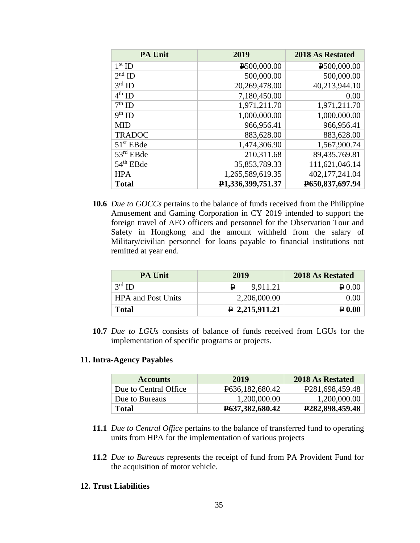| <b>PA Unit</b> | 2019              | <b>2018 As Restated</b> |
|----------------|-------------------|-------------------------|
| $1st$ ID       | P500,000.00       | P500,000.00             |
| $2nd$ ID       | 500,000.00        | 500,000.00              |
| $3rd$ ID       | 20,269,478.00     | 40,213,944.10           |
| $4th$ ID       | 7,180,450.00      | 0.00                    |
| $7th$ ID       | 1,971,211.70      | 1,971,211.70            |
| $9th$ ID       | 1,000,000.00      | 1,000,000.00            |
| <b>MID</b>     | 966,956.41        | 966,956.41              |
| <b>TRADOC</b>  | 883,628.00        | 883,628.00              |
| $51st$ EBde    | 1,474,306.90      | 1,567,900.74            |
| 53rd EBde      | 210,311.68        | 89,435,769.81           |
| $54th$ EBde    | 35,853,789.33     | 111,621,046.14          |
| <b>HPA</b>     | 1,265,589,619.35  | 402,177,241.04          |
| <b>Total</b>   | P1,336,399,751.37 | P650,837,697.94         |

**10.6** *Due to GOCCs* pertains to the balance of funds received from the Philippine Amusement and Gaming Corporation in CY 2019 intended to support the foreign travel of AFO officers and personnel for the Observation Tour and Safety in Hongkong and the amount withheld from the salary of Military/civilian personnel for loans payable to financial institutions not remitted at year end.

| <b>PA Unit</b>            | 2019           | 2018 As Restated |
|---------------------------|----------------|------------------|
| $3rd$ ID                  | 9.911.21       | $\geq 0.00$      |
| <b>HPA and Post Units</b> | 2,206,000.00   | 0.00             |
| <b>Total</b>              | P 2,215,911.21 | $\geq 0.00$      |

**10.7** *Due to LGUs* consists of balance of funds received from LGUs for the implementation of specific programs or projects*.* 

#### **11. Intra-Agency Payables**

| <b>Accounts</b>       | 2019                            | 2018 As Restated             |
|-----------------------|---------------------------------|------------------------------|
| Due to Central Office | P <sub>636</sub> , 182, 680. 42 | P <sub>281</sub> ,698,459.48 |
| Due to Bureaus        | 1,200,000.00                    | 1,200,000.00                 |
| Total                 | P <sub>6</sub> 37, 382, 680. 42 | P <sub>282</sub> ,898,459.48 |

- **11.1** *Due to Central Office* pertains to the balance of transferred fund to operating units from HPA for the implementation of various projects
- **11.2** *Due to Bureaus* represents the receipt of fund from PA Provident Fund for the acquisition of motor vehicle.

### **12. Trust Liabilities**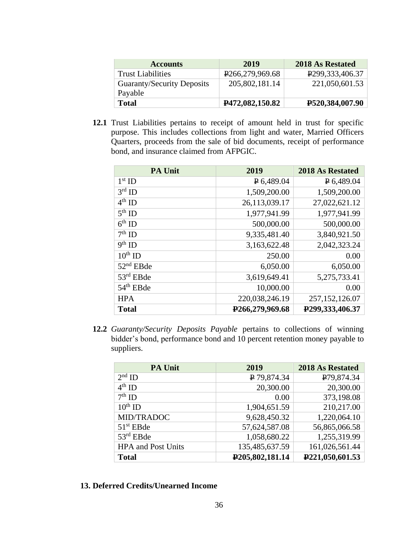| <b>Accounts</b>            | 2019                           | 2018 As Restated                |
|----------------------------|--------------------------------|---------------------------------|
| <b>Trust Liabilities</b>   | P <sub>266</sub> , 279, 969.68 | P <sub>299</sub> , 333, 406. 37 |
| Guaranty/Security Deposits | 205,802,181.14                 | 221,050,601.53                  |
| Payable                    |                                |                                 |
| <b>Total</b>               | <b>P472,082,150.82</b>         | P520,384,007.90                 |

**12.1** Trust Liabilities pertains to receipt of amount held in trust for specific purpose. This includes collections from light and water, Married Officers Quarters, proceeds from the sale of bid documents, receipt of performance bond, and insurance claimed from AFPGIC.

| <b>PA Unit</b>         | 2019                           | 2018 As Restated               |
|------------------------|--------------------------------|--------------------------------|
| $1st$ ID               | $P$ 6,489.04                   | $P$ 6,489.04                   |
| $3rd$ ID               | 1,509,200.00                   | 1,509,200.00                   |
| $4th$ ID               | 26,113,039.17                  | 27,022,621.12                  |
| $5^{th}$ ID            | 1,977,941.99                   | 1,977,941.99                   |
| $6th$ ID               | 500,000.00                     | 500,000.00                     |
| $7th$ ID               | 9,335,481.40                   | 3,840,921.50                   |
| $\overline{9^{th}}$ ID | 3,163,622.48                   | 2,042,323.24                   |
| $10^{th}$ ID           | 250.00                         | 0.00                           |
| $52nd$ EBde            | 6,050.00                       | 6,050.00                       |
| 53rd EBde              | 3,619,649.41                   | 5,275,733.41                   |
| $54th$ EBde            | 10,000.00                      | 0.00                           |
| <b>HPA</b>             | 220,038,246.19                 | 257, 152, 126.07               |
| <b>Total</b>           | P <sub>266</sub> , 279, 969.68 | P <sub>299</sub> , 333, 406.37 |

**12.2** *Guaranty/Security Deposits Payable* pertains to collections of winning bidder's bond, performance bond and 10 percent retention money payable to suppliers.

| <b>PA Unit</b>            | 2019            | 2018 As Restated |
|---------------------------|-----------------|------------------|
| $2nd$ ID                  | ₽ 79,874.34     | P79,874.34       |
| $4^{th}$ ID               | 20,300.00       | 20,300.00        |
| $7th$ ID                  | 0.00            | 373,198.08       |
| $10^{th}$ ID              | 1,904,651.59    | 210,217.00       |
| MID/TRADOC                | 9,628,450.32    | 1,220,064.10     |
| $51st$ EBde               | 57,624,587.08   | 56,865,066.58    |
| 53rd EBde                 | 1,058,680.22    | 1,255,319.99     |
| <b>HPA</b> and Post Units | 135,485,637.59  | 161,026,561.44   |
| <b>Total</b>              | P205,802,181.14 | P221,050,601.53  |

**13. Deferred Credits/Unearned Income**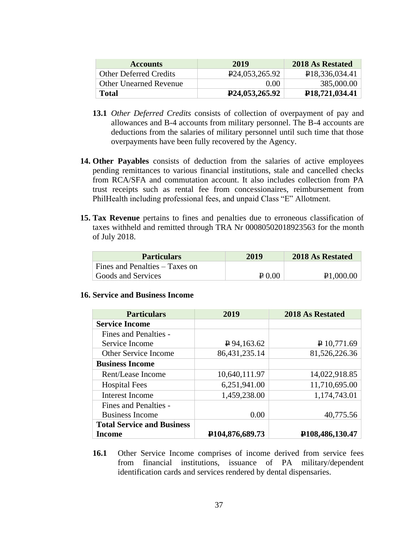| <b>Accounts</b>               | 2019                           | 2018 As Restated |
|-------------------------------|--------------------------------|------------------|
| <b>Other Deferred Credits</b> | P <sub>24</sub> ,053,265.92    | P18,336,034.41   |
| <b>Other Unearned Revenue</b> | 0. QQ                          | 385,000.00       |
| <b>Total</b>                  | P <sub>24</sub> , 053, 265. 92 | P18,721,034.41   |

- **13.1** *Other Deferred Credits* consists of collection of overpayment of pay and allowances and B-4 accounts from military personnel. The B-4 accounts are deductions from the salaries of military personnel until such time that those overpayments have been fully recovered by the Agency.
- **14. Other Payables** consists of deduction from the salaries of active employees pending remittances to various financial institutions, stale and cancelled checks from RCA/SFA and commutation account. It also includes collection from PA trust receipts such as rental fee from concessionaires, reimbursement from PhilHealth including professional fees, and unpaid Class "E" Allotment.
- **15. Tax Revenue** pertains to fines and penalties due to erroneous classification of taxes withheld and remitted through TRA Nr 00080502018923563 for the month of July 2018.

| <b>Particulars</b>             | 2019           | 2018 As Restated       |
|--------------------------------|----------------|------------------------|
| Fines and Penalties – Taxes on |                |                        |
| Goods and Services             | $\sqrt{P}0.00$ | P <sub>1</sub> ,000.00 |

## **16. Service and Business Income**

| <b>Particulars</b>                | 2019                         | <b>2018 As Restated</b>         |
|-----------------------------------|------------------------------|---------------------------------|
| <b>Service Income</b>             |                              |                                 |
| <b>Fines and Penalties -</b>      |                              |                                 |
| Service Income                    | $P$ 94,163.62                | P 10,771.69                     |
| <b>Other Service Income</b>       | 86,431,235.14                | 81,526,226.36                   |
| <b>Business Income</b>            |                              |                                 |
| Rent/Lease Income                 | 10,640,111.97                | 14,022,918.85                   |
| <b>Hospital Fees</b>              | 6,251,941.00                 | 11,710,695.00                   |
| <b>Interest Income</b>            | 1,459,238.00                 | 1,174,743.01                    |
| <b>Fines and Penalties -</b>      |                              |                                 |
| <b>Business Income</b>            | 0.00                         | 40,775.56                       |
| <b>Total Service and Business</b> |                              |                                 |
| <b>Income</b>                     | P <sub>104</sub> ,876,689.73 | P <sub>108</sub> , 486, 130. 47 |

**16.1** Other Service Income comprises of income derived from service fees from financial institutions, issuance of PA military/dependent identification cards and services rendered by dental dispensaries.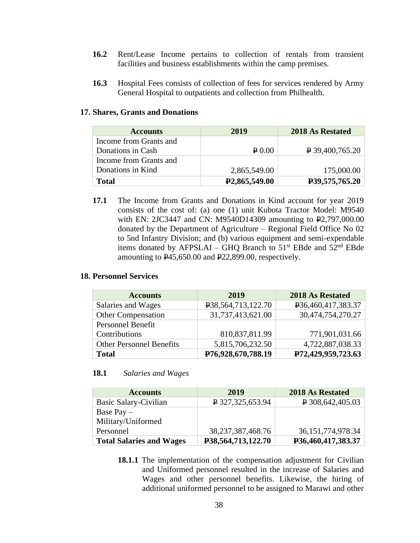- **16.2** Rent/Lease Income pertains to collection of rentals from transient facilities and business establishments within the camp premises.
- **16.3** Hospital Fees consists of collection of fees for services rendered by Army General Hospital to outpatients and collection from Philhealth.

#### **17. Shares, Grants and Donations**

| <b>Accounts</b>        | 2019                       | 2018 As Restated              |
|------------------------|----------------------------|-------------------------------|
| Income from Grants and |                            |                               |
| Donations in Cash      | $P_{0.00}$                 | $\vert P 39,400,765.20 \vert$ |
| Income from Grants and |                            |                               |
| Donations in Kind      | 2,865,549.00               | 175,000.00                    |
| Total                  | P <sub>2</sub> ,865,549.00 | P39,575,765.20                |

**17.1** The Income from Grants and Donations in Kind account for year 2019 consists of the cost of: (a) one (1) unit Kubota Tractor Model: M9540 with EN: 2JC3447 and CN: M9540D14309 amounting to P2,797,000.00 donated by the Department of Agriculture – Regional Field Office No 02 to 5nd Infantry Division; and (b) various equipment and semi-expendable items donated by AFPSLAI – GHQ Branch to  $51<sup>st</sup>$  EBde and  $52<sup>nd</sup>$  EBde amounting to P45,650.00 and P22,899.00, respectively.

#### **18. Personnel Services**

| <b>Accounts</b>                 | 2019                                | 2018 As Restated   |
|---------------------------------|-------------------------------------|--------------------|
| Salaries and Wages              | P <sub>38</sub> , 564, 713, 122. 70 | P36,460,417,383.37 |
| <b>Other Compensation</b>       | 31,737,413,621.00                   | 30,474,754,270.27  |
| Personnel Benefit               |                                     |                    |
| Contributions                   | 810,837,811.99                      | 771,901,031.66     |
| <b>Other Personnel Benefits</b> | 5,815,706,232.50                    | 4,722,887,038.33   |
| <b>Total</b>                    | P76,928,670,788.19                  | P72,429,959,723.63 |

#### **18.1** *Salaries and Wages*

| <b>Accounts</b>                 | 2019                  | 2018 As Restated      |
|---------------------------------|-----------------------|-----------------------|
| Basic Salary-Civilian           | P327,325,653.94       | $P$ 308,642,405.03    |
| Base Pay $-$                    |                       |                       |
| Military/Uniformed              |                       |                       |
| Personnel                       | 38, 237, 387, 468. 76 | 36, 151, 774, 978. 34 |
| <b>Total Salaries and Wages</b> | P38,564,713,122.70    | P36,460,417,383.37    |

**18.1.1** The implementation of the compensation adjustment for Civilian and Uniformed personnel resulted in the increase of Salaries and Wages and other personnel benefits. Likewise, the hiring of additional uniformed personnel to be assigned to Marawi and other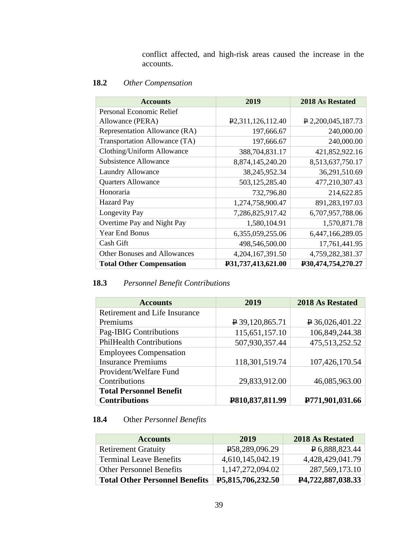conflict affected, and high-risk areas caused the increase in the accounts.

## **18.2** *Other Compensation*

| <b>Accounts</b>                     | 2019                           | <b>2018 As Restated</b>         |
|-------------------------------------|--------------------------------|---------------------------------|
| Personal Economic Relief            |                                |                                 |
| Allowance (PERA)                    | P <sub>2</sub> ,311,126,112.40 | $\overline{P}$ 2,200,045,187.73 |
| Representation Allowance (RA)       | 197,666.67                     | 240,000.00                      |
| Transportation Allowance (TA)       | 197,666.67                     | 240,000.00                      |
| Clothing/Uniform Allowance          | 388,704,831.17                 | 421,852,922.16                  |
| <b>Subsistence Allowance</b>        | 8,874,145,240.20               | 8,513,637,750.17                |
| Laundry Allowance                   | 38,245,952.34                  | 36,291,510.69                   |
| <b>Quarters Allowance</b>           | 503,125,285.40                 | 477,210,307.43                  |
| Honoraria                           | 732,796.80                     | 214,622.85                      |
| <b>Hazard Pay</b>                   | 1,274,758,900.47               | 891,283,197.03                  |
| Longevity Pay                       | 7,286,825,917.42               | 6,707,957,788.06                |
| Overtime Pay and Night Pay          | 1,580,104.91                   | 1,570,871.78                    |
| <b>Year End Bonus</b>               | 6,355,059,255.06               | 6,447,166,289.05                |
| Cash Gift                           | 498,546,500.00                 | 17,761,441.95                   |
| <b>Other Bonuses and Allowances</b> | 4,204,167,391.50               | 4,759,282,381.37                |
| <b>Total Other Compensation</b>     | P31,737,413,621.00             | P30,474,754,270.27              |

# **18.3** *Personnel Benefit Contributions*

| <b>Accounts</b>                 | 2019                     | <b>2018 As Restated</b>  |
|---------------------------------|--------------------------|--------------------------|
| Retirement and Life Insurance   |                          |                          |
| Premiums                        | $\sqrt{2}$ 39,120,865.71 | $\uparrow$ 36,026,401.22 |
| Pag-IBIG Contributions          | 115,651,157.10           | 106,849,244.38           |
| <b>PhilHealth Contributions</b> | 507,930,357.44           | 475,513,252.52           |
| <b>Employees Compensation</b>   |                          |                          |
| <b>Insurance Premiums</b>       | 118,301,519.74           | 107,426,170.54           |
| Provident/Welfare Fund          |                          |                          |
| Contributions                   | 29,833,912.00            | 46,085,963.00            |
| <b>Total Personnel Benefit</b>  |                          |                          |
| <b>Contributions</b>            | P810,837,811.99          | P771,901,031.66          |

# **18.4** Other *Personnel Benefits*

| <b>Accounts</b>                       | 2019                     | 2018 As Restated        |
|---------------------------------------|--------------------------|-------------------------|
| <b>Retirement Gratuity</b>            | P58,289,096.29           | $\sqrt{4}$ 6,888,823.44 |
| <b>Terminal Leave Benefits</b>        | 4,610,145,042.19         | 4,428,429,041.79        |
| <b>Other Personnel Benefits</b>       | 1,147,272,094.02         | 287,569,173.10          |
| <b>Total Other Personnel Benefits</b> | <b>P5,815,706,232.50</b> | P4,722,887,038.33       |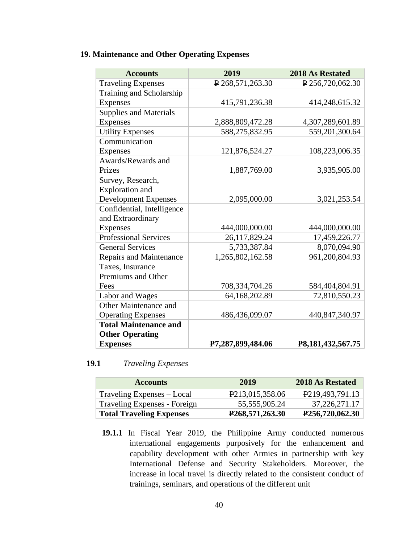# **19. Maintenance and Other Operating Expenses**

| <b>Accounts</b>                | 2019               | <b>2018 As Restated</b>   |
|--------------------------------|--------------------|---------------------------|
| <b>Traveling Expenses</b>      | $P$ 268,571,263.30 | $\sqrt{2}$ 256,720,062.30 |
| Training and Scholarship       |                    |                           |
| Expenses                       | 415,791,236.38     | 414,248,615.32            |
| <b>Supplies and Materials</b>  |                    |                           |
| Expenses                       | 2,888,809,472.28   | 4,307,289,601.89          |
| <b>Utility Expenses</b>        | 588,275,832.95     | 559,201,300.64            |
| Communication                  |                    |                           |
| Expenses                       | 121,876,524.27     | 108,223,006.35            |
| Awards/Rewards and             |                    |                           |
| Prizes                         | 1,887,769.00       | 3,935,905.00              |
| Survey, Research,              |                    |                           |
| <b>Exploration</b> and         |                    |                           |
| <b>Development Expenses</b>    | 2,095,000.00       | 3,021,253.54              |
| Confidential, Intelligence     |                    |                           |
| and Extraordinary              |                    |                           |
| Expenses                       | 444,000,000.00     | 444,000,000.00            |
| <b>Professional Services</b>   | 26,117,829.24      | 17,459,226.77             |
| <b>General Services</b>        | 5,733,387.84       | 8,070,094.90              |
| <b>Repairs and Maintenance</b> | 1,265,802,162.58   | 961,200,804.93            |
| Taxes, Insurance               |                    |                           |
| Premiums and Other             |                    |                           |
| Fees                           | 708,334,704.26     | 584,404,804.91            |
| Labor and Wages                | 64,168,202.89      | 72,810,550.23             |
| Other Maintenance and          |                    |                           |
| <b>Operating Expenses</b>      | 486,436,099.07     | 440,847,340.97            |
| <b>Total Maintenance and</b>   |                    |                           |
| <b>Other Operating</b>         |                    |                           |
| <b>Expenses</b>                | P7,287,899,484.06  | P8,181,432,567.75         |

# **19.1** *Traveling Expenses*

| <b>Accounts</b>                 | 2019                           | 2018 As Restated             |
|---------------------------------|--------------------------------|------------------------------|
| Traveling Expenses – Local      | P <sub>2</sub> 13,015,358.06   | P <sub>2</sub> 19,493,791.13 |
| Traveling Expenses - Foreign    | 55,555,905.24                  | 37,226,271.17                |
| <b>Total Traveling Expenses</b> | P <sub>268</sub> , 571, 263.30 | P256,720,062.30              |

**19.1.1** In Fiscal Year 2019, the Philippine Army conducted numerous international engagements purposively for the enhancement and capability development with other Armies in partnership with key International Defense and Security Stakeholders. Moreover, the increase in local travel is directly related to the consistent conduct of trainings, seminars, and operations of the different unit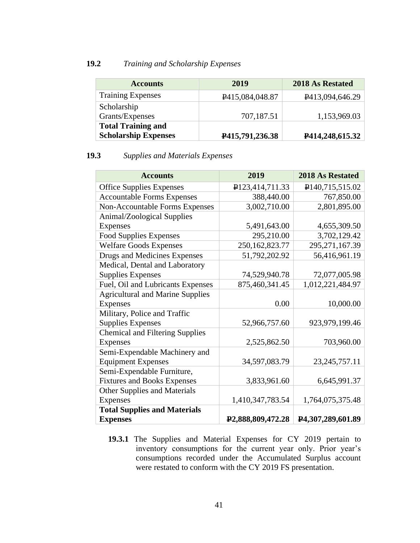### **19.2** *Training and Scholarship Expenses*

| <b>Accounts</b>             | 2019                           | 2018 As Restated |
|-----------------------------|--------------------------------|------------------|
| <b>Training Expenses</b>    | P <sub>415</sub> , 084, 048.87 | P413,094,646.29  |
| Scholarship                 |                                |                  |
| Grants/Expenses             | 707,187.51                     | 1,153,969.03     |
| <b>Total Training and</b>   |                                |                  |
| <b>Scholarship Expenses</b> | P415,791,236.38                | P414,248,615.32  |

# **19.3** *Supplies and Materials Expenses*

| <b>Accounts</b>                         | 2019                           | 2018 As Restated             |
|-----------------------------------------|--------------------------------|------------------------------|
| <b>Office Supplies Expenses</b>         | P123,414,711.33                | P <sub>140</sub> ,715,515.02 |
| <b>Accountable Forms Expenses</b>       | 388,440.00                     | 767,850.00                   |
| <b>Non-Accountable Forms Expenses</b>   | 3,002,710.00                   | 2,801,895.00                 |
| Animal/Zoological Supplies              |                                |                              |
| <b>Expenses</b>                         | 5,491,643.00                   | 4,655,309.50                 |
| <b>Food Supplies Expenses</b>           | 295,210.00                     | 3,702,129.42                 |
| <b>Welfare Goods Expenses</b>           | 250, 162, 823. 77              | 295,271,167.39               |
| Drugs and Medicines Expenses            | 51,792,202.92                  | 56,416,961.19                |
| Medical, Dental and Laboratory          |                                |                              |
| <b>Supplies Expenses</b>                | 74,529,940.78                  | 72,077,005.98                |
| Fuel, Oil and Lubricants Expenses       | 875,460,341.45                 | 1,012,221,484.97             |
| <b>Agricultural and Marine Supplies</b> |                                |                              |
| <b>Expenses</b>                         | 0.00                           | 10,000.00                    |
| Military, Police and Traffic            |                                |                              |
| <b>Supplies Expenses</b>                | 52,966,757.60                  | 923,979,199.46               |
| <b>Chemical and Filtering Supplies</b>  |                                |                              |
| <b>Expenses</b>                         | 2,525,862.50                   | 703,960.00                   |
| Semi-Expendable Machinery and           |                                |                              |
| <b>Equipment Expenses</b>               | 34,597,083.79                  | 23, 245, 757. 11             |
| Semi-Expendable Furniture,              |                                |                              |
| <b>Fixtures and Books Expenses</b>      | 3,833,961.60                   | 6,645,991.37                 |
| <b>Other Supplies and Materials</b>     |                                |                              |
| Expenses                                | 1,410,347,783.54               | 1,764,075,375.48             |
| <b>Total Supplies and Materials</b>     |                                |                              |
| <b>Expenses</b>                         | P <sub>2</sub> ,888,809,472.28 | P4,307,289,601.89            |

**19.3.1** The Supplies and Material Expenses for CY 2019 pertain to inventory consumptions for the current year only. Prior year's consumptions recorded under the Accumulated Surplus account were restated to conform with the CY 2019 FS presentation.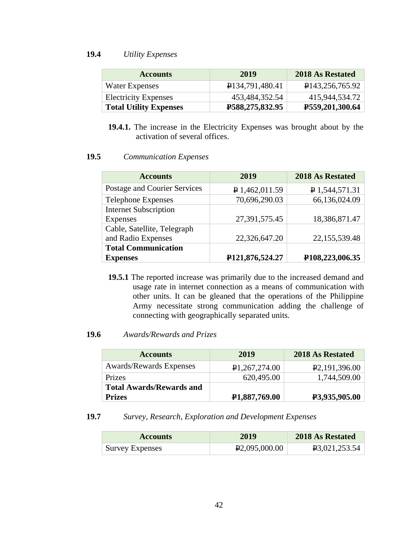# **19.4** *Utility Expenses*

| <b>Accounts</b>               | 2019                        | 2018 As Restated             |
|-------------------------------|-----------------------------|------------------------------|
| Water Expenses                | P <sub>134,791,480.41</sub> | P <sub>143,256</sub> ,765.92 |
| <b>Electricity Expenses</b>   | 453,484,352.54              | 415,944,534.72               |
| <b>Total Utility Expenses</b> | <b>P588,275,832.95</b>      | P559,201,300.64              |

**19.4.1.** The increase in the Electricity Expenses was brought about by the activation of several offices.

#### **19.5** *Communication Expenses*

| <b>Accounts</b>              | 2019                         | 2018 As Restated               |
|------------------------------|------------------------------|--------------------------------|
| Postage and Courier Services | $P$ 1,462,011.59             | P 1,544,571.31                 |
| <b>Telephone Expenses</b>    | 70,696,290.03                | 66,136,024.09                  |
| <b>Internet Subscription</b> |                              |                                |
| Expenses                     | 27,391,575.45                | 18,386,871.47                  |
| Cable, Satellite, Telegraph  |                              |                                |
| and Radio Expenses           | 22,326,647.20                | 22,155,539.48                  |
| <b>Total Communication</b>   |                              |                                |
| <b>Expenses</b>              | P <sub>121</sub> ,876,524.27 | P <sub>108</sub> , 223, 006.35 |

**19.5.1** The reported increase was primarily due to the increased demand and usage rate in internet connection as a means of communication with other units. It can be gleaned that the operations of the Philippine Army necessitate strong communication adding the challenge of connecting with geographically separated units.

## **19.6** *Awards/Rewards and Prizes*

| <b>Accounts</b>                 | 2019                       | 2018 As Restated |
|---------------------------------|----------------------------|------------------|
| <b>Awards/Rewards Expenses</b>  | P1,267,274.00              | P2,191,396.00    |
| Prizes                          | 620,495.00                 | 1,744,509.00     |
| <b>Total Awards/Rewards and</b> |                            |                  |
| <b>Prizes</b>                   | P <sub>1</sub> ,887,769.00 | P3,935,905.00    |

#### **19.7** *Survey, Research, Exploration and Development Expenses*

| <b>Accounts</b>        | 2019          | 2018 As Restated           |
|------------------------|---------------|----------------------------|
| <b>Survey Expenses</b> | P2,095,000.00 | P <sub>3</sub> ,021,253.54 |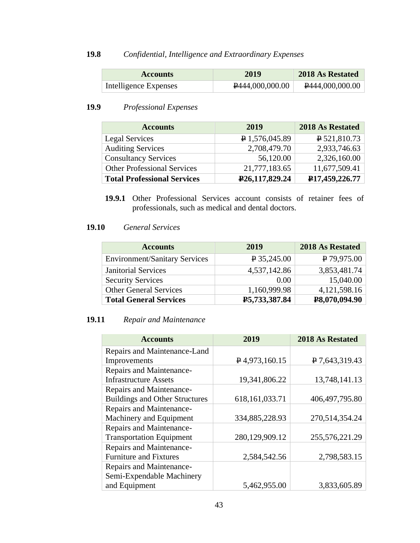# **19.8** *Confidential, Intelligence and Extraordinary Expenses*

| <b>Accounts</b>       | 2019            | 2018 As Restated   |
|-----------------------|-----------------|--------------------|
| Intelligence Expenses | P444,000,000.00 | $P$ 444,000,000.00 |

# **19.9** *Professional Expenses*

| <b>Accounts</b>                    | 2019                        | 2018 As Restated            |
|------------------------------------|-----------------------------|-----------------------------|
| Legal Services                     | $\sqrt{P}$ 1,576,045.89     | $P_{521,810.73}$            |
| <b>Auditing Services</b>           | 2,708,479.70                | 2,933,746.63                |
| <b>Consultancy Services</b>        | 56,120.00                   | 2,326,160.00                |
| <b>Other Professional Services</b> | 21,777,183.65               | 11,677,509.41               |
| <b>Total Professional Services</b> | P <sub>26</sub> ,117,829.24 | P <sub>17</sub> ,459,226.77 |

**19.9.1** Other Professional Services account consists of retainer fees of professionals, such as medical and dental doctors.

## **19.10** *General Services*

| <b>Accounts</b>                      | 2019          | 2018 As Restated |
|--------------------------------------|---------------|------------------|
| <b>Environment/Sanitary Services</b> | $P$ 35,245.00 | $P$ 79,975.00    |
| <b>Janitorial Services</b>           | 4,537,142.86  | 3,853,481.74     |
| <b>Security Services</b>             | 0.00          | 15,040.00        |
| <b>Other General Services</b>        | 1,160,999.98  | 4,121,598.16     |
| <b>Total General Services</b>        | P5,733,387.84 | P8,070,094.90    |

# **19.11** *Repair and Maintenance*

| <b>Accounts</b>                       | 2019              | 2018 As Restated |
|---------------------------------------|-------------------|------------------|
| Repairs and Maintenance-Land          |                   |                  |
| Improvements                          | $P$ 4,973,160.15  | P 7,643,319.43   |
| Repairs and Maintenance-              |                   |                  |
| <b>Infrastructure Assets</b>          | 19,341,806.22     | 13,748,141.13    |
| Repairs and Maintenance-              |                   |                  |
| <b>Buildings and Other Structures</b> | 618, 161, 033. 71 | 406, 497, 795.80 |
| Repairs and Maintenance-              |                   |                  |
| Machinery and Equipment               | 334,885,228.93    | 270,514,354.24   |
| Repairs and Maintenance-              |                   |                  |
| <b>Transportation Equipment</b>       | 280,129,909.12    | 255,576,221.29   |
| Repairs and Maintenance-              |                   |                  |
| <b>Furniture and Fixtures</b>         | 2,584,542.56      | 2,798,583.15     |
| Repairs and Maintenance-              |                   |                  |
| Semi-Expendable Machinery             |                   |                  |
| and Equipment                         | 5,462,955.00      | 3,833,605.89     |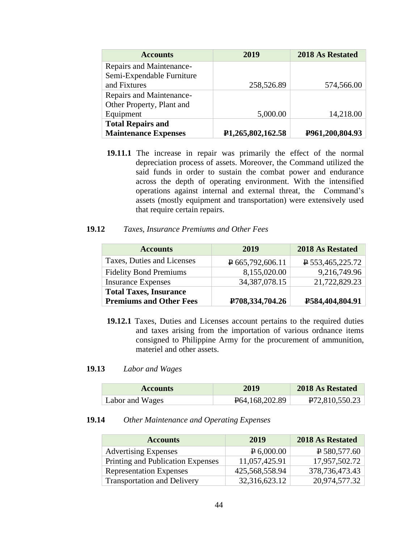| <b>Accounts</b>             | 2019                           | <b>2018 As Restated</b> |
|-----------------------------|--------------------------------|-------------------------|
| Repairs and Maintenance-    |                                |                         |
| Semi-Expendable Furniture   |                                |                         |
| and Fixtures                | 258,526.89                     | 574,566.00              |
| Repairs and Maintenance-    |                                |                         |
| Other Property, Plant and   |                                |                         |
| Equipment                   | 5,000.00                       | 14,218.00               |
| <b>Total Repairs and</b>    |                                |                         |
| <b>Maintenance Expenses</b> | P <sub>1</sub> ,265,802,162.58 | P961,200,804.93         |

**19.11.1** The increase in repair was primarily the effect of the normal depreciation process of assets. Moreover, the Command utilized the said funds in order to sustain the combat power and endurance across the depth of operating environment. With the intensified operations against internal and external threat, the Command's assets (mostly equipment and transportation) were extensively used that require certain repairs.

#### **19.12** *Taxes, Insurance Premiums and Other Fees*

| <b>Accounts</b>                | 2019                          | 2018 As Restated              |
|--------------------------------|-------------------------------|-------------------------------|
| Taxes, Duties and Licenses     | $\overline{P}$ 665,792,606.11 | $\overline{P}$ 553,465,225.72 |
| <b>Fidelity Bond Premiums</b>  | 8,155,020.00                  | 9,216,749.96                  |
| <b>Insurance Expenses</b>      | 34, 387, 078. 15              | 21,722,829.23                 |
| <b>Total Taxes, Insurance</b>  |                               |                               |
| <b>Premiums and Other Fees</b> | P708,334,704.26               | P584,404,804.91               |

**19.12.1** Taxes, Duties and Licenses account pertains to the required duties and taxes arising from the importation of various ordnance items consigned to Philippine Army for the procurement of ammunition, materiel and other assets.

#### **19.13** *Labor and Wages*

| <b>Accounts</b> | 2019                          | 2018 As Restated            |
|-----------------|-------------------------------|-----------------------------|
| Labor and Wages | P <sub>64</sub> , 168, 202.89 | P <sub>72</sub> ,810,550.23 |

#### **19.14** *Other Maintenance and Operating Expenses*

| <b>Accounts</b>                    | 2019           | 2018 As Restated  |
|------------------------------------|----------------|-------------------|
| <b>Advertising Expenses</b>        | $P_{6,000.00}$ | $P$ 580, 577.60   |
| Printing and Publication Expenses  | 11,057,425.91  | 17,957,502.72     |
| <b>Representation Expenses</b>     | 425,568,558.94 | 378, 736, 473. 43 |
| <b>Transportation and Delivery</b> | 32,316,623.12  | 20,974,577.32     |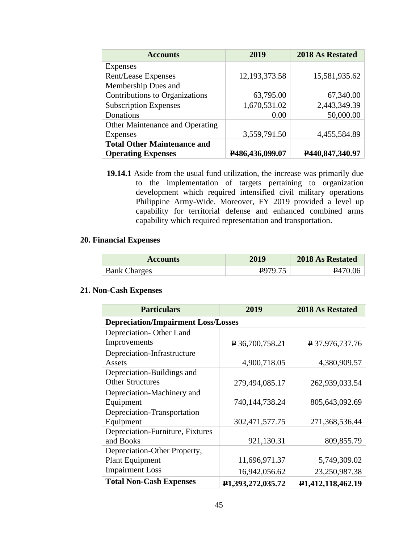| <b>Accounts</b>                        | 2019            | 2018 As Restated |
|----------------------------------------|-----------------|------------------|
| Expenses                               |                 |                  |
| Rent/Lease Expenses                    | 12,193,373.58   | 15,581,935.62    |
| Membership Dues and                    |                 |                  |
| Contributions to Organizations         | 63,795.00       | 67,340.00        |
| <b>Subscription Expenses</b>           | 1,670,531.02    | 2,443,349.39     |
| Donations                              | 0.00            | 50,000.00        |
| <b>Other Maintenance and Operating</b> |                 |                  |
| Expenses                               | 3,559,791.50    | 4,455,584.89     |
| <b>Total Other Maintenance and</b>     |                 |                  |
| <b>Operating Expenses</b>              | P486,436,099.07 | P440,847,340.97  |

**19.14.1** Aside from the usual fund utilization, the increase was primarily due to the implementation of targets pertaining to organization development which required intensified civil military operations Philippine Army-Wide. Moreover, FY 2019 provided a level up capability for territorial defense and enhanced combined arms capability which required representation and transportation.

## **20. Financial Expenses**

| <b>Accounts</b>     | 2019   | 2018 As Restated    |
|---------------------|--------|---------------------|
| <b>Bank Charges</b> | 297975 | P <sub>470.06</sub> |

#### **21. Non-Cash Expenses**

| <b>Particulars</b>                         | 2019              | <b>2018 As Restated</b> |  |  |
|--------------------------------------------|-------------------|-------------------------|--|--|
| <b>Depreciation/Impairment Loss/Losses</b> |                   |                         |  |  |
| Depreciation-Other Land                    |                   |                         |  |  |
| Improvements                               | $P$ 36,700,758.21 | P 37,976,737.76         |  |  |
| Depreciation-Infrastructure                |                   |                         |  |  |
| Assets                                     | 4,900,718.05      | 4,380,909.57            |  |  |
| Depreciation-Buildings and                 |                   |                         |  |  |
| <b>Other Structures</b>                    | 279,494,085.17    | 262,939,033.54          |  |  |
| Depreciation-Machinery and                 |                   |                         |  |  |
| Equipment                                  | 740,144,738.24    | 805,643,092.69          |  |  |
| Depreciation-Transportation                |                   |                         |  |  |
| Equipment                                  | 302,471,577.75    | 271,368,536.44          |  |  |
| Depreciation-Furniture, Fixtures           |                   |                         |  |  |
| and Books                                  | 921,130.31        | 809,855.79              |  |  |
| Depreciation-Other Property,               |                   |                         |  |  |
| <b>Plant Equipment</b>                     | 11,696,971.37     | 5,749,309.02            |  |  |
| <b>Impairment Loss</b>                     | 16,942,056.62     | 23,250,987.38           |  |  |
| <b>Total Non-Cash Expenses</b>             | P1,393,272,035.72 | P1,412,118,462.19       |  |  |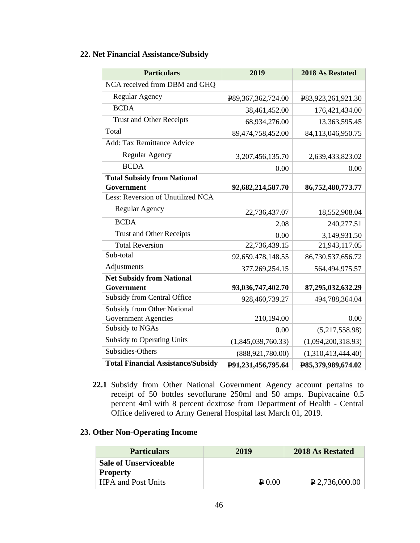# **22. Net Financial Assistance/Subsidy**

| <b>Particulars</b>                        | 2019               | 2018 As Restated   |
|-------------------------------------------|--------------------|--------------------|
| NCA received from DBM and GHQ             |                    |                    |
| Regular Agency                            | ¥89,367,362,724.00 | P83,923,261,921.30 |
| <b>BCDA</b>                               | 38,461,452.00      | 176,421,434.00     |
| <b>Trust and Other Receipts</b>           | 68,934,276.00      | 13,363,595.45      |
| Total                                     | 89,474,758,452.00  | 84,113,046,950.75  |
| <b>Add: Tax Remittance Advice</b>         |                    |                    |
| <b>Regular Agency</b>                     | 3,207,456,135.70   | 2,639,433,823.02   |
| <b>BCDA</b>                               | 0.00               | 0.00               |
| <b>Total Subsidy from National</b>        |                    |                    |
| Government                                | 92,682,214,587.70  | 86,752,480,773.77  |
| Less: Reversion of Unutilized NCA         |                    |                    |
| Regular Agency                            | 22,736,437.07      | 18,552,908.04      |
| <b>BCDA</b>                               | 2.08               | 240,277.51         |
| <b>Trust and Other Receipts</b>           | 0.00               | 3,149,931.50       |
| <b>Total Reversion</b>                    | 22,736,439.15      | 21,943,117.05      |
| Sub-total                                 | 92,659,478,148.55  | 86,730,537,656.72  |
| Adjustments                               | 377,269,254.15     | 564,494,975.57     |
| <b>Net Subsidy from National</b>          |                    |                    |
| Government                                | 93,036,747,402.70  | 87,295,032,632.29  |
| Subsidy from Central Office               | 928,460,739.27     | 494,788,364.04     |
| <b>Subsidy from Other National</b>        |                    |                    |
| <b>Government Agencies</b>                | 210,194.00         | 0.00               |
| <b>Subsidy to NGAs</b>                    | 0.00               | (5,217,558.98)     |
| <b>Subsidy to Operating Units</b>         | (1,845,039,760.33) | (1,094,200,318.93) |
| Subsidies-Others                          | (888, 921, 780.00) | (1,310,413,444.40) |
| <b>Total Financial Assistance/Subsidy</b> | P91,231,456,795.64 | P85,379,989,674.02 |

**22.1** Subsidy from Other National Government Agency account pertains to receipt of 50 bottles sevoflurane 250ml and 50 amps. Bupivacaine 0.5 percent 4ml with 8 percent dextrose from Department of Health - Central Office delivered to Army General Hospital last March 01, 2019.

# **23. Other Non-Operating Income**

| <b>Particulars</b>                              | 2019            | 2018 As Restated             |
|-------------------------------------------------|-----------------|------------------------------|
| <b>Sale of Unserviceable</b><br><b>Property</b> |                 |                              |
| <b>HPA and Post Units</b>                       | $\sqrt{2}$ 0.00 | $\vert P 2,736,000.00 \vert$ |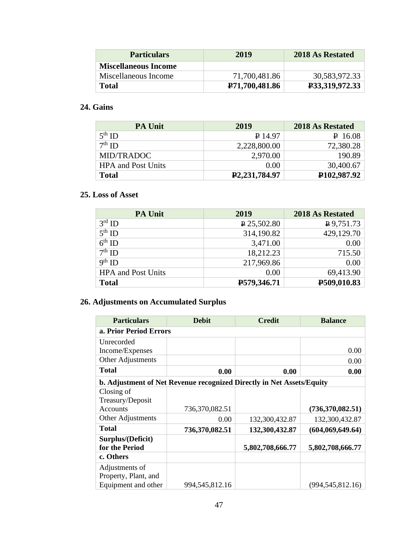| <b>Particulars</b>          | 2019                        | 2018 As Restated |
|-----------------------------|-----------------------------|------------------|
| <b>Miscellaneous Income</b> |                             |                  |
| Miscellaneous Income        | 71,700,481.86               | 30,583,972.33    |
| <b>Total</b>                | P <sub>71</sub> ,700,481.86 | P33,319,972.33   |

# **24. Gains**

| <b>PA Unit</b>            | 2019                          | 2018 As Restated          |
|---------------------------|-------------------------------|---------------------------|
| $5th$ ID                  | $P_{14.97}$                   | $P$ 16.08                 |
| $7th$ ID                  | 2,228,800.00                  | 72,380.28                 |
| MID/TRADOC                | 2,970.00                      | 190.89                    |
| <b>HPA</b> and Post Units | 0.00                          | 30,400.67                 |
| <b>Total</b>              | P <sub>2</sub> , 231, 784. 97 | P <sub>102</sub> , 987.92 |

# **25. Loss of Asset**

| <b>PA Unit</b>            | 2019               | 2018 As Restated |
|---------------------------|--------------------|------------------|
| $3rd$ ID                  | $\sqrt{25,502.80}$ | $P$ 9,751.73     |
| $5^{\text{th}}$ ID        | 314,190.82         | 429,129.70       |
| $6th$ ID                  | 3,471.00           | 0.00             |
| $7th$ ID                  | 18,212.23          | 715.50           |
| $9th$ ID                  | 217,969.86         | 0.00             |
| <b>HPA</b> and Post Units | 0.00               | 69,413.90        |
| <b>Total</b>              | P579,346.71        | P509,010.83      |

# **26. Adjustments on Accumulated Surplus**

| <b>Particulars</b>     | <b>Debit</b>                                                          | <b>Credit</b>    | <b>Balance</b>     |  |  |
|------------------------|-----------------------------------------------------------------------|------------------|--------------------|--|--|
| a. Prior Period Errors |                                                                       |                  |                    |  |  |
| Unrecorded             |                                                                       |                  |                    |  |  |
| Income/Expenses        |                                                                       |                  | 0.00               |  |  |
| Other Adjustments      |                                                                       |                  | 0.00               |  |  |
| <b>Total</b>           | 0.00                                                                  | 0.00             | 0.00               |  |  |
|                        | b. Adjustment of Net Revenue recognized Directly in Net Assets/Equity |                  |                    |  |  |
| Closing of             |                                                                       |                  |                    |  |  |
| Treasury/Deposit       |                                                                       |                  |                    |  |  |
| <b>Accounts</b>        | 736,370,082.51                                                        |                  | (736,370,082.51)   |  |  |
| Other Adjustments      | 0.00                                                                  | 132,300,432.87   | 132,300,432.87     |  |  |
| <b>Total</b>           | 736,370,082.51                                                        | 132,300,432.87   | (604,069,649.64)   |  |  |
| Surplus/(Deficit)      |                                                                       |                  |                    |  |  |
| for the Period         |                                                                       | 5,802,708,666.77 | 5,802,708,666.77   |  |  |
| c. Others              |                                                                       |                  |                    |  |  |
| Adjustments of         |                                                                       |                  |                    |  |  |
| Property, Plant, and   |                                                                       |                  |                    |  |  |
| Equipment and other    | 994, 545, 812. 16                                                     |                  | (994, 545, 812.16) |  |  |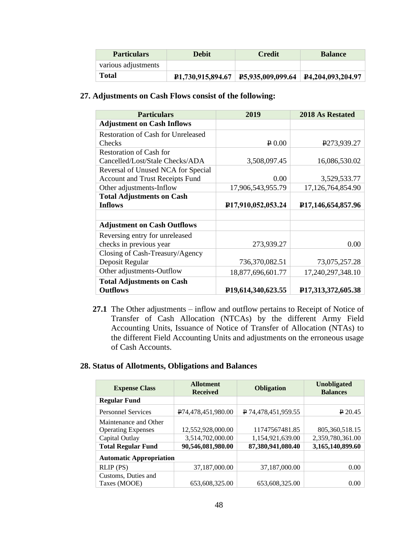| <b>Particulars</b>  | <b>Debit</b>                   | <b>Credit</b>                                                       | <b>Balance</b> |
|---------------------|--------------------------------|---------------------------------------------------------------------|----------------|
| various adjustments |                                |                                                                     |                |
| <b>Total</b>        | P <sub>1</sub> ,730,915,894.67 | $\vert$ <b>P</b> 5,935,009,099.64 $\vert$ <b>P</b> 4,204,093,204.97 |                |

# **27. Adjustments on Cash Flows consist of the following:**

| <b>Particulars</b>                                  | 2019                            | <b>2018 As Restated</b>             |
|-----------------------------------------------------|---------------------------------|-------------------------------------|
| <b>Adjustment on Cash Inflows</b>                   |                                 |                                     |
| <b>Restoration of Cash for Unreleased</b>           |                                 |                                     |
| Checks                                              | $\sqrt{P}0.00$                  | P273,939.27                         |
| <b>Restoration of Cash for</b>                      |                                 |                                     |
| Cancelled/Lost/Stale Checks/ADA                     | 3,508,097.45                    | 16,086,530.02                       |
| Reversal of Unused NCA for Special                  |                                 |                                     |
| Account and Trust Receipts Fund                     | 0.00                            | 3,529,533.77                        |
| Other adjustments-Inflow                            | 17,906,543,955.79               | 17,126,764,854.90                   |
| <b>Total Adjustments on Cash</b>                    |                                 |                                     |
| <b>Inflows</b>                                      | P <sub>17,910,052,053.24</sub>  | P <sub>17</sub> ,146,654,857.96     |
|                                                     |                                 |                                     |
| <b>Adjustment on Cash Outflows</b>                  |                                 |                                     |
| Reversing entry for unreleased                      |                                 |                                     |
| checks in previous year                             | 273,939.27                      | 0.00                                |
| Closing of Cash-Treasury/Agency                     |                                 |                                     |
| Deposit Regular                                     | 736,370,082.51                  | 73,075,257.28                       |
| Other adjustments-Outflow                           | 18,877,696,601.77               | 17,240,297,348.10                   |
| <b>Total Adjustments on Cash</b><br><b>Outflows</b> | P <sub>19</sub> ,614,340,623.55 | P <sub>17</sub> , 313, 372, 605. 38 |

**27.1** The Other adjustments – inflow and outflow pertains to Receipt of Notice of Transfer of Cash Allocation (NTCAs) by the different Army Field Accounting Units, Issuance of Notice of Transfer of Allocation (NTAs) to the different Field Accounting Units and adjustments on the erroneous usage of Cash Accounts.

#### **28. Status of Allotments, Obligations and Balances**

| <b>Expense Class</b>           | <b>Allotment</b><br><b>Received</b> | <b>Obligation</b>   | <b>Unobligated</b><br><b>Balances</b> |
|--------------------------------|-------------------------------------|---------------------|---------------------------------------|
| <b>Regular Fund</b>            |                                     |                     |                                       |
| <b>Personnel Services</b>      | P74,478,451,980.00                  | P 74,478,451,959.55 | $P$ 20.45                             |
| Maintenance and Other          |                                     |                     |                                       |
| <b>Operating Expenses</b>      | 12,552,928,000.00                   | 11747567481.85      | 805, 360, 518.15                      |
| Capital Outlay                 | 3,514,702,000.00                    | 1,154,921,639.00    | 2,359,780,361.00                      |
| <b>Total Regular Fund</b>      | 90,546,081,980.00                   | 87,380,941,080.40   | 3,165,140,899.60                      |
| <b>Automatic Appropriation</b> |                                     |                     |                                       |
| RLIP (PS)                      | 37,187,000.00                       | 37,187,000.00       | 0.00                                  |
| Customs, Duties and            |                                     |                     |                                       |
| Taxes (MOOE)                   | 653,608,325.00                      | 653,608,325.00      | 0.00                                  |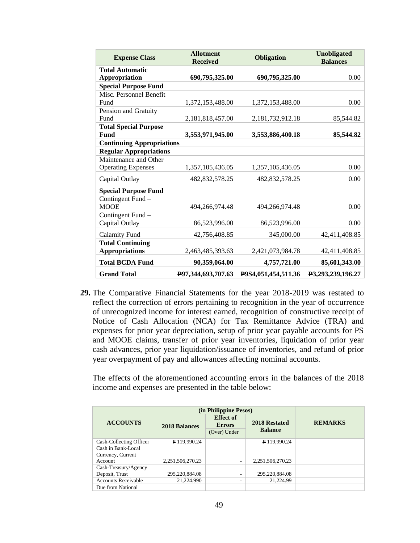| <b>Expense Class</b>             | <b>Allotment</b><br><b>Received</b> | <b>Obligation</b>   | <b>Unobligated</b><br><b>Balances</b> |
|----------------------------------|-------------------------------------|---------------------|---------------------------------------|
| <b>Total Automatic</b>           |                                     |                     |                                       |
| <b>Appropriation</b>             | 690,795,325.00                      | 690,795,325.00      | 0.00                                  |
| <b>Special Purpose Fund</b>      |                                     |                     |                                       |
| Misc. Personnel Benefit          |                                     |                     |                                       |
| Fund                             | 1,372,153,488.00                    | 1,372,153,488.00    | 0.00                                  |
| Pension and Gratuity             |                                     |                     |                                       |
| Fund                             | 2,181,818,457.00                    | 2,181,732,912.18    | 85,544.82                             |
| <b>Total Special Purpose</b>     |                                     |                     |                                       |
| Fund                             | 3,553,971,945.00                    | 3,553,886,400.18    | 85,544.82                             |
| <b>Continuing Appropriations</b> |                                     |                     |                                       |
| <b>Regular Appropriations</b>    |                                     |                     |                                       |
| Maintenance and Other            |                                     |                     |                                       |
| <b>Operating Expenses</b>        | 1,357,105,436.05                    | 1,357,105,436.05    | 0.00                                  |
| Capital Outlay                   | 482, 832, 578. 25                   | 482, 832, 578. 25   | 0.00                                  |
| <b>Special Purpose Fund</b>      |                                     |                     |                                       |
| Contingent Fund -                |                                     |                     |                                       |
| <b>MOOE</b>                      | 494,266,974.48                      | 494,266,974.48      | 0.00                                  |
| Contingent Fund -                |                                     |                     |                                       |
| Capital Outlay                   | 86,523,996.00                       | 86,523,996.00       | 0.00                                  |
| <b>Calamity Fund</b>             | 42,756,408.85                       | 345,000.00          | 42,411,408.85                         |
| <b>Total Continuing</b>          |                                     |                     |                                       |
| <b>Appropriations</b>            | 2,463,485,393.63                    | 2,421,073,984.78    | 42,411,408.85                         |
| <b>Total BCDA Fund</b>           | 90,359,064.00                       | 4,757,721.00        | 85,601,343.00                         |
| <b>Grand Total</b>               | P97,344,693,707.63                  | P9S4,051,454,511.36 | P3,293,239,196.27                     |

**29.** The Comparative Financial Statements for the year 2018-2019 was restated to reflect the correction of errors pertaining to recognition in the year of occurrence of unrecognized income for interest earned, recognition of constructive receipt of Notice of Cash Allocation (NCA) for Tax Remittance Advice (TRA) and expenses for prior year depreciation, setup of prior year payable accounts for PS and MOOE claims, transfer of prior year inventories, liquidation of prior year cash advances, prior year liquidation/issuance of inventories, and refund of prior year overpayment of pay and allowances affecting nominal accounts.

The effects of the aforementioned accounting errors in the balances of the 2018 income and expenses are presented in the table below:

|                            | (in Philippine Pesos) |                                                   |                                 |                |
|----------------------------|-----------------------|---------------------------------------------------|---------------------------------|----------------|
| <b>ACCOUNTS</b>            | <b>2018 Balances</b>  | <b>Effect of</b><br><b>Errors</b><br>(Over) Under | 2018 Restated<br><b>Balance</b> | <b>REMARKS</b> |
| Cash-Collecting Officer    | P 119,990.24          |                                                   | P 119,990.24                    |                |
| Cash in Bank-Local         |                       |                                                   |                                 |                |
| Currency, Current          |                       |                                                   |                                 |                |
| <b>Account</b>             | 2,251,506,270.23      |                                                   | 2,251,506,270.23                |                |
| Cash-Treasury/Agency       |                       |                                                   |                                 |                |
| Deposit, Trust             | 295,220,884.08        | ۰                                                 | 295,220,884.08                  |                |
| <b>Accounts Receivable</b> | 21.224.990            | ۰                                                 | 21.224.99                       |                |
| Due from National          |                       |                                                   |                                 |                |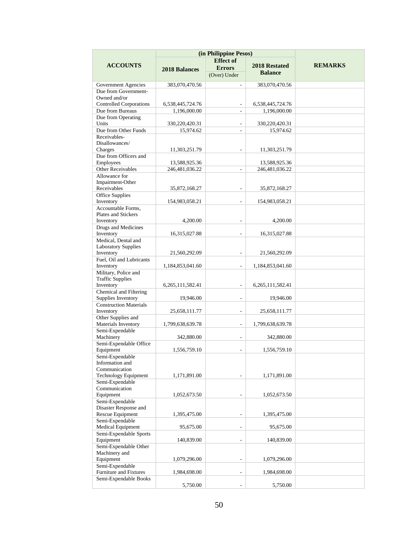| (in Philippine Pesos)                          |                      |                          |                      |                |
|------------------------------------------------|----------------------|--------------------------|----------------------|----------------|
|                                                |                      | <b>Effect</b> of         |                      |                |
| <b>ACCOUNTS</b>                                | <b>2018 Balances</b> | <b>Errors</b>            | 2018 Restated        | <b>REMARKS</b> |
|                                                |                      | (Over) Under             | <b>Balance</b>       |                |
|                                                |                      |                          |                      |                |
| Government Agencies<br>Due from Government-    | 383,070,470.56       | ٠                        | 383,070,470.56       |                |
| Owned and/or                                   |                      |                          |                      |                |
| <b>Controlled Corporations</b>                 | 6,538,445,724.76     | $\overline{a}$           | 6,538,445,724.76     |                |
| Due from Bureaus                               | 1,196,000.00         |                          | 1,196,000.00         |                |
| Due from Operating                             |                      |                          |                      |                |
| Units                                          | 330,220,420.31       | $\overline{\phantom{a}}$ | 330,220,420.31       |                |
| Due from Other Funds                           | 15,974.62            | $\overline{a}$           | 15,974.62            |                |
| Receivables-                                   |                      |                          |                      |                |
| Disallowances/                                 |                      |                          |                      |                |
| Charges                                        | 11,303,251.79        |                          | 11,303,251.79        |                |
| Due from Officers and                          |                      |                          |                      |                |
| Employees                                      | 13,588,925.36        |                          | 13,588,925.36        |                |
| <b>Other Receivables</b>                       | 246,481,036.22       | $\overline{a}$           | 246,481,036.22       |                |
| Allowance for                                  |                      |                          |                      |                |
| Impairment-Other                               |                      |                          |                      |                |
| Receivables<br><b>Office Supplies</b>          | 35,872,168.27        |                          | 35,872,168.27        |                |
| Inventory                                      | 154,983,058.21       |                          | 154,983,058.21       |                |
| Accountable Forms,                             |                      |                          |                      |                |
| <b>Plates and Stickers</b>                     |                      |                          |                      |                |
| Inventory                                      | 4,200.00             |                          | 4,200.00             |                |
| Drugs and Medicines                            |                      |                          |                      |                |
| Inventory                                      | 16,315,027.88        |                          | 16,315,027.88        |                |
| Medical, Dental and                            |                      |                          |                      |                |
| <b>Laboratory Supplies</b>                     |                      |                          |                      |                |
| Inventory                                      | 21,560,292.09        | ٠                        | 21,560,292.09        |                |
| Fuel, Oil and Lubricants                       |                      |                          |                      |                |
| Inventory                                      | 1,184,853,041.60     | $\overline{\phantom{0}}$ | 1,184,853,041.60     |                |
| Military, Police and                           |                      |                          |                      |                |
| <b>Traffic Supplies</b>                        |                      |                          |                      |                |
| Inventory<br>Chemical and Filtering            | 6, 265, 111, 582. 41 |                          | 6, 265, 111, 582. 41 |                |
| Supplies Inventory                             | 19,946.00            | ٠                        | 19,946.00            |                |
| <b>Construction Materials</b>                  |                      |                          |                      |                |
| Inventory                                      | 25,658,111.77        | $\overline{\phantom{0}}$ | 25,658,111.77        |                |
| Other Supplies and                             |                      |                          |                      |                |
| Materials Inventory                            | 1,799,638,639.78     | ÷.                       | 1,799,638,639.78     |                |
| Semi-Expendable                                |                      |                          |                      |                |
| Machinery                                      | 342,880.00           |                          | 342,880.00           |                |
| Semi-Expendable Office                         |                      |                          |                      |                |
| Equipment                                      | 1,556,759.10         |                          | 1,556,759.10         |                |
| Semi-Expendable                                |                      |                          |                      |                |
| Information and                                |                      |                          |                      |                |
| Communication                                  |                      |                          |                      |                |
| <b>Technology Equipment</b><br>Semi-Expendable | 1,171,891.00         |                          | 1,171,891.00         |                |
| Communication                                  |                      |                          |                      |                |
| Equipment                                      | 1,052,673.50         |                          | 1,052,673.50         |                |
| Semi-Expendable                                |                      |                          |                      |                |
| Disaster Response and                          |                      |                          |                      |                |
| Rescue Equipment                               | 1,395,475.00         |                          | 1,395,475.00         |                |
| Semi-Expendable                                |                      |                          |                      |                |
| Medical Equipment                              | 95,675.00            |                          | 95,675.00            |                |
| Semi-Expendable Sports                         |                      |                          |                      |                |
| Equipment                                      | 140,839.00           |                          | 140,839.00           |                |
| Semi-Expendable Other                          |                      |                          |                      |                |
| Machinery and                                  |                      |                          |                      |                |
| Equipment                                      | 1,079,296.00         |                          | 1,079,296.00         |                |
| Semi-Expendable                                |                      |                          |                      |                |
| <b>Furniture and Fixtures</b>                  | 1,984,698.00         | ÷.                       | 1,984,698.00         |                |
| Semi-Expendable Books                          | 5,750.00             |                          | 5,750.00             |                |
|                                                |                      |                          |                      |                |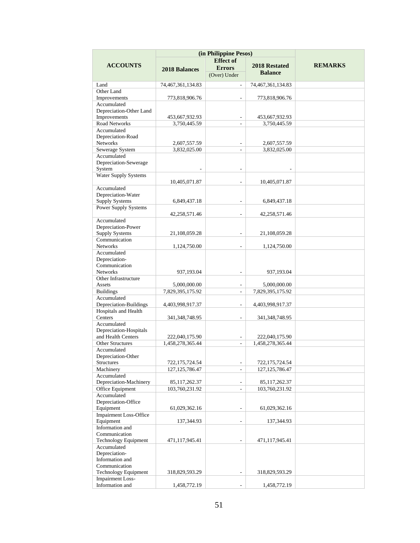|                                         | (in Philippine Pesos) |                          |                      |                |
|-----------------------------------------|-----------------------|--------------------------|----------------------|----------------|
|                                         |                       | <b>Effect</b> of         |                      |                |
| <b>ACCOUNTS</b>                         | <b>2018 Balances</b>  | <b>Errors</b>            | <b>2018 Restated</b> | <b>REMARKS</b> |
|                                         |                       | (Over) Under             | <b>Balance</b>       |                |
| Land                                    | 74,467,361,134.83     | $\overline{\phantom{a}}$ | 74,467,361,134.83    |                |
| Other Land                              |                       |                          |                      |                |
| Improvements                            | 773,818,906.76        |                          | 773,818,906.76       |                |
| Accumulated                             |                       |                          |                      |                |
| Depreciation-Other Land                 |                       |                          |                      |                |
| Improvements                            | 453,667,932.93        | $\overline{\phantom{a}}$ | 453,667,932.93       |                |
| Road Networks                           | 3,750,445.59          | ÷                        | 3,750,445.59         |                |
| Accumulated<br>Depreciation-Road        |                       |                          |                      |                |
| Networks                                | 2,607,557.59          |                          | 2,607,557.59         |                |
| Sewerage System                         | 3,832,025.00          | $\sim$                   | 3.832.025.00         |                |
| Accumulated                             |                       |                          |                      |                |
| Depreciation-Sewerage                   |                       |                          |                      |                |
| System                                  |                       | ÷                        |                      |                |
| <b>Water Supply Systems</b>             |                       |                          |                      |                |
|                                         | 10,405,071.87         |                          | 10,405,071.87        |                |
| Accumulated                             |                       |                          |                      |                |
| Depreciation-Water                      |                       |                          |                      |                |
| <b>Supply Systems</b>                   | 6,849,437.18          |                          | 6,849,437.18         |                |
| <b>Power Supply Systems</b>             | 42,258,571.46         |                          | 42,258,571.46        |                |
| Accumulated                             |                       |                          |                      |                |
| Depreciation-Power                      |                       |                          |                      |                |
| <b>Supply Systems</b>                   | 21,108,059.28         |                          | 21,108,059.28        |                |
| Communication                           |                       |                          |                      |                |
| <b>Networks</b>                         | 1,124,750.00          |                          | 1,124,750.00         |                |
| Accumulated                             |                       |                          |                      |                |
| Depreciation-                           |                       |                          |                      |                |
| Communication                           |                       |                          |                      |                |
| <b>Networks</b>                         | 937,193.04            |                          | 937,193.04           |                |
| Other Infrastructure<br>Assets          | 5,000,000.00          | $\sim$                   | 5,000,000.00         |                |
| <b>Buildings</b>                        | 7,829,395,175.92      |                          | 7,829,395,175.92     |                |
| Accumulated                             |                       |                          |                      |                |
| Depreciation-Buildings                  | 4,403,998,917.37      | $\overline{\phantom{a}}$ | 4,403,998,917.37     |                |
| Hospitals and Health                    |                       |                          |                      |                |
| Centers                                 | 341, 348, 748. 95     | ÷,                       | 341,348,748.95       |                |
| Accumulated                             |                       |                          |                      |                |
| Depreciation-Hospitals                  |                       |                          |                      |                |
| and Health Centers                      | 222,040,175.90        |                          | 222,040,175.90       |                |
| <b>Other Structures</b>                 | 1,458,278,365.44      | $\sim$                   | 1,458,278,365.44     |                |
| Accumulated                             |                       |                          |                      |                |
| Depreciation-Other<br><b>Structures</b> | 722,175,724.54        | $\overline{a}$           | 722,175,724.54       |                |
| Machinery                               | 127, 125, 786. 47     |                          | 127, 125, 786. 47    |                |
| Accumulated                             |                       |                          |                      |                |
| Depreciation-Machinery                  | 85,117,262.37         |                          | 85,117,262.37        |                |
| Office Equipment                        | 103,760,231.92        | $\overline{a}$           | 103,760,231.92       |                |
| Accumulated                             |                       |                          |                      |                |
| Depreciation-Office                     |                       |                          |                      |                |
| Equipment                               | 61,029,362.16         |                          | 61,029,362.16        |                |
| <b>Impairment Loss-Office</b>           |                       |                          |                      |                |
| Equipment<br>Information and            | 137,344.93            |                          | 137,344.93           |                |
| Communication                           |                       |                          |                      |                |
| Technology Equipment                    | 471,117,945.41        |                          | 471,117,945.41       |                |
| Accumulated                             |                       |                          |                      |                |
| Depreciation-                           |                       |                          |                      |                |
| Information and                         |                       |                          |                      |                |
| Communication                           |                       |                          |                      |                |
| Technology Equipment                    | 318,829,593.29        |                          | 318,829,593.29       |                |
| <b>Impairment Loss-</b>                 |                       |                          |                      |                |
| Information and                         | 1,458,772.19          |                          | 1,458,772.19         |                |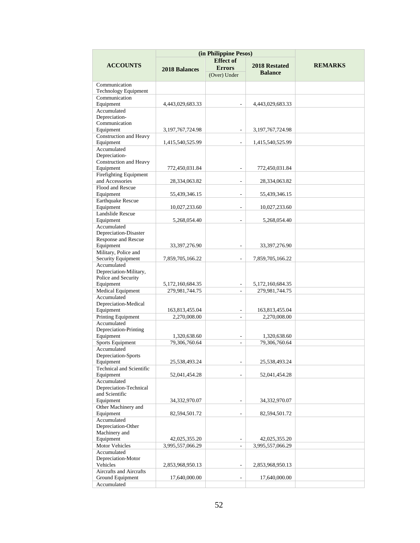|                                            | (in Philippine Pesos) |                          |                      |                |
|--------------------------------------------|-----------------------|--------------------------|----------------------|----------------|
|                                            |                       | <b>Effect</b> of         |                      |                |
| <b>ACCOUNTS</b>                            | <b>2018 Balances</b>  | <b>Errors</b>            | 2018 Restated        | <b>REMARKS</b> |
|                                            |                       | (Over) Under             | <b>Balance</b>       |                |
| Communication                              |                       |                          |                      |                |
| <b>Technology Equipment</b>                |                       |                          |                      |                |
| Communication                              |                       |                          |                      |                |
| Equipment                                  | 4,443,029,683.33      |                          | 4,443,029,683.33     |                |
| Accumulated                                |                       |                          |                      |                |
| Depreciation-                              |                       |                          |                      |                |
| Communication                              |                       |                          |                      |                |
| Equipment                                  | 3, 197, 767, 724. 98  | $\overline{\phantom{a}}$ | 3,197,767,724.98     |                |
| Construction and Heavy                     |                       |                          |                      |                |
| Equipment                                  | 1,415,540,525.99      | $\overline{a}$           | 1,415,540,525.99     |                |
| Accumulated<br>Depreciation-               |                       |                          |                      |                |
| Construction and Heavy                     |                       |                          |                      |                |
| Equipment                                  | 772,450,031.84        |                          | 772,450,031.84       |                |
| Firefighting Equipment                     |                       |                          |                      |                |
| and Accessories                            | 28,334,063.82         | $\overline{\phantom{a}}$ | 28,334,063.82        |                |
| Flood and Rescue                           |                       |                          |                      |                |
| Equipment                                  | 55,439,346.15         | ÷,                       | 55,439,346.15        |                |
| <b>Earthquake Rescue</b>                   |                       |                          |                      |                |
| Equipment                                  | 10,027,233.60         | ÷                        | 10,027,233.60        |                |
| Landslide Rescue                           |                       |                          |                      |                |
| Equipment                                  | 5,268,054.40          | $\overline{\phantom{a}}$ | 5,268,054.40         |                |
| Accumulated                                |                       |                          |                      |                |
| Depreciation-Disaster                      |                       |                          |                      |                |
| Response and Rescue                        |                       |                          |                      |                |
| Equipment                                  | 33,397,276.90         |                          | 33,397,276.90        |                |
| Military, Police and<br>Security Equipment | 7,859,705,166.22      |                          | 7,859,705,166.22     |                |
| Accumulated                                |                       |                          |                      |                |
| Depreciation-Military,                     |                       |                          |                      |                |
| Police and Security                        |                       |                          |                      |                |
| Equipment                                  | 5,172,160,684.35      | $\overline{\phantom{a}}$ | 5, 172, 160, 684. 35 |                |
| Medical Equipment                          | 279,981,744.75        | $\overline{\phantom{a}}$ | 279,981,744.75       |                |
| Accumulated                                |                       |                          |                      |                |
| Depreciation-Medical                       |                       |                          |                      |                |
| Equipment                                  | 163,813,455.04        |                          | 163,813,455.04       |                |
| Printing Equipment                         | 2,270,008.00          | $\sim$                   | 2,270,008.00         |                |
| Accumulated                                |                       |                          |                      |                |
| Depreciation-Printing                      |                       |                          |                      |                |
| Equipment                                  | 1,320,638.60          | ÷,                       | 1,320,638.60         |                |
| Sports Equipment                           | 79,306,760.64         | ÷                        | 79,306,760.64        |                |
| Accumulated                                |                       |                          |                      |                |
| Depreciation-Sports<br>Equipment           | 25,538,493.24         |                          | 25,538,493.24        |                |
| Technical and Scientific                   |                       |                          |                      |                |
| Equipment                                  | 52,041,454.28         |                          | 52,041,454.28        |                |
| Accumulated                                |                       |                          |                      |                |
| Depreciation-Technical                     |                       |                          |                      |                |
| and Scientific                             |                       |                          |                      |                |
| Equipment                                  | 34,332,970.07         |                          | 34,332,970.07        |                |
| Other Machinery and                        |                       |                          |                      |                |
| Equipment                                  | 82,594,501.72         | $\overline{\phantom{a}}$ | 82,594,501.72        |                |
| Accumulated                                |                       |                          |                      |                |
| Depreciation-Other                         |                       |                          |                      |                |
| Machinery and                              |                       |                          |                      |                |
| Equipment                                  | 42,025,355.20         | $\overline{a}$           | 42,025,355.20        |                |
| Motor Vehicles<br>Accumulated              | 3,995,557,066.29      | $\overline{\phantom{a}}$ | 3,995,557,066.29     |                |
| Depreciation-Motor                         |                       |                          |                      |                |
| Vehicles                                   | 2,853,968,950.13      |                          | 2,853,968,950.13     |                |
| Aircrafts and Aircrafts                    |                       |                          |                      |                |
| Ground Equipment                           | 17,640,000.00         |                          | 17,640,000.00        |                |
| Accumulated                                |                       |                          |                      |                |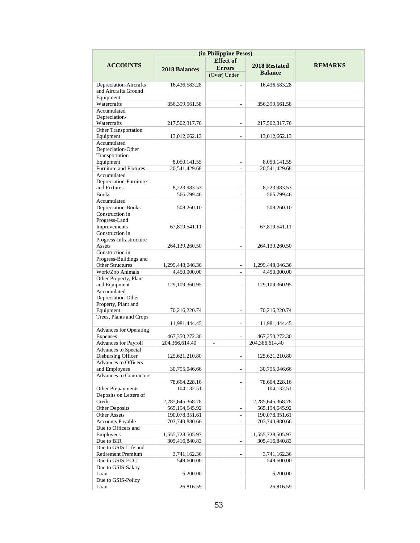|                                            | (in Philippine Pesos) |                              |                   |                |
|--------------------------------------------|-----------------------|------------------------------|-------------------|----------------|
|                                            |                       | <b>Effect</b> of             |                   |                |
| <b>ACCOUNTS</b>                            | <b>2018 Balances</b>  | <b>Errors</b>                | 2018 Restated     | <b>REMARKS</b> |
|                                            |                       | (Over) Under                 | <b>Balance</b>    |                |
| Depreciation-Aircrafts                     | 16,436,583.28         |                              | 16,436,583.28     |                |
| and Aircrafts Ground                       |                       |                              |                   |                |
| Equipment                                  |                       |                              |                   |                |
| Watercrafts                                | 356,399,561.58        | $\overline{\phantom{a}}$     | 356,399,561.58    |                |
| Accumulated                                |                       |                              |                   |                |
| Depreciation-                              |                       |                              |                   |                |
| Watercrafts                                | 217,502,317.76        |                              | 217,502,317.76    |                |
| <b>Other Transportation</b>                |                       |                              |                   |                |
| Equipment                                  | 13,012,662.13         |                              | 13,012,662.13     |                |
| Accumulated<br>Depreciation-Other          |                       |                              |                   |                |
| Transportation                             |                       |                              |                   |                |
| Equipment                                  | 8,050,141.55          |                              | 8,050,141.55      |                |
| Furniture and Fixtures                     | 20,541,429.68         |                              | 20,541,429.68     |                |
| Accumulated                                |                       |                              |                   |                |
| Depreciation-Furniture                     |                       |                              |                   |                |
| and Fixtures                               | 8,223,983.53          |                              | 8,223,983.53      |                |
| <b>Books</b>                               | 566,799.46            | $\overline{a}$               | 566,799.46        |                |
| Accumulated                                |                       |                              |                   |                |
| Depreciation-Books                         | 508,260.10            |                              | 508,260.10        |                |
| Construction in                            |                       |                              |                   |                |
| Progress-Land                              |                       |                              |                   |                |
| Improvements                               | 67,819,541.11         |                              | 67,819,541.11     |                |
| Construction in<br>Progress-Infrastructure |                       |                              |                   |                |
| Assets                                     | 264,139,260.50        |                              | 264,139,260.50    |                |
| Construction in                            |                       |                              |                   |                |
| Progress-Buildings and                     |                       |                              |                   |                |
| Other Structures                           | 1,299,448,046.36      | $\qquad \qquad \blacksquare$ | 1,299,448,046.36  |                |
| Work/Zoo Animals                           | 4,450,000.00          | $\sim$                       | 4,450,000.00      |                |
| Other Property, Plant                      |                       |                              |                   |                |
| and Equipment                              | 129, 109, 360. 95     |                              | 129, 109, 360. 95 |                |
| Accumulated                                |                       |                              |                   |                |
| Depreciation-Other                         |                       |                              |                   |                |
| Property, Plant and                        |                       |                              |                   |                |
| Equipment                                  | 70,216,220.74         | $\overline{\phantom{a}}$     | 70,216,220.74     |                |
| Trees, Plants and Crops                    |                       |                              |                   |                |
|                                            | 11,981,444.45         | $\overline{\phantom{a}}$     | 11,981,444.45     |                |
| <b>Advances for Operating</b><br>Expenses  | 467,350,272.30        |                              | 467, 350, 272. 30 |                |
| Advances for Payroll                       | 204,366,614.40        | ÷.                           | 204,366,614.40    |                |
| Advances to Special                        |                       |                              |                   |                |
| Disbursing Officer                         | 125,621,210.80        |                              | 125,621,210.80    |                |
| Advances to Officers                       |                       |                              |                   |                |
| and Employees                              | 30,795,046.66         |                              | 30,795,046.66     |                |
| <b>Advances to Contractors</b>             |                       |                              |                   |                |
|                                            | 78,664,228.16         |                              | 78,664,228.16     |                |
| Other Prepayments                          | 104,132.51            | $\overline{\phantom{a}}$     | 104,132.51        |                |
| Deposits on Letters of                     |                       |                              |                   |                |
| Credit                                     | 2,285,645,368.78      | $\overline{\phantom{a}}$     | 2,285,645,368.78  |                |
| Other Deposits                             | 565,194,645.92        | $\overline{\phantom{a}}$     | 565,194,645.92    |                |
| Other Assets                               | 190,078,351.61        | $\overline{\phantom{a}}$     | 190,078,351.61    |                |
| <b>Accounts Payable</b>                    | 703,740,880.66        | $\overline{\phantom{a}}$     | 703,740,880.66    |                |
| Due to Officers and                        |                       |                              |                   |                |
| Employees                                  | 1,555,728,505.97      | $\overline{\phantom{a}}$     | 1,555,728,505.97  |                |
| Due to BIR<br>Due to GSIS-Life and         | 305,416,840.83        | $\overline{\phantom{a}}$     | 305,416,840.83    |                |
| Retirement Premium                         | 3,741,162.36          |                              | 3,741,162.36      |                |
| Due to GSIS-ECC                            | 549,600.00            |                              | 549,600.00        |                |
| Due to GSIS-Salary                         |                       |                              |                   |                |
| Loan                                       | 6,200.00              |                              | 6,200.00          |                |
| Due to GSIS-Policy                         |                       |                              |                   |                |
| Loan                                       | 26,816.59             |                              | 26,816.59         |                |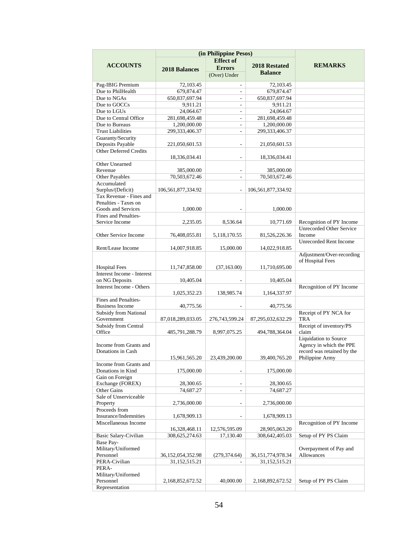|                                       | (in Philippine Pesos) |                               |                       |                                               |  |
|---------------------------------------|-----------------------|-------------------------------|-----------------------|-----------------------------------------------|--|
|                                       |                       | <b>Effect</b> of              |                       |                                               |  |
| <b>ACCOUNTS</b>                       | <b>2018 Balances</b>  | <b>Errors</b>                 | 2018 Restated         | <b>REMARKS</b>                                |  |
|                                       |                       | (Over) Under                  | <b>Balance</b>        |                                               |  |
|                                       |                       |                               |                       |                                               |  |
| Pag-IBIG Premium<br>Due to PhilHealth | 72,103.45             | $\overline{\phantom{a}}$<br>÷ | 72,103.45             |                                               |  |
|                                       | 679,874.47            |                               | 679,874.47            |                                               |  |
| Due to NGAs<br>Due to GOCCs           | 650,837,697.94        |                               | 650,837,697.94        |                                               |  |
| Due to LGUs                           | 9,911.21<br>24,064.67 | ٠<br>$\overline{\phantom{a}}$ | 9,911.21<br>24,064.67 |                                               |  |
| Due to Central Office                 | 281,698,459.48        | $\overline{a}$                | 281,698,459.48        |                                               |  |
| Due to Bureaus                        | 1.200.000.00          | $\overline{\phantom{a}}$      | 1,200,000.00          |                                               |  |
| <b>Trust Liabilities</b>              | 299,333,406.37        | ÷,                            | 299,333,406.37        |                                               |  |
| Guaranty/Security                     |                       |                               |                       |                                               |  |
| Deposits Payable                      | 221,050,601.53        | ÷,                            | 21,050,601.53         |                                               |  |
| <b>Other Deferred Credits</b>         |                       |                               |                       |                                               |  |
|                                       | 18,336,034.41         | L.                            | 18,336,034.41         |                                               |  |
| Other Unearned                        |                       |                               |                       |                                               |  |
| Revenue                               | 385,000.00            | $\overline{a}$                | 385,000.00            |                                               |  |
| <b>Other Payables</b>                 | 70,503,672.46         | $\overline{a}$                | 70,503,672.46         |                                               |  |
| Accumulated                           |                       |                               |                       |                                               |  |
| Surplus/(Deficit)                     | 106,561,877,334.92    | ÷,                            | 106,561,877,334.92    |                                               |  |
| Tax Revenue - Fines and               |                       |                               |                       |                                               |  |
| Penalties - Taxes on                  |                       |                               |                       |                                               |  |
| Goods and Services                    | 1,000.00              |                               | 1.000.00              |                                               |  |
| Fines and Penalties-                  |                       |                               |                       |                                               |  |
| Service Income                        | 2,235.05              | 8,536.64                      | 10,771.69             | Recognition of PY Income                      |  |
|                                       |                       |                               |                       | <b>Unrecorded Other Service</b>               |  |
| Other Service Income                  | 76,408,055.81         | 5,118,170.55                  | 81,526,226.36         | <b>Income</b>                                 |  |
| Rent/Lease Income                     |                       |                               |                       | <b>Unrecorded Rent Income</b>                 |  |
|                                       | 14,007,918.85         | 15,000.00                     | 14,022,918.85         |                                               |  |
|                                       |                       |                               |                       | Adjustment/Over-recording<br>of Hospital Fees |  |
| <b>Hospital Fees</b>                  | 11,747,858.00         | (37, 163.00)                  | 11,710,695.00         |                                               |  |
| Interest Income - Interest            |                       |                               |                       |                                               |  |
| on NG Deposits                        | 10,405.04             |                               | 10,405.04             |                                               |  |
| Interest Income - Others              |                       |                               |                       | Recognition of PY Income                      |  |
|                                       | 1,025,352.23          | 138,985.74                    | 1,164,337.97          |                                               |  |
| Fines and Penalties-                  |                       |                               |                       |                                               |  |
| <b>Business Income</b>                | 40,775.56             |                               | 40,775.56             |                                               |  |
| Subsidy from National                 |                       |                               |                       | Receipt of PY NCA for                         |  |
| Government                            | 87,018,289,033.05     | 276,743,599.24                | 87,295,032,632.29     | TRA                                           |  |
| Subsidy from Central                  |                       |                               |                       | Receipt of inventory/PS                       |  |
| Office                                | 485,791,288.79        | 8,997,075.25                  | 494,788,364.04        | claim                                         |  |
|                                       |                       |                               |                       | Liquidation to Source                         |  |
| Income from Grants and                |                       |                               |                       | Agency in which the PPE                       |  |
| Donations in Cash                     |                       |                               |                       | record was retained by the                    |  |
| Income from Grants and                | 15,961,565.20         | 23,439,200.00                 | 39,400,765.20         | Philippine Army                               |  |
| Donations in Kind                     | 175,000.00            |                               | 175,000.00            |                                               |  |
| Gain on Foreign                       |                       |                               |                       |                                               |  |
| Exchange (FOREX)                      | 28,300.65             |                               | 28,300.65             |                                               |  |
| Other Gains                           | 74,687.27             |                               | 74,687.27             |                                               |  |
| Sale of Unserviceable                 |                       |                               |                       |                                               |  |
| Property                              | 2,736,000.00          |                               | 2,736,000.00          |                                               |  |
| Proceeds from                         |                       |                               |                       |                                               |  |
| Insurance/Indemnities                 | 1,678,909.13          |                               | 1,678,909.13          |                                               |  |
| Miscellaneous Income                  |                       |                               |                       | Recognition of PY Income                      |  |
|                                       | 16,328,468.11         | 12,576,595.09                 | 28,905,063.20         |                                               |  |
| <b>Basic Salary-Civilian</b>          | 308,625,274.63        | 17,130.40                     | 308,642,405.03        | Setup of PY PS Claim                          |  |
| Base Pay-                             |                       |                               |                       |                                               |  |
| Military/Uniformed                    |                       |                               |                       | Overpayment of Pay and                        |  |
| Personnel                             | 36, 152, 054, 352. 98 | (279, 374.64)                 | 36, 151, 774, 978. 34 | Allowances                                    |  |
| PERA-Civilian                         | 31,152,515.21         |                               | 31,152,515.21         |                                               |  |
| PERA-                                 |                       |                               |                       |                                               |  |
| Military/Uniformed                    |                       |                               |                       |                                               |  |
| Personnel                             | 2,168,852,672.52      | 40,000.00                     | 2,168,892,672.52      | Setup of PY PS Claim                          |  |
| Representation                        |                       |                               |                       |                                               |  |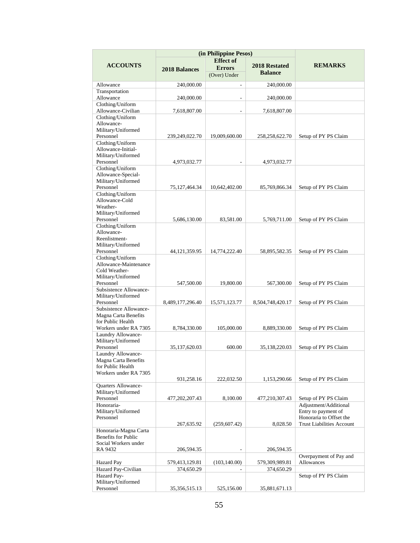|                                                     | (in Philippine Pesos) |                                                   |                                        |                                               |
|-----------------------------------------------------|-----------------------|---------------------------------------------------|----------------------------------------|-----------------------------------------------|
| <b>ACCOUNTS</b>                                     | 2018 Balances         | <b>Effect</b> of<br><b>Errors</b><br>(Over) Under | <b>2018 Restated</b><br><b>Balance</b> | <b>REMARKS</b>                                |
| Allowance                                           | 240,000.00            | $\overline{a}$                                    | 240,000.00                             |                                               |
| Transportation                                      |                       |                                                   |                                        |                                               |
| Allowance                                           | 240,000.00            |                                                   | 240,000.00                             |                                               |
| Clothing/Uniform                                    |                       |                                                   |                                        |                                               |
| Allowance-Civilian                                  | 7,618,807.00          |                                                   | 7,618,807.00                           |                                               |
| Clothing/Uniform<br>Allowance-                      |                       |                                                   |                                        |                                               |
| Military/Uniformed                                  |                       |                                                   |                                        |                                               |
| Personnel                                           | 239,249,022.70        | 19,009,600.00                                     | 258,258,622.70                         | Setup of PY PS Claim                          |
| Clothing/Uniform                                    |                       |                                                   |                                        |                                               |
| Allowance-Initial-                                  |                       |                                                   |                                        |                                               |
| Military/Uniformed<br>Personnel                     | 4,973,032.77          |                                                   | 4,973,032.77                           |                                               |
| Clothing/Uniform                                    |                       |                                                   |                                        |                                               |
| Allowance-Special-                                  |                       |                                                   |                                        |                                               |
| Military/Uniformed                                  |                       |                                                   |                                        |                                               |
| Personnel<br>Clothing/Uniform                       | 75,127,464.34         | 10,642,402.00                                     | 85,769,866.34                          | Setup of PY PS Claim                          |
| Allowance-Cold                                      |                       |                                                   |                                        |                                               |
| Weather-                                            |                       |                                                   |                                        |                                               |
| Military/Uniformed                                  |                       |                                                   |                                        |                                               |
| Personnel                                           | 5.686.130.00          | 83.581.00                                         | 5,769,711.00                           | Setup of PY PS Claim                          |
| Clothing/Uniform<br>Allowance-                      |                       |                                                   |                                        |                                               |
| Reenlistment-                                       |                       |                                                   |                                        |                                               |
| Military/Uniformed                                  |                       |                                                   |                                        |                                               |
| Personnel                                           | 44, 121, 359. 95      | 14,774,222.40                                     | 58,895,582.35                          | Setup of PY PS Claim                          |
| Clothing/Uniform<br>Allowance-Maintenance           |                       |                                                   |                                        |                                               |
| Cold Weather-                                       |                       |                                                   |                                        |                                               |
| Military/Uniformed                                  |                       |                                                   |                                        |                                               |
| Personnel                                           | 547,500.00            | 19,800.00                                         | 567,300.00                             | Setup of PY PS Claim                          |
| Subsistence Allowance-                              |                       |                                                   |                                        |                                               |
| Military/Uniformed<br>Personnel                     | 8,489,177,296.40      | 15,571,123.77                                     | 8,504,748,420.17                       | Setup of PY PS Claim                          |
| Subsistence Allowance-                              |                       |                                                   |                                        |                                               |
| Magna Carta Benefits                                |                       |                                                   |                                        |                                               |
| for Public Health                                   |                       |                                                   |                                        |                                               |
| Workers under RA 7305<br>Laundry Allowance-         | 8,784,330.00          | 105,000.00                                        | 8,889,330.00                           | Setup of PY PS Claim                          |
| Military/Uniformed                                  |                       |                                                   |                                        |                                               |
| Personnel                                           | 35,137,620.03         | 600.00                                            | 35,138,220.03                          | Setup of PY PS Claim                          |
| Laundry Allowance-                                  |                       |                                                   |                                        |                                               |
| Magna Carta Benefits<br>for Public Health           |                       |                                                   |                                        |                                               |
| Workers under RA 7305                               |                       |                                                   |                                        |                                               |
|                                                     | 931,258.16            | 222,032.50                                        | 1,153,290.66                           | Setup of PY PS Claim                          |
| Quarters Allowance-                                 |                       |                                                   |                                        |                                               |
| Military/Uniformed                                  |                       |                                                   |                                        |                                               |
| Personnel<br>Honoraria-                             | 477,202,207.43        | 8,100.00                                          | 477,210,307.43                         | Setup of PY PS Claim<br>Adjustment/Additional |
| Military/Uniformed                                  |                       |                                                   |                                        | Entry to payment of                           |
| Personnel                                           |                       |                                                   |                                        | Honoraria to Offset the                       |
|                                                     | 267,635.92            | (259,607.42)                                      | 8,028.50                               | <b>Trust Liabilities Account</b>              |
| Honoraria-Magna Carta<br><b>Benefits for Public</b> |                       |                                                   |                                        |                                               |
| Social Workers under                                |                       |                                                   |                                        |                                               |
| RA 9432                                             | 206,594.35            |                                                   | 206,594.35                             |                                               |
|                                                     |                       |                                                   |                                        | Overpayment of Pay and                        |
| Hazard Pay                                          | 579,413,129.81        | (103, 140.00)                                     | 579,309,989.81                         | Allowances                                    |
| Hazard Pay-Civilian<br>Hazard Pay-                  | 374,650.29            |                                                   | 374,650.29                             | Setup of PY PS Claim                          |
| Military/Uniformed                                  |                       |                                                   |                                        |                                               |
| Personnel                                           | 35,356,515.13         | 525,156.00                                        | 35,881,671.13                          |                                               |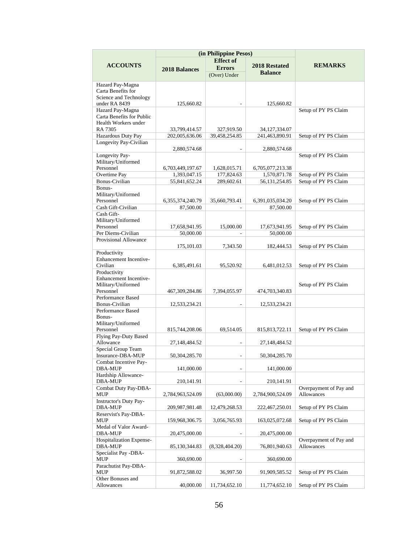|                                                                                   | (in Philippine Pesos)             |                                   |                               |                                      |
|-----------------------------------------------------------------------------------|-----------------------------------|-----------------------------------|-------------------------------|--------------------------------------|
| <b>ACCOUNTS</b>                                                                   | <b>2018 Balances</b>              | <b>Effect</b> of<br><b>Errors</b> | 2018 Restated                 | <b>REMARKS</b>                       |
|                                                                                   |                                   | (Over) Under                      | <b>Balance</b>                |                                      |
| Hazard Pay-Magna<br>Carta Benefits for<br>Science and Technology<br>under RA 8439 | 125,660.82                        |                                   | 125,660.82                    |                                      |
| Hazard Pay-Magna<br>Carta Benefits for Public<br>Health Workers under             |                                   |                                   |                               | Setup of PY PS Claim                 |
| RA 7305                                                                           | 33,799,414.57                     | 327,919.50                        | 34,127,334.07                 |                                      |
| Hazardous Duty Pay<br>Longevity Pay-Civilian                                      | 202,005,636.06                    | 39,458,254.85                     | 241,463,890.91                | Setup of PY PS Claim                 |
|                                                                                   | 2,880,574.68                      |                                   | 2,880,574.68                  |                                      |
| Longevity Pay-<br>Military/Uniformed<br>Personnel                                 | 6,703,449,197.67                  | 1,628,015.71                      | 6,705,077,213.38              | Setup of PY PS Claim                 |
| Overtime Pay                                                                      | 1,393,047.15                      | 177,824.63                        | 1,570,871.78                  | Setup of PY PS Claim                 |
| <b>Bonus-Civilian</b>                                                             | 55,841,652.24                     | 289,602.61                        | 56, 131, 254.85               | Setup of PY PS Claim                 |
| Bonus-<br>Military/Uniformed                                                      |                                   |                                   |                               |                                      |
| Personnel<br>Cash Gift-Civilian                                                   | 6, 355, 374, 240. 79<br>87,500.00 | 35,660,793.41                     | 6,391,035,034.20<br>87,500.00 | Setup of PY PS Claim                 |
| Cash Gift-                                                                        |                                   |                                   |                               |                                      |
| Military/Uniformed<br>Personnel                                                   | 17,658,941.95                     | 15,000.00                         | 17,673,941.95                 | Setup of PY PS Claim                 |
| Per Diems-Civilian                                                                | 50,000.00                         | ÷.                                | 50,000.00                     |                                      |
| Provisional Allowance                                                             | 175, 101.03                       | 7,343.50                          | 182,444.53                    | Setup of PY PS Claim                 |
| Productivity                                                                      |                                   |                                   |                               |                                      |
| Enhancement Incentive-<br>Civilian                                                | 6,385,491.61                      | 95,520.92                         | 6,481,012.53                  | Setup of PY PS Claim                 |
| Productivity<br><b>Enhancement Incentive-</b><br>Military/Uniformed               |                                   |                                   |                               | Setup of PY PS Claim                 |
| Personnel<br>Performance Based                                                    | 467,309,284.86                    | 7,394,055.97                      | 474,703,340.83                |                                      |
| Bonus-Civilian                                                                    | 12,533,234.21                     |                                   | 12,533,234.21                 |                                      |
| Performance Based<br>Bonus-<br>Military/Uniformed                                 |                                   |                                   |                               |                                      |
| Personnel                                                                         | 815,744,208.06                    | 69,514.05                         | 815, 813, 722. 11             | Setup of PY PS Claim                 |
| Flying Pay-Duty Based<br>Allowance                                                | 27,148,484.52                     |                                   | 27,148,484.52                 |                                      |
| Special Group Team<br>Insurance-DBA-MUP                                           | 50,304,285.70                     |                                   | 50,304,285.70                 |                                      |
| Combat Incentive Pay-<br>DBA-MUP                                                  | 141,000.00                        |                                   | 141,000.00                    |                                      |
| Hardship Allowance-<br><b>DBA-MUP</b>                                             | 210,141.91                        |                                   | 210,141.91                    |                                      |
| Combat Duty Pay-DBA-<br><b>MUP</b>                                                | 2,784,963,524.09                  | (63,000.00)                       | 2,784,900,524.09              | Overpayment of Pay and<br>Allowances |
| Instructor's Duty Pay-<br><b>DBA-MUP</b>                                          | 209,987,981.48                    | 12,479,268.53                     | 222,467,250.01                | Setup of PY PS Claim                 |
| Reservist's Pay-DBA-<br>$\ensuremath{\mathrm{MUP}}$                               | 159,968,306.75                    | 3,056,765.93                      | 163,025,072.68                | Setup of PY PS Claim                 |
| Medal of Valor Award-<br><b>DBA-MUP</b>                                           | 20,475,000.00                     |                                   | 20,475,000.00                 |                                      |
| Hospitalization Expense-<br><b>DBA-MUP</b>                                        | 85,130,344.83                     | (8,328,404.20)                    | 76,801,940.63                 | Overpayment of Pay and<br>Allowances |
| Specialist Pay -DBA-<br>MUP                                                       | 360,690.00                        |                                   | 360,690.00                    |                                      |
| Parachutist Pay-DBA-<br>MUP                                                       | 91,872,588.02                     | 36,997.50                         | 91,909,585.52                 | Setup of PY PS Claim                 |
| Other Bonuses and                                                                 |                                   |                                   |                               |                                      |
| Allowances                                                                        | 40,000.00                         | 11,734,652.10                     | 11,774,652.10                 | Setup of PY PS Claim                 |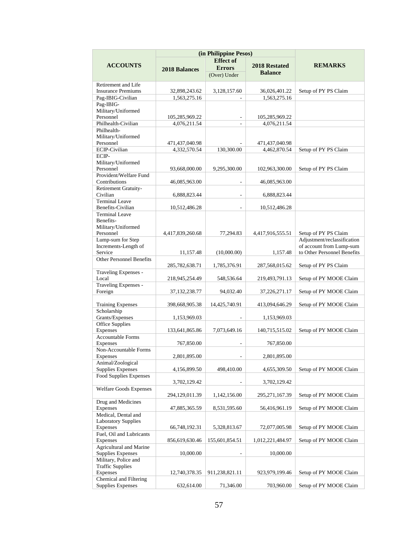|                                    | (in Philippine Pesos) |                  |                  |                             |
|------------------------------------|-----------------------|------------------|------------------|-----------------------------|
|                                    |                       | <b>Effect</b> of |                  |                             |
| <b>ACCOUNTS</b>                    | <b>2018 Balances</b>  | <b>Errors</b>    | 2018 Restated    | <b>REMARKS</b>              |
|                                    |                       | (Over) Under     | <b>Balance</b>   |                             |
| Retirement and Life                |                       |                  |                  |                             |
| <b>Insurance Premiums</b>          | 32,898,243.62         | 3,128,157.60     | 36,026,401.22    | Setup of PY PS Claim        |
| Pag-IBIG-Civilian                  | 1,563,275.16          |                  | 1.563.275.16     |                             |
| Pag-IBIG-                          |                       |                  |                  |                             |
| Military/Uniformed                 |                       |                  |                  |                             |
| Personnel                          | 105,285,969.22        | $\overline{a}$   | 105,285,969.22   |                             |
| Philhealth-Civilian                | 4,076,211.54          | ÷,               | 4,076,211.54     |                             |
| Philhealth-                        |                       |                  |                  |                             |
| Military/Uniformed                 |                       |                  |                  |                             |
| Personnel                          | 471,437,040.98        |                  | 471,437,040.98   |                             |
| <b>ECIP-Civilian</b>               | 4.332.570.54          | 130,300.00       | 4.462.870.54     | Setup of PY PS Claim        |
| ECIP-                              |                       |                  |                  |                             |
| Military/Uniformed                 |                       |                  |                  |                             |
| Personnel                          | 93,668,000.00         | 9,295,300.00     | 102,963,300.00   | Setup of PY PS Claim        |
| Provident/Welfare Fund             |                       |                  |                  |                             |
| Contributions                      | 46,085,963.00         |                  | 46,085,963.00    |                             |
| Retirement Gratuity-               |                       |                  |                  |                             |
| Civilian                           | 6,888,823.44          | ÷.               | 6,888,823.44     |                             |
| <b>Terminal Leave</b>              |                       |                  |                  |                             |
| Benefits-Civilian                  | 10,512,486.28         |                  | 10.512.486.28    |                             |
| <b>Terminal Leave</b>              |                       |                  |                  |                             |
| Benefits-                          |                       |                  |                  |                             |
| Military/Uniformed                 |                       |                  |                  |                             |
| Personnel                          | 4,417,839,260.68      | 77,294.83        | 4,417,916,555.51 | Setup of PY PS Claim        |
| Lump-sum for Step                  |                       |                  |                  | Adjustment/reclassification |
| Increments-Length of               |                       |                  |                  | of account from Lump-sum    |
| Service                            | 11,157.48             | (10,000.00)      | 1,157.48         | to Other Personnel Benefits |
| <b>Other Personnel Benefits</b>    |                       |                  |                  |                             |
|                                    | 285,782,638.71        | 1,785,376.91     | 287,568,015.62   | Setup of PY PS Claim        |
| Traveling Expenses -               |                       |                  |                  |                             |
| Local                              | 218,945,254.49        | 548,536.64       | 219,493,791.13   | Setup of PY MOOE Claim      |
| Traveling Expenses -               |                       | 94,032.40        |                  |                             |
| Foreign                            | 37, 132, 238. 77      |                  | 37,226,271.17    | Setup of PY MOOE Claim      |
| <b>Training Expenses</b>           | 398,668,905.38        | 14,425,740.91    | 413,094,646.29   | Setup of PY MOOE Claim      |
| Scholarship                        |                       |                  |                  |                             |
| Grants/Expenses                    | 1,153,969.03          |                  | 1,153,969.03     |                             |
| Office Supplies                    |                       |                  |                  |                             |
| Expenses                           | 133,641,865.86        | 7,073,649.16     | 140,715,515.02   | Setup of PY MOOE Claim      |
| <b>Accountable Forms</b>           |                       |                  |                  |                             |
| <b>Expenses</b>                    | 767,850.00            |                  | 767,850.00       |                             |
| Non-Accountable Forms              |                       |                  |                  |                             |
| Expenses                           | 2,801,895.00          |                  | 2,801,895.00     |                             |
| Animal/Zoological                  |                       |                  |                  |                             |
| Supplies Expenses                  | 4,156,899.50          | 498,410.00       | 4,655,309.50     | Setup of PY MOOE Claim      |
| <b>Food Supplies Expenses</b>      |                       |                  |                  |                             |
|                                    | 3,702,129.42          |                  | 3,702,129.42     |                             |
| <b>Welfare Goods Expenses</b>      |                       |                  |                  |                             |
|                                    | 294,129,011.39        | 1,142,156.00     | 295,271,167.39   | Setup of PY MOOE Claim      |
| Drug and Medicines                 |                       |                  |                  |                             |
| Expenses                           | 47,885,365.59         | 8,531,595.60     | 56,416,961.19    | Setup of PY MOOE Claim      |
| Medical, Dental and                |                       |                  |                  |                             |
| <b>Laboratory Supplies</b>         |                       |                  |                  |                             |
| Expenses                           | 66,748,192.31         | 5,328,813.67     | 72,077,005.98    | Setup of PY MOOE Claim      |
| Fuel, Oil and Lubricants           |                       |                  |                  |                             |
| Expenses                           | 856,619,630.46        | 155,601,854.51   | 1,012,221,484.97 | Setup of PY MOOE Claim      |
| Agricultural and Marine            |                       |                  |                  |                             |
| <b>Supplies Expenses</b>           | 10,000.00             |                  | 10,000.00        |                             |
| Military, Police and               |                       |                  |                  |                             |
| <b>Traffic Supplies</b>            |                       |                  | 923,979,199.46   | Setup of PY MOOE Claim      |
| Expenses<br>Chemical and Filtering | 12,740,378.35         | 911,238,821.11   |                  |                             |
| Supplies Expenses                  | 632,614.00            | 71,346.00        | 703,960.00       | Setup of PY MOOE Claim      |
|                                    |                       |                  |                  |                             |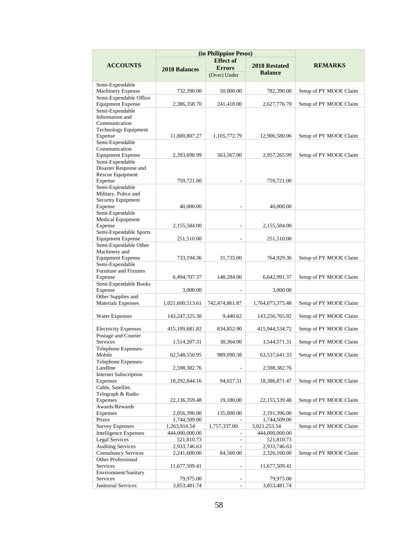|                                                    | (in Philippine Pesos) |                  |                  |                        |
|----------------------------------------------------|-----------------------|------------------|------------------|------------------------|
|                                                    |                       | <b>Effect</b> of |                  |                        |
| <b>ACCOUNTS</b>                                    | <b>2018 Balances</b>  | <b>Errors</b>    | 2018 Restated    | <b>REMARKS</b>         |
|                                                    |                       | (Over) Under     | <b>Balance</b>   |                        |
|                                                    |                       |                  |                  |                        |
| Semi-Expendable                                    |                       |                  |                  |                        |
| <b>Machinery Expense</b>                           | 732,390.00            | 50,000.00        | 782,390.00       | Setup of PY MOOE Claim |
| Semi-Expendable Office<br><b>Equipment Expense</b> | 2,386,358.70          | 241,418.00       | 2,627,776.70     | Setup of PY MOOE Claim |
| Semi-Expendable                                    |                       |                  |                  |                        |
| Information and                                    |                       |                  |                  |                        |
| Communication                                      |                       |                  |                  |                        |
| <b>Technology Equipment</b>                        |                       |                  |                  |                        |
| Expense                                            | 11,800,807.27         | 1,105,772.79     | 12,906,580.06    | Setup of PY MOOE Claim |
| Semi-Expendable                                    |                       |                  |                  |                        |
| Communication                                      |                       |                  |                  |                        |
| <b>Equipment Expense</b>                           | 2,393,698.99          | 563,567.00       | 2,957,265.99     | Setup of PY MOOE Claim |
| Semi-Expendable                                    |                       |                  |                  |                        |
| Disaster Response and                              |                       |                  |                  |                        |
| Rescue Equipment                                   |                       |                  |                  |                        |
| Expense                                            | 759,721.00            |                  | 759,721.00       |                        |
| Semi-Expendable                                    |                       |                  |                  |                        |
| Military, Police and                               |                       |                  |                  |                        |
| Security Equipment                                 |                       |                  |                  |                        |
| Expense                                            | 40,000.00             |                  | 40,000.00        |                        |
| Semi-Expendable                                    |                       |                  |                  |                        |
| <b>Medical Equipment</b>                           |                       |                  |                  |                        |
| Expense                                            | 2,155,584.00          |                  | 2,155,584.00     |                        |
| Semi-Expendable Sports                             |                       |                  |                  |                        |
| <b>Equipment Expense</b><br>Semi-Expendable Other  | 251,510.00            |                  | 251,510.00       |                        |
| Machinery and                                      |                       |                  |                  |                        |
| <b>Equipment Expense</b>                           | 733,194.36            | 31,735.00        | 764,929.36       | Setup of PY MOOE Claim |
| Semi-Expendable                                    |                       |                  |                  |                        |
| Furniture and Fixtures                             |                       |                  |                  |                        |
| Expense                                            | 6,494,707.37          | 148,284.00       | 6,642,991.37     | Setup of PY MOOE Claim |
| Semi-Expendable Books                              |                       |                  |                  |                        |
| Expense                                            | 3,000.00              |                  | 3,000.00         |                        |
| Other Supplies and                                 |                       |                  |                  |                        |
| <b>Materials Expenses</b>                          | 1,021,600,513.61      | 742,474,861.87   | 1,764,075,375.48 | Setup of PY MOOE Claim |
|                                                    |                       |                  |                  |                        |
| Water Expenses                                     | 143, 247, 325. 30     | 9,440.62         | 143,256,765.92   | Setup of PY MOOE Claim |
|                                                    |                       |                  |                  |                        |
| <b>Electricity Expenses</b>                        | 415,109,681.82        | 834,852.90       | 415,944,534.72   | Setup of PY MOOE Claim |
| Postage and Courier                                |                       |                  |                  |                        |
| Services                                           | 1,514,207.31          | 30,364.00        | 1,544,571.31     | Setup of PY MOOE Claim |
| Telephone Expenses-                                |                       |                  |                  |                        |
| Mobile                                             | 62,548,550.95         | 989,090.38       | 63, 537, 641. 33 | Setup of PY MOOE Claim |
| Telephone Expenses-                                |                       |                  |                  |                        |
| Landline                                           | 2,598,382.76          |                  | 2,598,382.76     |                        |
| <b>Internet Subscription</b>                       |                       |                  |                  |                        |
| Expenses                                           | 18,292,844.16         | 94,027.31        | 18,386,871.47    | Setup of PY MOOE Claim |
| Cable, Satellite,                                  |                       |                  |                  |                        |
| Telegraph & Radio                                  |                       |                  |                  |                        |
| <b>Expenses</b>                                    | 22,136,359.48         | 19,180.00        | 22,155,539.48    | Setup of PY MOOE Claim |
| Awards/Rewards                                     |                       |                  |                  |                        |
| Expenses                                           | 2,056,396.00          | 135,000.00       | 2,191,396.00     | Setup of PY MOOE Claim |
| Prizes                                             | 1,744,509.00          |                  | 1,744,509.00     |                        |
| <b>Survey Expenses</b>                             | 1,263,916.54          | 1,757,337.00     | 3,021,253.54     | Setup of PY MOOE Claim |
| <b>Intelligence Expenses</b>                       | 444,000,000.00        | $\frac{1}{2}$    | 444,000,000.00   |                        |
| <b>Legal Services</b>                              | 521,810.73            |                  | 521,810.73       |                        |
| <b>Auditing Services</b>                           | 2,933,746.63          |                  | 2,933,746.63     |                        |
| <b>Consultancy Services</b><br>Other Professional  | 2,241,600.00          | 84,560.00        | 2,326,160.00     | Setup of PY MOOE Claim |
|                                                    |                       |                  |                  |                        |
| Services<br>Environment/Sanitary                   | 11,677,509.41         | L,               | 11,677,509.41    |                        |
| Services                                           | 79,975.00             |                  | 79,975.00        |                        |
| <b>Janitorial Services</b>                         | 3,853,481.74          |                  | 3,853,481.74     |                        |
|                                                    |                       |                  |                  |                        |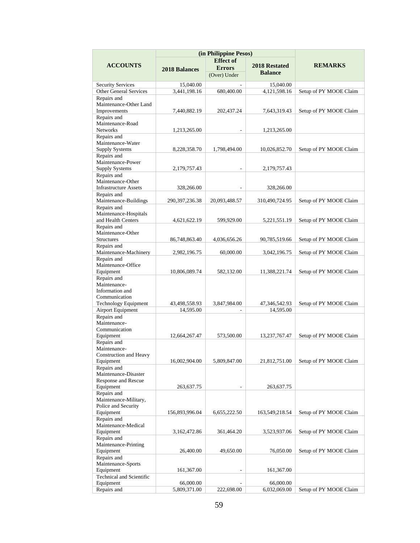|                                      | (in Philippine Pesos) |                  |                      |                        |
|--------------------------------------|-----------------------|------------------|----------------------|------------------------|
|                                      |                       | <b>Effect</b> of |                      |                        |
| <b>ACCOUNTS</b>                      | 2018 Balances         | <b>Errors</b>    | <b>2018 Restated</b> | <b>REMARKS</b>         |
|                                      |                       | (Over) Under     | <b>Balance</b>       |                        |
| <b>Security Services</b>             | 15,040.00             |                  | 15,040.00            |                        |
| <b>Other General Services</b>        | 3,441,198.16          | 680,400.00       | 4,121,598.16         | Setup of PY MOOE Claim |
| Repairs and                          |                       |                  |                      |                        |
| Maintenance-Other Land               |                       |                  |                      |                        |
| Improvements                         | 7,440,882.19          | 202,437.24       | 7,643,319.43         | Setup of PY MOOE Claim |
| Repairs and                          |                       |                  |                      |                        |
| Maintenance-Road                     |                       |                  |                      |                        |
| <b>Networks</b>                      | 1,213,265.00          | ٠                | 1,213,265.00         |                        |
| Repairs and                          |                       |                  |                      |                        |
| Maintenance-Water                    |                       |                  |                      |                        |
| <b>Supply Systems</b>                | 8,228,358.70          | 1,798,494.00     | 10,026,852.70        | Setup of PY MOOE Claim |
| Repairs and                          |                       |                  |                      |                        |
| Maintenance-Power                    |                       |                  |                      |                        |
| <b>Supply Systems</b><br>Repairs and | 2,179,757.43          |                  | 2,179,757.43         |                        |
| Maintenance-Other                    |                       |                  |                      |                        |
| <b>Infrastructure Assets</b>         | 328,266.00            |                  | 328,266.00           |                        |
| Repairs and                          |                       |                  |                      |                        |
| Maintenance-Buildings                | 290, 397, 236. 38     | 20,093,488.57    | 310,490,724.95       | Setup of PY MOOE Claim |
| Repairs and                          |                       |                  |                      |                        |
| Maintenance-Hospitals                |                       |                  |                      |                        |
| and Health Centers                   | 4,621,622.19          | 599,929.00       | 5,221,551.19         | Setup of PY MOOE Claim |
| Repairs and                          |                       |                  |                      |                        |
| Maintenance-Other                    |                       |                  |                      |                        |
| <b>Structures</b>                    | 86,748,863.40         | 4,036,656.26     | 90,785,519.66        | Setup of PY MOOE Claim |
| Repairs and                          |                       |                  |                      |                        |
| Maintenance-Machinery                | 2,982,196.75          | 60,000.00        | 3,042,196.75         | Setup of PY MOOE Claim |
| Repairs and                          |                       |                  |                      |                        |
| Maintenance-Office<br>Equipment      | 10,806,089.74         | 582,132.00       | 11,388,221.74        | Setup of PY MOOE Claim |
| Repairs and                          |                       |                  |                      |                        |
| Maintenance-                         |                       |                  |                      |                        |
| Information and                      |                       |                  |                      |                        |
| Communication                        |                       |                  |                      |                        |
| Technology Equipment                 | 43,498,558.93         | 3,847,984.00     | 47,346,542.93        | Setup of PY MOOE Claim |
| Airport Equipment                    | 14,595.00             |                  | 14,595.00            |                        |
| Repairs and                          |                       |                  |                      |                        |
| Maintenance-                         |                       |                  |                      |                        |
| Communication                        |                       |                  |                      |                        |
| Equipment                            | 12,664,267.47         | 573,500.00       | 13,237,767.47        | Setup of PY MOOE Claim |
| Repairs and<br>Maintenance-          |                       |                  |                      |                        |
| Construction and Heavy               |                       |                  |                      |                        |
| Equipment                            | 16,002,904.00         | 5,809,847.00     | 21,812,751.00        | Setup of PY MOOE Claim |
| Repairs and                          |                       |                  |                      |                        |
| Maintenance-Disaster                 |                       |                  |                      |                        |
| Response and Rescue                  |                       |                  |                      |                        |
| Equipment                            | 263,637.75            |                  | 263,637.75           |                        |
| Repairs and                          |                       |                  |                      |                        |
| Maintenance-Military,                |                       |                  |                      |                        |
| Police and Security                  |                       |                  |                      |                        |
| Equipment                            | 156,893,996.04        | 6,655,222.50     | 163,549,218.54       | Setup of PY MOOE Claim |
| Repairs and                          |                       |                  |                      |                        |
| Maintenance-Medical                  |                       |                  |                      |                        |
| Equipment<br>Repairs and             | 3,162,472.86          | 361,464.20       | 3,523,937.06         | Setup of PY MOOE Claim |
| Maintenance-Printing                 |                       |                  |                      |                        |
| Equipment                            | 26,400.00             | 49,650.00        | 76,050.00            | Setup of PY MOOE Claim |
| Repairs and                          |                       |                  |                      |                        |
| Maintenance-Sports                   |                       |                  |                      |                        |
| Equipment                            | 161,367.00            | L,               | 161,367.00           |                        |
| Technical and Scientific             |                       |                  |                      |                        |
| Equipment                            | 66,000.00             |                  | 66,000.00            |                        |
| Repairs and                          | 5,809,371.00          | 222,698.00       | 6,032,069.00         | Setup of PY MOOE Claim |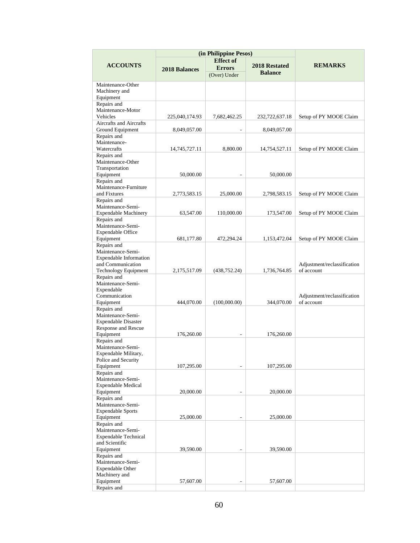|                                                                                                                | (in Philippine Pesos)  |                                   |                        |                                           |  |  |
|----------------------------------------------------------------------------------------------------------------|------------------------|-----------------------------------|------------------------|-------------------------------------------|--|--|
| <b>ACCOUNTS</b>                                                                                                | <b>2018 Balances</b>   | <b>Effect</b> of<br><b>Errors</b> | 2018 Restated          | <b>REMARKS</b>                            |  |  |
|                                                                                                                |                        | (Over) Under                      | <b>Balance</b>         |                                           |  |  |
| Maintenance-Other<br>Machinery and<br>Equipment                                                                |                        |                                   |                        |                                           |  |  |
| Repairs and<br>Maintenance-Motor                                                                               |                        |                                   |                        |                                           |  |  |
| Vehicles<br>Aircrafts and Aircrafts                                                                            | 225,040,174.93         | 7,682,462.25                      | 232,722,637.18         | Setup of PY MOOE Claim                    |  |  |
| Ground Equipment<br>Repairs and                                                                                | 8,049,057.00           | $\overline{\phantom{a}}$          | 8,049,057.00           |                                           |  |  |
| Maintenance-<br>Watercrafts                                                                                    | 14,745,727.11          | 8,800.00                          | 14,754,527.11          | Setup of PY MOOE Claim                    |  |  |
| Repairs and<br>Maintenance-Other<br>Transportation                                                             |                        |                                   |                        |                                           |  |  |
| Equipment<br>Repairs and                                                                                       | 50,000.00              |                                   | 50,000.00              |                                           |  |  |
| Maintenance-Furniture<br>and Fixtures                                                                          | 2,773,583.15           | 25,000.00                         | 2,798,583.15           | Setup of PY MOOE Claim                    |  |  |
| Repairs and<br>Maintenance-Semi-<br><b>Expendable Machinery</b>                                                | 63,547.00              | 110,000.00                        | 173,547.00             | Setup of PY MOOE Claim                    |  |  |
| Repairs and<br>Maintenance-Semi-<br><b>Expendable Office</b>                                                   |                        |                                   |                        |                                           |  |  |
| Equipment                                                                                                      | 681,177.80             | 472,294.24                        | 1,153,472.04           | Setup of PY MOOE Claim                    |  |  |
| Repairs and<br>Maintenance-Semi-<br><b>Expendable Information</b><br>and Communication<br>Technology Equipment | 2,175,517.09           | (438, 752.24)                     | 1,736,764.85           | Adjustment/reclassification<br>of account |  |  |
| Repairs and<br>Maintenance-Semi-<br>Expendable<br>Communication                                                |                        |                                   |                        | Adjustment/reclassification               |  |  |
| Equipment                                                                                                      | 444,070.00             | (100,000.00)                      | 344,070.00             | of account                                |  |  |
| Repairs and<br>Maintenance-Semi-<br><b>Expendable Disaster</b><br>Response and Rescue<br>Equipment             | 176,260.00             |                                   | 176,260.00             |                                           |  |  |
| Repairs and<br>Maintenance-Semi-<br>Expendable Military,<br>Police and Security<br>Equipment                   | 107,295.00             |                                   | 107,295.00             |                                           |  |  |
| Repairs and<br>Maintenance-Semi-<br>Expendable Medical                                                         |                        |                                   |                        |                                           |  |  |
| Equipment<br>Repairs and<br>Maintenance-Semi-<br><b>Expendable Sports</b><br>Equipment                         | 20,000.00<br>25,000.00 |                                   | 20,000.00<br>25,000.00 |                                           |  |  |
| Repairs and<br>Maintenance-Semi-<br><b>Expendable Technical</b><br>and Scientific<br>Equipment                 |                        |                                   |                        |                                           |  |  |
| Repairs and                                                                                                    | 39,590.00              |                                   | 39,590.00              |                                           |  |  |
| Maintenance-Semi-<br><b>Expendable Other</b><br>Machinery and<br>Equipment                                     | 57,607.00              |                                   | 57,607.00              |                                           |  |  |
| Repairs and                                                                                                    |                        |                                   |                        |                                           |  |  |